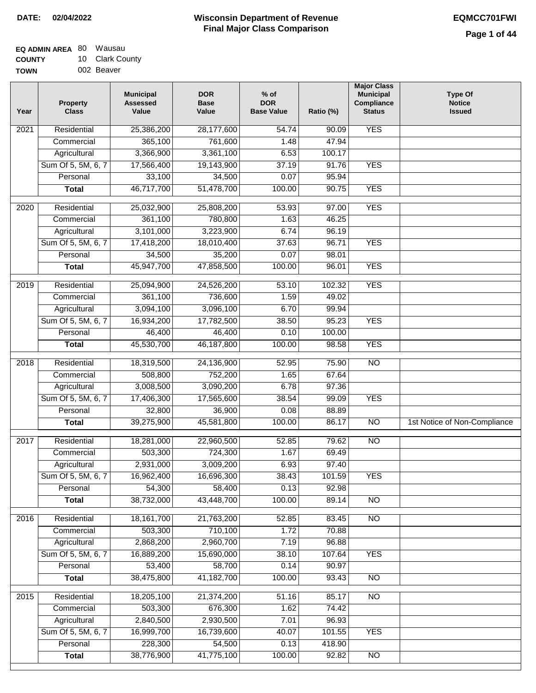| <b>EQ ADMIN AREA 80 Wausau</b> |                 |
|--------------------------------|-----------------|
| <b>COUNTY</b>                  | 10 Clark County |
| <b>TOWN</b>                    | 002 Beaver      |

002 Beaver

| Year              | <b>Property</b><br><b>Class</b> | <b>Municipal</b><br><b>Assessed</b><br>Value | <b>DOR</b><br><b>Base</b><br>Value | $%$ of<br><b>DOR</b><br><b>Base Value</b> | Ratio (%) | <b>Major Class</b><br><b>Municipal</b><br>Compliance<br><b>Status</b> | <b>Type Of</b><br><b>Notice</b><br><b>Issued</b> |
|-------------------|---------------------------------|----------------------------------------------|------------------------------------|-------------------------------------------|-----------|-----------------------------------------------------------------------|--------------------------------------------------|
| $\overline{202}1$ | Residential                     | 25,386,200                                   | 28,177,600                         | $\frac{1}{54.74}$                         | 90.09     | <b>YES</b>                                                            |                                                  |
|                   | Commercial                      | 365,100                                      | 761,600                            | 1.48                                      | 47.94     |                                                                       |                                                  |
|                   | Agricultural                    | 3,366,900                                    | 3,361,100                          | 6.53                                      | 100.17    |                                                                       |                                                  |
|                   | Sum Of 5, 5M, 6, 7              | 17,566,400                                   | 19,143,900                         | 37.19                                     | 91.76     | <b>YES</b>                                                            |                                                  |
|                   | Personal                        | 33,100                                       | 34,500                             | 0.07                                      | 95.94     |                                                                       |                                                  |
|                   | <b>Total</b>                    | 46,717,700                                   | 51,478,700                         | 100.00                                    | 90.75     | <b>YES</b>                                                            |                                                  |
| 2020              | Residential                     | 25,032,900                                   | 25,808,200                         | 53.93                                     | 97.00     | <b>YES</b>                                                            |                                                  |
|                   | Commercial                      | 361,100                                      | 780,800                            | 1.63                                      | 46.25     |                                                                       |                                                  |
|                   | Agricultural                    | 3,101,000                                    | 3,223,900                          | 6.74                                      | 96.19     |                                                                       |                                                  |
|                   | Sum Of 5, 5M, 6, 7              | 17,418,200                                   | 18,010,400                         | 37.63                                     | 96.71     | <b>YES</b>                                                            |                                                  |
|                   | Personal                        | 34,500                                       | 35,200                             | 0.07                                      | 98.01     |                                                                       |                                                  |
|                   | <b>Total</b>                    | 45,947,700                                   | 47,858,500                         | 100.00                                    | 96.01     | <b>YES</b>                                                            |                                                  |
| 2019              | Residential                     | 25,094,900                                   | 24,526,200                         | 53.10                                     | 102.32    | <b>YES</b>                                                            |                                                  |
|                   | Commercial                      | 361,100                                      | 736,600                            | 1.59                                      | 49.02     |                                                                       |                                                  |
|                   | Agricultural                    | 3,094,100                                    | 3,096,100                          | 6.70                                      | 99.94     |                                                                       |                                                  |
|                   | Sum Of 5, 5M, 6, 7              | 16,934,200                                   | 17,782,500                         | 38.50                                     | 95.23     | <b>YES</b>                                                            |                                                  |
|                   | Personal                        | 46,400                                       | 46,400                             | 0.10                                      | 100.00    |                                                                       |                                                  |
|                   | <b>Total</b>                    | 45,530,700                                   | 46, 187, 800                       | 100.00                                    | 98.58     | <b>YES</b>                                                            |                                                  |
| 2018              | Residential                     | 18,319,500                                   | 24,136,900                         | 52.95                                     | 75.90     | $\overline{10}$                                                       |                                                  |
|                   | Commercial                      | 508,800                                      | 752,200                            | 1.65                                      | 67.64     |                                                                       |                                                  |
|                   | Agricultural                    | 3,008,500                                    | 3,090,200                          | 6.78                                      | 97.36     |                                                                       |                                                  |
|                   | Sum Of 5, 5M, 6, 7              | 17,406,300                                   | 17,565,600                         | 38.54                                     | 99.09     | <b>YES</b>                                                            |                                                  |
|                   | Personal                        | 32,800                                       | 36,900                             | 0.08                                      | 88.89     |                                                                       |                                                  |
|                   | <b>Total</b>                    | 39,275,900                                   | 45,581,800                         | 100.00                                    | 86.17     | $\overline{10}$                                                       | 1st Notice of Non-Compliance                     |
| $\overline{20}17$ | Residential                     | 18,281,000                                   | 22,960,500                         | 52.85                                     | 79.62     | $\overline{NO}$                                                       |                                                  |
|                   | Commercial                      | 503,300                                      | 724,300                            | 1.67                                      | 69.49     |                                                                       |                                                  |
|                   | Agricultural                    | 2,931,000                                    | 3,009,200                          | 6.93                                      | 97.40     |                                                                       |                                                  |
|                   | Sum Of 5, 5M, 6, 7              | 16,962,400                                   | 16,696,300                         | 38.43                                     | 101.59    | <b>YES</b>                                                            |                                                  |
|                   | Personal                        | 54,300                                       | 58,400                             | 0.13                                      | 92.98     |                                                                       |                                                  |
|                   | <b>Total</b>                    | 38,732,000                                   | 43,448,700                         | 100.00                                    | 89.14     | <b>NO</b>                                                             |                                                  |
| 2016              | Residential                     | 18,161,700                                   | 21,763,200                         | 52.85                                     | 83.45     | $\overline{NO}$                                                       |                                                  |
|                   | Commercial                      | 503,300                                      | 710,100                            | 1.72                                      | 70.88     |                                                                       |                                                  |
|                   | Agricultural                    | 2,868,200                                    | 2,960,700                          | 7.19                                      | 96.88     |                                                                       |                                                  |
|                   | Sum Of 5, 5M, 6, 7              | 16,889,200                                   | 15,690,000                         | 38.10                                     | 107.64    | <b>YES</b>                                                            |                                                  |
|                   | Personal                        | 53,400                                       | 58,700                             | 0.14                                      | 90.97     |                                                                       |                                                  |
|                   | <b>Total</b>                    | 38,475,800                                   | 41,182,700                         | 100.00                                    | 93.43     | $\overline{NO}$                                                       |                                                  |
| 2015              | Residential                     | 18,205,100                                   | 21,374,200                         | 51.16                                     | 85.17     | <b>NO</b>                                                             |                                                  |
|                   | Commercial                      | 503,300                                      | 676,300                            | 1.62                                      | 74.42     |                                                                       |                                                  |
|                   | Agricultural                    | 2,840,500                                    | 2,930,500                          | 7.01                                      | 96.93     |                                                                       |                                                  |
|                   | Sum Of 5, 5M, 6, 7              | 16,999,700                                   | 16,739,600                         | 40.07                                     | 101.55    | <b>YES</b>                                                            |                                                  |
|                   | Personal                        | 228,300                                      | 54,500                             | 0.13                                      | 418.90    |                                                                       |                                                  |
|                   | <b>Total</b>                    | 38,776,900                                   | 41,775,100                         | 100.00                                    | 92.82     | <b>NO</b>                                                             |                                                  |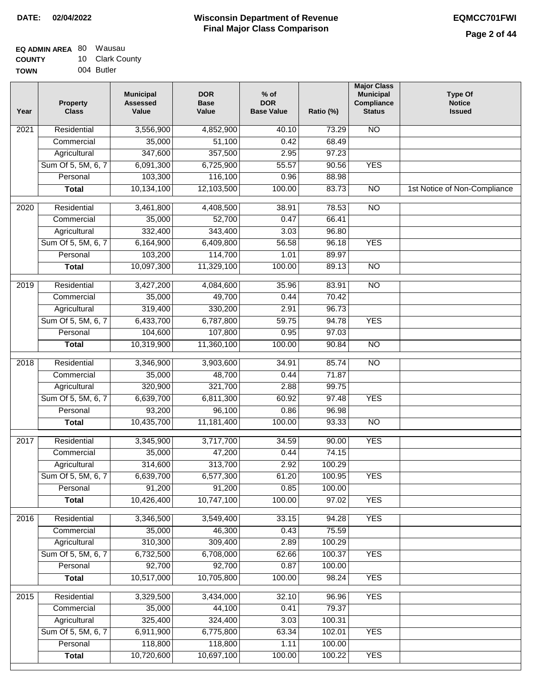| <b>EQ ADMIN AREA 80 Wausau</b> |                 |
|--------------------------------|-----------------|
| <b>COUNTY</b>                  | 10 Clark County |
| <b>TOWN</b>                    | 004 Butler      |

| Year             | Property<br><b>Class</b> | <b>Municipal</b><br><b>Assessed</b><br>Value | <b>DOR</b><br><b>Base</b><br>Value | $%$ of<br><b>DOR</b><br><b>Base Value</b> | Ratio (%) | <b>Major Class</b><br><b>Municipal</b><br>Compliance<br><b>Status</b> | <b>Type Of</b><br><b>Notice</b><br><b>Issued</b> |
|------------------|--------------------------|----------------------------------------------|------------------------------------|-------------------------------------------|-----------|-----------------------------------------------------------------------|--------------------------------------------------|
| 2021             | Residential              | 3,556,900                                    | 4,852,900                          | 40.10                                     | 73.29     | <b>NO</b>                                                             |                                                  |
|                  | Commercial               | 35,000                                       | 51,100                             | 0.42                                      | 68.49     |                                                                       |                                                  |
|                  | Agricultural             | 347,600                                      | 357,500                            | 2.95                                      | 97.23     |                                                                       |                                                  |
|                  | Sum Of 5, 5M, 6, 7       | 6,091,300                                    | 6,725,900                          | 55.57                                     | 90.56     | <b>YES</b>                                                            |                                                  |
|                  | Personal                 | 103,300                                      | 116,100                            | 0.96                                      | 88.98     |                                                                       |                                                  |
|                  | <b>Total</b>             | 10,134,100                                   | 12,103,500                         | 100.00                                    | 83.73     | $\overline{NO}$                                                       | 1st Notice of Non-Compliance                     |
| $\frac{1}{2020}$ | Residential              | 3,461,800                                    | 4,408,500                          | 38.91                                     | 78.53     | $\overline{NO}$                                                       |                                                  |
|                  | Commercial               | 35,000                                       | 52,700                             | 0.47                                      | 66.41     |                                                                       |                                                  |
|                  | Agricultural             | 332,400                                      | 343,400                            | 3.03                                      | 96.80     |                                                                       |                                                  |
|                  | Sum Of 5, 5M, 6, 7       | 6,164,900                                    | 6,409,800                          | 56.58                                     | 96.18     | <b>YES</b>                                                            |                                                  |
|                  | Personal                 | 103,200                                      | 114,700                            | 1.01                                      | 89.97     |                                                                       |                                                  |
|                  | <b>Total</b>             | 10,097,300                                   | 11,329,100                         | 100.00                                    | 89.13     | $\overline{NO}$                                                       |                                                  |
|                  |                          |                                              |                                    |                                           |           |                                                                       |                                                  |
| 2019             | Residential              | 3,427,200                                    | 4,084,600                          | 35.96                                     | 83.91     | $\overline{NO}$                                                       |                                                  |
|                  | Commercial               | 35,000                                       | 49,700                             | 0.44                                      | 70.42     |                                                                       |                                                  |
|                  | Agricultural             | 319,400                                      | 330,200                            | 2.91                                      | 96.73     |                                                                       |                                                  |
|                  | Sum Of 5, 5M, 6, 7       | 6,433,700                                    | 6,787,800                          | 59.75                                     | 94.78     | <b>YES</b>                                                            |                                                  |
|                  | Personal                 | 104,600                                      | 107,800                            | 0.95                                      | 97.03     |                                                                       |                                                  |
|                  | <b>Total</b>             | 10,319,900                                   | 11,360,100                         | 100.00                                    | 90.84     | $\overline{NO}$                                                       |                                                  |
| 2018             | Residential              | 3,346,900                                    | 3,903,600                          | 34.91                                     | 85.74     | $\overline{NO}$                                                       |                                                  |
|                  | Commercial               | 35,000                                       | 48,700                             | 0.44                                      | 71.87     |                                                                       |                                                  |
|                  | Agricultural             | 320,900                                      | 321,700                            | 2.88                                      | 99.75     |                                                                       |                                                  |
|                  | Sum Of 5, 5M, 6, 7       | 6,639,700                                    | 6,811,300                          | 60.92                                     | 97.48     | <b>YES</b>                                                            |                                                  |
|                  | Personal                 | 93,200                                       | 96,100                             | 0.86                                      | 96.98     |                                                                       |                                                  |
|                  | <b>Total</b>             | 10,435,700                                   | 11,181,400                         | 100.00                                    | 93.33     | <b>NO</b>                                                             |                                                  |
| 2017             | Residential              | 3,345,900                                    | 3,717,700                          | 34.59                                     | 90.00     | <b>YES</b>                                                            |                                                  |
|                  | Commercial               | 35,000                                       | 47,200                             | 0.44                                      | 74.15     |                                                                       |                                                  |
|                  | Agricultural             | 314,600                                      | 313,700                            | 2.92                                      | 100.29    |                                                                       |                                                  |
|                  | Sum Of 5, 5M, 6, 7       | 6,639,700                                    | 6,577,300                          | 61.20                                     | 100.95    | <b>YES</b>                                                            |                                                  |
|                  | Personal                 | 91,200                                       | 91,200                             | 0.85                                      | 100.00    |                                                                       |                                                  |
|                  | <b>Total</b>             | 10,426,400                                   | 10,747,100                         | 100.00                                    | 97.02     | <b>YES</b>                                                            |                                                  |
| 2016             | Residential              | 3,346,500                                    | 3,549,400                          | 33.15                                     | 94.28     | <b>YES</b>                                                            |                                                  |
|                  | Commercial               | 35,000                                       | 46,300                             | 0.43                                      | 75.59     |                                                                       |                                                  |
|                  | Agricultural             | 310,300                                      | 309,400                            | 2.89                                      | 100.29    |                                                                       |                                                  |
|                  | Sum Of 5, 5M, 6, 7       | 6,732,500                                    | 6,708,000                          | 62.66                                     | 100.37    | <b>YES</b>                                                            |                                                  |
|                  | Personal                 | 92,700                                       | 92,700                             | 0.87                                      | 100.00    |                                                                       |                                                  |
|                  | <b>Total</b>             | 10,517,000                                   | 10,705,800                         | 100.00                                    | 98.24     | <b>YES</b>                                                            |                                                  |
|                  |                          |                                              |                                    |                                           |           |                                                                       |                                                  |
| 2015             | Residential              | 3,329,500                                    | 3,434,000                          | 32.10                                     | 96.96     | <b>YES</b>                                                            |                                                  |
|                  | Commercial               | 35,000                                       | 44,100                             | 0.41                                      | 79.37     |                                                                       |                                                  |
|                  | Agricultural             | 325,400                                      | 324,400                            | 3.03                                      | 100.31    |                                                                       |                                                  |
|                  | Sum Of 5, 5M, 6, 7       | 6,911,900                                    | 6,775,800                          | 63.34                                     | 102.01    | <b>YES</b>                                                            |                                                  |
|                  | Personal                 | 118,800                                      | 118,800                            | 1.11                                      | 100.00    |                                                                       |                                                  |
|                  | <b>Total</b>             | 10,720,600                                   | 10,697,100                         | 100.00                                    | 100.22    | <b>YES</b>                                                            |                                                  |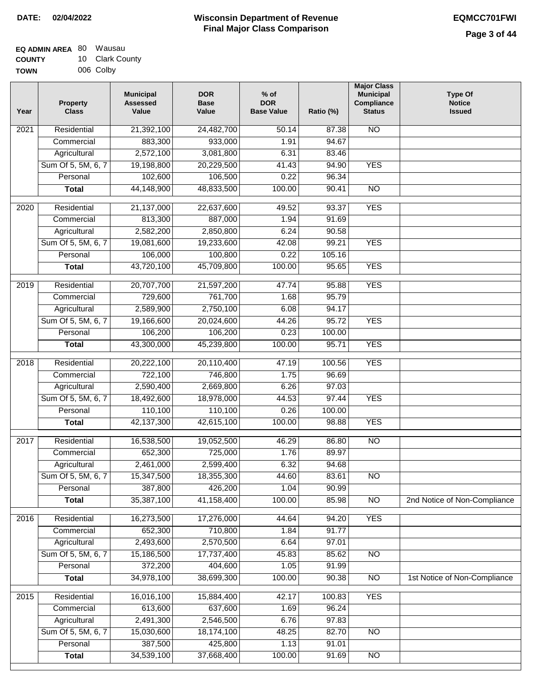| EQ ADMIN AREA 80 | Wausau          |
|------------------|-----------------|
| <b>COUNTY</b>    | 10 Clark County |
| <b>TOWN</b>      | 006 Colby       |

| Year              | Property<br><b>Class</b> | <b>Municipal</b><br><b>Assessed</b><br>Value | <b>DOR</b><br><b>Base</b><br>Value | $%$ of<br><b>DOR</b><br><b>Base Value</b> | Ratio (%) | <b>Major Class</b><br><b>Municipal</b><br>Compliance<br><b>Status</b> | <b>Type Of</b><br><b>Notice</b><br><b>Issued</b> |
|-------------------|--------------------------|----------------------------------------------|------------------------------------|-------------------------------------------|-----------|-----------------------------------------------------------------------|--------------------------------------------------|
| $\overline{202}1$ | Residential              | 21,392,100                                   | 24,482,700                         | 50.14                                     | 87.38     | <b>NO</b>                                                             |                                                  |
|                   | Commercial               | 883,300                                      | 933,000                            | 1.91                                      | 94.67     |                                                                       |                                                  |
|                   | Agricultural             | 2,572,100                                    | 3,081,800                          | 6.31                                      | 83.46     |                                                                       |                                                  |
|                   | Sum Of 5, 5M, 6, 7       | 19,198,800                                   | 20,229,500                         | 41.43                                     | 94.90     | <b>YES</b>                                                            |                                                  |
|                   | Personal                 | 102,600                                      | 106,500                            | 0.22                                      | 96.34     |                                                                       |                                                  |
|                   | <b>Total</b>             | 44,148,900                                   | 48,833,500                         | 100.00                                    | 90.41     | $\overline{NO}$                                                       |                                                  |
| $\overline{2020}$ | Residential              | 21,137,000                                   | 22,637,600                         | 49.52                                     | 93.37     | <b>YES</b>                                                            |                                                  |
|                   | Commercial               | 813,300                                      | 887,000                            | 1.94                                      | 91.69     |                                                                       |                                                  |
|                   | Agricultural             | 2,582,200                                    | 2,850,800                          | 6.24                                      | 90.58     |                                                                       |                                                  |
|                   | Sum Of 5, 5M, 6, 7       | 19,081,600                                   | 19,233,600                         | 42.08                                     | 99.21     | <b>YES</b>                                                            |                                                  |
|                   | Personal                 | 106,000                                      | 100,800                            | 0.22                                      | 105.16    |                                                                       |                                                  |
|                   | <b>Total</b>             | 43,720,100                                   | 45,709,800                         | 100.00                                    | 95.65     | <b>YES</b>                                                            |                                                  |
| 2019              | Residential              | 20,707,700                                   | 21,597,200                         | 47.74                                     | 95.88     | <b>YES</b>                                                            |                                                  |
|                   | Commercial               | 729,600                                      | 761,700                            | 1.68                                      | 95.79     |                                                                       |                                                  |
|                   | Agricultural             | 2,589,900                                    | 2,750,100                          | 6.08                                      | 94.17     |                                                                       |                                                  |
|                   | Sum Of 5, 5M, 6, 7       | 19,166,600                                   | 20,024,600                         | 44.26                                     | 95.72     | <b>YES</b>                                                            |                                                  |
|                   | Personal                 | 106,200                                      | 106,200                            | 0.23                                      | 100.00    |                                                                       |                                                  |
|                   | <b>Total</b>             | 43,300,000                                   | 45,239,800                         | 100.00                                    | 95.71     | <b>YES</b>                                                            |                                                  |
| 2018              | Residential              | 20,222,100                                   | 20,110,400                         | 47.19                                     | 100.56    | <b>YES</b>                                                            |                                                  |
|                   | Commercial               | 722,100                                      | 746,800                            | 1.75                                      | 96.69     |                                                                       |                                                  |
|                   | Agricultural             | 2,590,400                                    | 2,669,800                          | 6.26                                      | 97.03     |                                                                       |                                                  |
|                   | Sum Of 5, 5M, 6, 7       | 18,492,600                                   | 18,978,000                         | 44.53                                     | 97.44     | <b>YES</b>                                                            |                                                  |
|                   | Personal                 | 110,100                                      | 110,100                            | 0.26                                      | 100.00    |                                                                       |                                                  |
|                   | <b>Total</b>             | 42,137,300                                   | 42,615,100                         | 100.00                                    | 98.88     | <b>YES</b>                                                            |                                                  |
| 2017              | Residential              | 16,538,500                                   | 19,052,500                         | 46.29                                     | 86.80     | $\overline{NO}$                                                       |                                                  |
|                   | Commercial               | 652,300                                      | 725,000                            | 1.76                                      | 89.97     |                                                                       |                                                  |
|                   | Agricultural             | 2,461,000                                    | 2,599,400                          | 6.32                                      | 94.68     |                                                                       |                                                  |
|                   | Sum Of 5, 5M, 6, 7       | 15,347,500                                   | 18,355,300                         | 44.60                                     | 83.61     | N <sub>O</sub>                                                        |                                                  |
|                   | Personal                 | 387,800                                      | 426,200                            | 1.04                                      | 90.99     |                                                                       |                                                  |
|                   | <b>Total</b>             | 35,387,100                                   | 41,158,400                         | 100.00                                    | 85.98     | $\overline{NO}$                                                       | 2nd Notice of Non-Compliance                     |
| 2016              | Residential              | 16,273,500                                   | 17,276,000                         | 44.64                                     | 94.20     | <b>YES</b>                                                            |                                                  |
|                   | Commercial               | 652,300                                      | 710,800                            | 1.84                                      | 91.77     |                                                                       |                                                  |
|                   | Agricultural             | 2,493,600                                    | 2,570,500                          | 6.64                                      | 97.01     |                                                                       |                                                  |
|                   | Sum Of 5, 5M, 6, 7       | 15,186,500                                   | 17,737,400                         | 45.83                                     | 85.62     | $\overline{NO}$                                                       |                                                  |
|                   | Personal                 | 372,200                                      | 404,600                            | 1.05                                      | 91.99     |                                                                       |                                                  |
|                   | <b>Total</b>             | 34,978,100                                   | 38,699,300                         | 100.00                                    | 90.38     | $\overline{NO}$                                                       | 1st Notice of Non-Compliance                     |
| 2015              | Residential              | 16,016,100                                   | 15,884,400                         | 42.17                                     | 100.83    | <b>YES</b>                                                            |                                                  |
|                   | Commercial               | 613,600                                      | 637,600                            | 1.69                                      | 96.24     |                                                                       |                                                  |
|                   | Agricultural             | 2,491,300                                    | 2,546,500                          | 6.76                                      | 97.83     |                                                                       |                                                  |
|                   | Sum Of 5, 5M, 6, 7       | 15,030,600                                   | 18,174,100                         | 48.25                                     | 82.70     | <b>NO</b>                                                             |                                                  |
|                   | Personal                 | 387,500                                      | 425,800                            | 1.13                                      | 91.01     |                                                                       |                                                  |
|                   | <b>Total</b>             | 34,539,100                                   | 37,668,400                         | 100.00                                    | 91.69     | NO                                                                    |                                                  |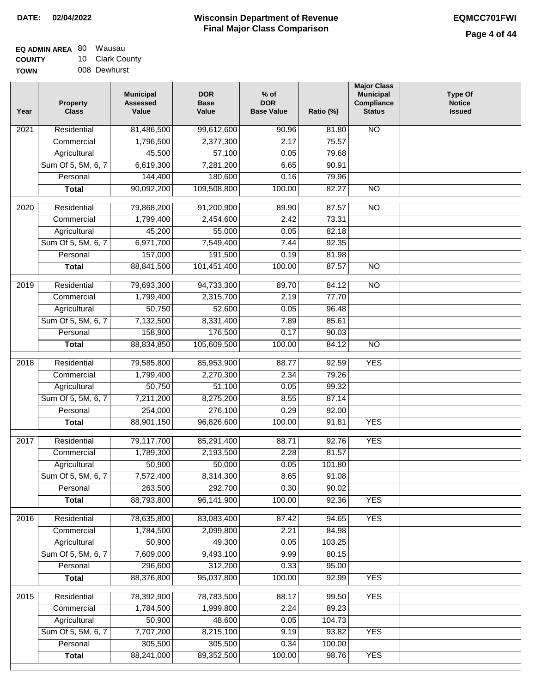| EQ ADMIN AREA 80 | Wausau        |
|------------------|---------------|
| <b>COUNTY</b>    | 10 Clark Coun |
| <b>TOWN</b>      | 008 Dewhurst  |

| 10 Clark County |
|-----------------|
| 008 Dewhurst    |

| Year              | <b>Property</b><br><b>Class</b> | <b>Municipal</b><br><b>Assessed</b><br>Value | <b>DOR</b><br><b>Base</b><br>Value | $%$ of<br><b>DOR</b><br><b>Base Value</b> | Ratio (%) | <b>Major Class</b><br><b>Municipal</b><br>Compliance<br><b>Status</b> | <b>Type Of</b><br><b>Notice</b><br><b>Issued</b> |
|-------------------|---------------------------------|----------------------------------------------|------------------------------------|-------------------------------------------|-----------|-----------------------------------------------------------------------|--------------------------------------------------|
| $\overline{202}1$ | Residential                     | 81,486,500                                   | 99,612,600                         | 90.96                                     | 81.80     | <b>NO</b>                                                             |                                                  |
|                   | Commercial                      | 1,796,500                                    | 2,377,300                          | 2.17                                      | 75.57     |                                                                       |                                                  |
|                   | Agricultural                    | 45,500                                       | 57,100                             | 0.05                                      | 79.68     |                                                                       |                                                  |
|                   | Sum Of 5, 5M, 6, 7              | 6,619,300                                    | 7,281,200                          | 6.65                                      | 90.91     |                                                                       |                                                  |
|                   | Personal                        | 144,400                                      | 180,600                            | 0.16                                      | 79.96     |                                                                       |                                                  |
|                   | <b>Total</b>                    | 90,092,200                                   | 109,508,800                        | 100.00                                    | 82.27     | $\overline{NO}$                                                       |                                                  |
| $\overline{2020}$ | Residential                     | 79,868,200                                   | 91,200,900                         | 89.90                                     | 87.57     | $\overline{10}$                                                       |                                                  |
|                   | Commercial                      | 1,799,400                                    | 2,454,600                          | 2.42                                      | 73.31     |                                                                       |                                                  |
|                   | Agricultural                    | 45,200                                       | 55,000                             | 0.05                                      | 82.18     |                                                                       |                                                  |
|                   | Sum Of 5, 5M, 6, 7              | 6,971,700                                    | 7,549,400                          | 7.44                                      | 92.35     |                                                                       |                                                  |
|                   | Personal                        | 157,000                                      | 191,500                            | 0.19                                      | 81.98     |                                                                       |                                                  |
|                   | <b>Total</b>                    | 88,841,500                                   | 101,451,400                        | 100.00                                    | 87.57     | $\overline{NO}$                                                       |                                                  |
|                   |                                 |                                              |                                    |                                           |           |                                                                       |                                                  |
| 2019              | Residential                     | 79,693,300                                   | 94,733,300                         | 89.70                                     | 84.12     | $\overline{NO}$                                                       |                                                  |
|                   | Commercial                      | 1,799,400                                    | 2,315,700                          | 2.19                                      | 77.70     |                                                                       |                                                  |
|                   | Agricultural                    | 50,750                                       | 52,600                             | 0.05                                      | 96.48     |                                                                       |                                                  |
|                   | Sum Of 5, 5M, 6, 7              | 7,132,500                                    | 8,331,400                          | 7.89                                      | 85.61     |                                                                       |                                                  |
|                   | Personal                        | 158,900                                      | 176,500                            | 0.17                                      | 90.03     |                                                                       |                                                  |
|                   | <b>Total</b>                    | 88,834,850                                   | 105,609,500                        | 100.00                                    | 84.12     | $\overline{NO}$                                                       |                                                  |
| 2018              | Residential                     | 79,585,800                                   | 85,953,900                         | 88.77                                     | 92.59     | <b>YES</b>                                                            |                                                  |
|                   | Commercial                      | 1,799,400                                    | 2,270,300                          | 2.34                                      | 79.26     |                                                                       |                                                  |
|                   | Agricultural                    | 50,750                                       | 51,100                             | 0.05                                      | 99.32     |                                                                       |                                                  |
|                   | Sum Of 5, 5M, 6, 7              | 7,211,200                                    | 8,275,200                          | 8.55                                      | 87.14     |                                                                       |                                                  |
|                   | Personal                        | 254,000                                      | 276,100                            | 0.29                                      | 92.00     |                                                                       |                                                  |
|                   | <b>Total</b>                    | 88,901,150                                   | 96,826,600                         | 100.00                                    | 91.81     | <b>YES</b>                                                            |                                                  |
| $\overline{2017}$ | Residential                     | 79,117,700                                   | 85,291,400                         | 88.71                                     | 92.76     | <b>YES</b>                                                            |                                                  |
|                   | Commercial                      | 1,789,300                                    | 2,193,500                          | 2.28                                      | 81.57     |                                                                       |                                                  |
|                   | Agricultural                    | 50,900                                       | 50,000                             | 0.05                                      | 101.80    |                                                                       |                                                  |
|                   | Sum Of 5, 5M, 6, 7              | 7,572,400                                    | 8,314,300                          | 8.65                                      | 91.08     |                                                                       |                                                  |
|                   | Personal                        | 263,500                                      | 292,700                            | 0.30                                      | 90.02     |                                                                       |                                                  |
|                   | <b>Total</b>                    | 88,793,800                                   | 96,141,900                         | 100.00                                    | 92.36     | <b>YES</b>                                                            |                                                  |
| 2016              | Residential                     | 78,635,800                                   | 83,083,400                         | 87.42                                     | 94.65     | <b>YES</b>                                                            |                                                  |
|                   | Commercial                      | 1,784,500                                    | 2,099,800                          | 2.21                                      | 84.98     |                                                                       |                                                  |
|                   | Agricultural                    | 50,900                                       | 49,300                             | 0.05                                      | 103.25    |                                                                       |                                                  |
|                   | Sum Of 5, 5M, 6, 7              | 7,609,000                                    | 9,493,100                          | 9.99                                      | 80.15     |                                                                       |                                                  |
|                   | Personal                        | 296,600                                      | 312,200                            | 0.33                                      | 95.00     |                                                                       |                                                  |
|                   | <b>Total</b>                    | 88,376,800                                   | 95,037,800                         | 100.00                                    | 92.99     | <b>YES</b>                                                            |                                                  |
|                   |                                 |                                              |                                    |                                           |           |                                                                       |                                                  |
| 2015              | Residential                     | 78,392,900                                   | 78,783,500                         | 88.17                                     | 99.50     | <b>YES</b>                                                            |                                                  |
|                   | Commercial                      | 1,784,500                                    | 1,999,800                          | 2.24                                      | 89.23     |                                                                       |                                                  |
|                   | Agricultural                    | 50,900                                       | 48,600                             | 0.05                                      | 104.73    |                                                                       |                                                  |
|                   | Sum Of 5, 5M, 6, 7              | 7,707,200                                    | 8,215,100                          | 9.19                                      | 93.82     | <b>YES</b>                                                            |                                                  |
|                   | Personal                        | 305,500                                      | 305,500                            | 0.34                                      | 100.00    |                                                                       |                                                  |
|                   | <b>Total</b>                    | 88,241,000                                   | 89,352,500                         | 100.00                                    | 98.76     | <b>YES</b>                                                            |                                                  |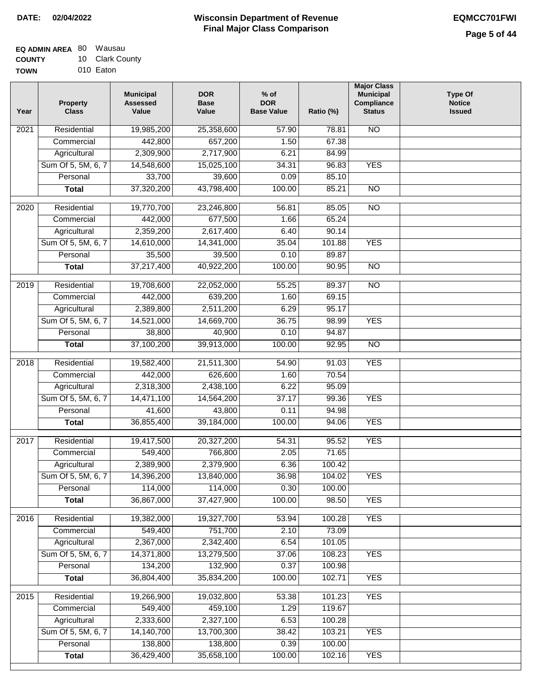| <b>EQ ADMIN AREA 80 Wausau</b> |                 |
|--------------------------------|-----------------|
| <b>COUNTY</b>                  | 10 Clark County |

**TOWN** 010 Eaton

| Year             | <b>Property</b><br><b>Class</b> | <b>Municipal</b><br><b>Assessed</b><br>Value | <b>DOR</b><br><b>Base</b><br>Value | $%$ of<br><b>DOR</b><br><b>Base Value</b> | Ratio (%) | <b>Major Class</b><br><b>Municipal</b><br>Compliance<br><b>Status</b> | <b>Type Of</b><br><b>Notice</b><br><b>Issued</b> |
|------------------|---------------------------------|----------------------------------------------|------------------------------------|-------------------------------------------|-----------|-----------------------------------------------------------------------|--------------------------------------------------|
| 2021             | Residential                     | 19,985,200                                   | 25,358,600                         | 57.90                                     | 78.81     | <b>NO</b>                                                             |                                                  |
|                  | Commercial                      | 442,800                                      | 657,200                            | 1.50                                      | 67.38     |                                                                       |                                                  |
|                  | Agricultural                    | 2,309,900                                    | 2,717,900                          | 6.21                                      | 84.99     |                                                                       |                                                  |
|                  | Sum Of 5, 5M, 6, 7              | 14,548,600                                   | 15,025,100                         | 34.31                                     | 96.83     | <b>YES</b>                                                            |                                                  |
|                  | Personal                        | 33,700                                       | 39,600                             | 0.09                                      | 85.10     |                                                                       |                                                  |
|                  | <b>Total</b>                    | 37,320,200                                   | 43,798,400                         | 100.00                                    | 85.21     | $\overline{NO}$                                                       |                                                  |
| 2020             | Residential                     | 19,770,700                                   | 23,246,800                         | 56.81                                     | 85.05     | $\overline{10}$                                                       |                                                  |
|                  | Commercial                      | 442,000                                      | 677,500                            | 1.66                                      | 65.24     |                                                                       |                                                  |
|                  | Agricultural                    | 2,359,200                                    | 2,617,400                          | 6.40                                      | 90.14     |                                                                       |                                                  |
|                  | Sum Of 5, 5M, 6, 7              | 14,610,000                                   | 14,341,000                         | 35.04                                     | 101.88    | <b>YES</b>                                                            |                                                  |
|                  | Personal                        | 35,500                                       | 39,500                             | 0.10                                      | 89.87     |                                                                       |                                                  |
|                  | <b>Total</b>                    | 37,217,400                                   | 40,922,200                         | 100.00                                    | 90.95     | <b>NO</b>                                                             |                                                  |
|                  |                                 |                                              |                                    |                                           |           |                                                                       |                                                  |
| $\frac{1}{2019}$ | Residential                     | 19,708,600                                   | 22,052,000                         | 55.25                                     | 89.37     | $\overline{NO}$                                                       |                                                  |
|                  | Commercial                      | 442,000                                      | 639,200                            | 1.60                                      | 69.15     |                                                                       |                                                  |
|                  | Agricultural                    | 2,389,800                                    | 2,511,200                          | 6.29                                      | 95.17     |                                                                       |                                                  |
|                  | Sum Of 5, 5M, 6, 7              | 14,521,000                                   | 14,669,700                         | 36.75                                     | 98.99     | <b>YES</b>                                                            |                                                  |
|                  | Personal                        | 38,800                                       | 40,900                             | 0.10                                      | 94.87     |                                                                       |                                                  |
|                  | <b>Total</b>                    | 37,100,200                                   | 39,913,000                         | 100.00                                    | 92.95     | $\overline{NO}$                                                       |                                                  |
| 2018             | Residential                     | 19,582,400                                   | 21,511,300                         | 54.90                                     | 91.03     | <b>YES</b>                                                            |                                                  |
|                  | Commercial                      | 442,000                                      | 626,600                            | 1.60                                      | 70.54     |                                                                       |                                                  |
|                  | Agricultural                    | 2,318,300                                    | 2,438,100                          | 6.22                                      | 95.09     |                                                                       |                                                  |
|                  | Sum Of 5, 5M, 6, 7              | 14,471,100                                   | 14,564,200                         | 37.17                                     | 99.36     | <b>YES</b>                                                            |                                                  |
|                  | Personal                        | 41,600                                       | 43,800                             | 0.11                                      | 94.98     |                                                                       |                                                  |
|                  | <b>Total</b>                    | 36,855,400                                   | 39,184,000                         | 100.00                                    | 94.06     | <b>YES</b>                                                            |                                                  |
| 2017             | Residential                     | 19,417,500                                   | 20,327,200                         | 54.31                                     | 95.52     | <b>YES</b>                                                            |                                                  |
|                  | Commercial                      | 549,400                                      | 766,800                            | 2.05                                      | 71.65     |                                                                       |                                                  |
|                  | Agricultural                    | 2,389,900                                    | 2,379,900                          | 6.36                                      | 100.42    |                                                                       |                                                  |
|                  | Sum Of 5, 5M, 6, 7              | 14,396,200                                   | 13,840,000                         | 36.98                                     | 104.02    | <b>YES</b>                                                            |                                                  |
|                  | Personal                        | 114,000                                      | 114,000                            | 0.30                                      | 100.00    |                                                                       |                                                  |
|                  | <b>Total</b>                    | 36,867,000                                   | 37,427,900                         | 100.00                                    | 98.50     | <b>YES</b>                                                            |                                                  |
| 2016             | Residential                     | 19,382,000                                   | 19,327,700                         | 53.94                                     | 100.28    | <b>YES</b>                                                            |                                                  |
|                  | Commercial                      | 549,400                                      | 751,700                            | 2.10                                      | 73.09     |                                                                       |                                                  |
|                  | Agricultural                    | 2,367,000                                    | 2,342,400                          | 6.54                                      | 101.05    |                                                                       |                                                  |
|                  | Sum Of 5, 5M, 6, 7              | 14,371,800                                   | 13,279,500                         | 37.06                                     | 108.23    | <b>YES</b>                                                            |                                                  |
|                  | Personal                        | 134,200                                      | 132,900                            | 0.37                                      | 100.98    |                                                                       |                                                  |
|                  | <b>Total</b>                    | 36,804,400                                   | 35,834,200                         | 100.00                                    | 102.71    | <b>YES</b>                                                            |                                                  |
| 2015             | Residential                     | 19,266,900                                   | 19,032,800                         | 53.38                                     | 101.23    | <b>YES</b>                                                            |                                                  |
|                  | Commercial                      | 549,400                                      | 459,100                            | 1.29                                      | 119.67    |                                                                       |                                                  |
|                  | Agricultural                    | 2,333,600                                    | 2,327,100                          | 6.53                                      | 100.28    |                                                                       |                                                  |
|                  | Sum Of 5, 5M, 6, 7              | 14,140,700                                   | 13,700,300                         | 38.42                                     | 103.21    | <b>YES</b>                                                            |                                                  |
|                  | Personal                        | 138,800                                      | 138,800                            | 0.39                                      | 100.00    |                                                                       |                                                  |
|                  | <b>Total</b>                    | 36,429,400                                   | 35,658,100                         | 100.00                                    | 102.16    | <b>YES</b>                                                            |                                                  |
|                  |                                 |                                              |                                    |                                           |           |                                                                       |                                                  |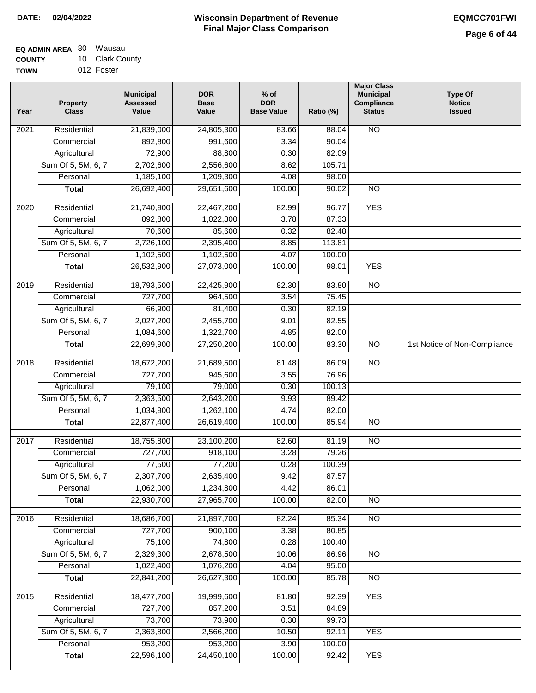#### **EQ ADMIN AREA** 80 Wausau **COUNTY** 10 Clark County

**TOWN** 012 Foster

| <b>NO</b><br>Residential<br>21,839,000<br>24,805,300<br>2021<br>83.66<br>88.04<br>3.34<br>892,800<br>991,600<br>90.04<br>Commercial<br>88,800<br>Agricultural<br>72,900<br>0.30<br>82.09<br>Sum Of 5, 5M, 6, 7<br>2,702,600<br>2,556,600<br>105.71<br>8.62<br>1,185,100<br>1,209,300<br>Personal<br>4.08<br>98.00<br>26,692,400<br>29,651,600<br>100.00<br>90.02<br>$\overline{NO}$<br><b>Total</b><br><b>YES</b><br>Residential<br>21,740,900<br>22,467,200<br>82.99<br>96.77<br>2020<br>892,800<br>1,022,300<br>3.78<br>87.33<br>Commercial<br>Agricultural<br>70,600<br>85,600<br>0.32<br>82.48<br>Sum Of 5, 5M, 6, 7<br>2,726,100<br>2,395,400<br>8.85<br>113.81<br>1,102,500<br>1,102,500<br>Personal<br>4.07<br>100.00<br>26,532,900<br>27,073,000<br>100.00<br><b>YES</b><br><b>Total</b><br>98.01<br>$\overline{NO}$<br>2019<br>Residential<br>18,793,500<br>22,425,900<br>82.30<br>83.80<br>727,700<br>3.54<br>75.45<br>Commercial<br>964,500<br>Agricultural<br>66,900<br>81,400<br>0.30<br>82.19<br>Sum Of 5, 5M, 6, 7<br>2,455,700<br>2,027,200<br>9.01<br>82.55<br>1,322,700<br>Personal<br>1,084,600<br>4.85<br>82.00<br>100.00<br>$\overline{NO}$<br><b>Total</b><br>22,699,900<br>27,250,200<br>83.30<br>1st Notice of Non-Compliance<br>2018<br>Residential<br>18,672,200<br>21,689,500<br>81.48<br>86.09<br>$\overline{10}$<br>727,700<br>945,600<br>76.96<br>Commercial<br>3.55<br>79,100<br>79,000<br>Agricultural<br>0.30<br>100.13<br>Sum Of 5, 5M, 6, 7<br>2,363,500<br>2,643,200<br>9.93<br>89.42<br>Personal<br>1,034,900<br>1,262,100<br>4.74<br>82.00<br>100.00<br><b>NO</b><br>22,877,400<br>26,619,400<br>85.94<br><b>Total</b><br>Residential<br>23,100,200<br>82.60<br>81.19<br>$\overline{NO}$<br>2017<br>18,755,800<br>3.28<br>727,700<br>918,100<br>79.26<br>Commercial<br>77,200<br>0.28<br>77,500<br>100.39<br>Agricultural<br>2,307,700<br>87.57<br>Sum Of 5, 5M, 6, 7<br>2,635,400<br>9.42<br>1,062,000<br>4.42<br>Personal<br>1,234,800<br>86.01<br>22,930,700<br>27,965,700<br>100.00<br>82.00<br>$\overline{NO}$<br><b>Total</b><br>Residential<br>18,686,700<br>21,897,700<br>N <sub>O</sub><br>82.24<br>85.34<br>2016<br>Commercial<br>727,700<br>900,100<br>3.38<br>80.85<br>75,100<br>74,800<br>0.28<br>100.40<br>Agricultural<br>Sum Of 5, 5M, 6, 7<br>2,329,300<br>2,678,500<br>10.06<br>86.96<br>$\overline{NO}$<br>Personal<br>1,022,400<br>1,076,200<br>4.04<br>95.00<br>22,841,200<br>26,627,300<br>100.00<br>85.78<br>$\overline{NO}$<br><b>Total</b><br><b>YES</b><br>Residential<br>18,477,700<br>19,999,600<br>2015<br>81.80<br>92.39<br>727,700<br>857,200<br>3.51<br>84.89<br>Commercial<br>73,700<br>73,900<br>Agricultural<br>0.30<br>99.73<br>Sum Of 5, 5M, 6, 7<br>2,363,800<br>2,566,200<br>10.50<br>92.11<br><b>YES</b><br>953,200<br>953,200<br>Personal<br>3.90<br>100.00<br>22,596,100<br>24,450,100<br>100.00<br><b>YES</b><br><b>Total</b><br>92.42 | Year | <b>Property</b><br><b>Class</b> | <b>Municipal</b><br><b>Assessed</b><br>Value | <b>DOR</b><br><b>Base</b><br>Value | $%$ of<br><b>DOR</b><br><b>Base Value</b> | Ratio (%) | <b>Major Class</b><br><b>Municipal</b><br>Compliance<br><b>Status</b> | <b>Type Of</b><br><b>Notice</b><br><b>Issued</b> |
|-------------------------------------------------------------------------------------------------------------------------------------------------------------------------------------------------------------------------------------------------------------------------------------------------------------------------------------------------------------------------------------------------------------------------------------------------------------------------------------------------------------------------------------------------------------------------------------------------------------------------------------------------------------------------------------------------------------------------------------------------------------------------------------------------------------------------------------------------------------------------------------------------------------------------------------------------------------------------------------------------------------------------------------------------------------------------------------------------------------------------------------------------------------------------------------------------------------------------------------------------------------------------------------------------------------------------------------------------------------------------------------------------------------------------------------------------------------------------------------------------------------------------------------------------------------------------------------------------------------------------------------------------------------------------------------------------------------------------------------------------------------------------------------------------------------------------------------------------------------------------------------------------------------------------------------------------------------------------------------------------------------------------------------------------------------------------------------------------------------------------------------------------------------------------------------------------------------------------------------------------------------------------------------------------------------------------------------------------------------------------------------------------------------------------------------------------------------------------------------------------------------------------------------------------------------------------------------------------------------------------------------------------------------------------------------------------------------------------------------------------------------------------------------------------------------------------------------------------------------------------------------------------------------------------|------|---------------------------------|----------------------------------------------|------------------------------------|-------------------------------------------|-----------|-----------------------------------------------------------------------|--------------------------------------------------|
|                                                                                                                                                                                                                                                                                                                                                                                                                                                                                                                                                                                                                                                                                                                                                                                                                                                                                                                                                                                                                                                                                                                                                                                                                                                                                                                                                                                                                                                                                                                                                                                                                                                                                                                                                                                                                                                                                                                                                                                                                                                                                                                                                                                                                                                                                                                                                                                                                                                                                                                                                                                                                                                                                                                                                                                                                                                                                                                         |      |                                 |                                              |                                    |                                           |           |                                                                       |                                                  |
|                                                                                                                                                                                                                                                                                                                                                                                                                                                                                                                                                                                                                                                                                                                                                                                                                                                                                                                                                                                                                                                                                                                                                                                                                                                                                                                                                                                                                                                                                                                                                                                                                                                                                                                                                                                                                                                                                                                                                                                                                                                                                                                                                                                                                                                                                                                                                                                                                                                                                                                                                                                                                                                                                                                                                                                                                                                                                                                         |      |                                 |                                              |                                    |                                           |           |                                                                       |                                                  |
|                                                                                                                                                                                                                                                                                                                                                                                                                                                                                                                                                                                                                                                                                                                                                                                                                                                                                                                                                                                                                                                                                                                                                                                                                                                                                                                                                                                                                                                                                                                                                                                                                                                                                                                                                                                                                                                                                                                                                                                                                                                                                                                                                                                                                                                                                                                                                                                                                                                                                                                                                                                                                                                                                                                                                                                                                                                                                                                         |      |                                 |                                              |                                    |                                           |           |                                                                       |                                                  |
|                                                                                                                                                                                                                                                                                                                                                                                                                                                                                                                                                                                                                                                                                                                                                                                                                                                                                                                                                                                                                                                                                                                                                                                                                                                                                                                                                                                                                                                                                                                                                                                                                                                                                                                                                                                                                                                                                                                                                                                                                                                                                                                                                                                                                                                                                                                                                                                                                                                                                                                                                                                                                                                                                                                                                                                                                                                                                                                         |      |                                 |                                              |                                    |                                           |           |                                                                       |                                                  |
|                                                                                                                                                                                                                                                                                                                                                                                                                                                                                                                                                                                                                                                                                                                                                                                                                                                                                                                                                                                                                                                                                                                                                                                                                                                                                                                                                                                                                                                                                                                                                                                                                                                                                                                                                                                                                                                                                                                                                                                                                                                                                                                                                                                                                                                                                                                                                                                                                                                                                                                                                                                                                                                                                                                                                                                                                                                                                                                         |      |                                 |                                              |                                    |                                           |           |                                                                       |                                                  |
|                                                                                                                                                                                                                                                                                                                                                                                                                                                                                                                                                                                                                                                                                                                                                                                                                                                                                                                                                                                                                                                                                                                                                                                                                                                                                                                                                                                                                                                                                                                                                                                                                                                                                                                                                                                                                                                                                                                                                                                                                                                                                                                                                                                                                                                                                                                                                                                                                                                                                                                                                                                                                                                                                                                                                                                                                                                                                                                         |      |                                 |                                              |                                    |                                           |           |                                                                       |                                                  |
|                                                                                                                                                                                                                                                                                                                                                                                                                                                                                                                                                                                                                                                                                                                                                                                                                                                                                                                                                                                                                                                                                                                                                                                                                                                                                                                                                                                                                                                                                                                                                                                                                                                                                                                                                                                                                                                                                                                                                                                                                                                                                                                                                                                                                                                                                                                                                                                                                                                                                                                                                                                                                                                                                                                                                                                                                                                                                                                         |      |                                 |                                              |                                    |                                           |           |                                                                       |                                                  |
|                                                                                                                                                                                                                                                                                                                                                                                                                                                                                                                                                                                                                                                                                                                                                                                                                                                                                                                                                                                                                                                                                                                                                                                                                                                                                                                                                                                                                                                                                                                                                                                                                                                                                                                                                                                                                                                                                                                                                                                                                                                                                                                                                                                                                                                                                                                                                                                                                                                                                                                                                                                                                                                                                                                                                                                                                                                                                                                         |      |                                 |                                              |                                    |                                           |           |                                                                       |                                                  |
|                                                                                                                                                                                                                                                                                                                                                                                                                                                                                                                                                                                                                                                                                                                                                                                                                                                                                                                                                                                                                                                                                                                                                                                                                                                                                                                                                                                                                                                                                                                                                                                                                                                                                                                                                                                                                                                                                                                                                                                                                                                                                                                                                                                                                                                                                                                                                                                                                                                                                                                                                                                                                                                                                                                                                                                                                                                                                                                         |      |                                 |                                              |                                    |                                           |           |                                                                       |                                                  |
|                                                                                                                                                                                                                                                                                                                                                                                                                                                                                                                                                                                                                                                                                                                                                                                                                                                                                                                                                                                                                                                                                                                                                                                                                                                                                                                                                                                                                                                                                                                                                                                                                                                                                                                                                                                                                                                                                                                                                                                                                                                                                                                                                                                                                                                                                                                                                                                                                                                                                                                                                                                                                                                                                                                                                                                                                                                                                                                         |      |                                 |                                              |                                    |                                           |           |                                                                       |                                                  |
|                                                                                                                                                                                                                                                                                                                                                                                                                                                                                                                                                                                                                                                                                                                                                                                                                                                                                                                                                                                                                                                                                                                                                                                                                                                                                                                                                                                                                                                                                                                                                                                                                                                                                                                                                                                                                                                                                                                                                                                                                                                                                                                                                                                                                                                                                                                                                                                                                                                                                                                                                                                                                                                                                                                                                                                                                                                                                                                         |      |                                 |                                              |                                    |                                           |           |                                                                       |                                                  |
|                                                                                                                                                                                                                                                                                                                                                                                                                                                                                                                                                                                                                                                                                                                                                                                                                                                                                                                                                                                                                                                                                                                                                                                                                                                                                                                                                                                                                                                                                                                                                                                                                                                                                                                                                                                                                                                                                                                                                                                                                                                                                                                                                                                                                                                                                                                                                                                                                                                                                                                                                                                                                                                                                                                                                                                                                                                                                                                         |      |                                 |                                              |                                    |                                           |           |                                                                       |                                                  |
|                                                                                                                                                                                                                                                                                                                                                                                                                                                                                                                                                                                                                                                                                                                                                                                                                                                                                                                                                                                                                                                                                                                                                                                                                                                                                                                                                                                                                                                                                                                                                                                                                                                                                                                                                                                                                                                                                                                                                                                                                                                                                                                                                                                                                                                                                                                                                                                                                                                                                                                                                                                                                                                                                                                                                                                                                                                                                                                         |      |                                 |                                              |                                    |                                           |           |                                                                       |                                                  |
|                                                                                                                                                                                                                                                                                                                                                                                                                                                                                                                                                                                                                                                                                                                                                                                                                                                                                                                                                                                                                                                                                                                                                                                                                                                                                                                                                                                                                                                                                                                                                                                                                                                                                                                                                                                                                                                                                                                                                                                                                                                                                                                                                                                                                                                                                                                                                                                                                                                                                                                                                                                                                                                                                                                                                                                                                                                                                                                         |      |                                 |                                              |                                    |                                           |           |                                                                       |                                                  |
|                                                                                                                                                                                                                                                                                                                                                                                                                                                                                                                                                                                                                                                                                                                                                                                                                                                                                                                                                                                                                                                                                                                                                                                                                                                                                                                                                                                                                                                                                                                                                                                                                                                                                                                                                                                                                                                                                                                                                                                                                                                                                                                                                                                                                                                                                                                                                                                                                                                                                                                                                                                                                                                                                                                                                                                                                                                                                                                         |      |                                 |                                              |                                    |                                           |           |                                                                       |                                                  |
|                                                                                                                                                                                                                                                                                                                                                                                                                                                                                                                                                                                                                                                                                                                                                                                                                                                                                                                                                                                                                                                                                                                                                                                                                                                                                                                                                                                                                                                                                                                                                                                                                                                                                                                                                                                                                                                                                                                                                                                                                                                                                                                                                                                                                                                                                                                                                                                                                                                                                                                                                                                                                                                                                                                                                                                                                                                                                                                         |      |                                 |                                              |                                    |                                           |           |                                                                       |                                                  |
|                                                                                                                                                                                                                                                                                                                                                                                                                                                                                                                                                                                                                                                                                                                                                                                                                                                                                                                                                                                                                                                                                                                                                                                                                                                                                                                                                                                                                                                                                                                                                                                                                                                                                                                                                                                                                                                                                                                                                                                                                                                                                                                                                                                                                                                                                                                                                                                                                                                                                                                                                                                                                                                                                                                                                                                                                                                                                                                         |      |                                 |                                              |                                    |                                           |           |                                                                       |                                                  |
|                                                                                                                                                                                                                                                                                                                                                                                                                                                                                                                                                                                                                                                                                                                                                                                                                                                                                                                                                                                                                                                                                                                                                                                                                                                                                                                                                                                                                                                                                                                                                                                                                                                                                                                                                                                                                                                                                                                                                                                                                                                                                                                                                                                                                                                                                                                                                                                                                                                                                                                                                                                                                                                                                                                                                                                                                                                                                                                         |      |                                 |                                              |                                    |                                           |           |                                                                       |                                                  |
|                                                                                                                                                                                                                                                                                                                                                                                                                                                                                                                                                                                                                                                                                                                                                                                                                                                                                                                                                                                                                                                                                                                                                                                                                                                                                                                                                                                                                                                                                                                                                                                                                                                                                                                                                                                                                                                                                                                                                                                                                                                                                                                                                                                                                                                                                                                                                                                                                                                                                                                                                                                                                                                                                                                                                                                                                                                                                                                         |      |                                 |                                              |                                    |                                           |           |                                                                       |                                                  |
|                                                                                                                                                                                                                                                                                                                                                                                                                                                                                                                                                                                                                                                                                                                                                                                                                                                                                                                                                                                                                                                                                                                                                                                                                                                                                                                                                                                                                                                                                                                                                                                                                                                                                                                                                                                                                                                                                                                                                                                                                                                                                                                                                                                                                                                                                                                                                                                                                                                                                                                                                                                                                                                                                                                                                                                                                                                                                                                         |      |                                 |                                              |                                    |                                           |           |                                                                       |                                                  |
|                                                                                                                                                                                                                                                                                                                                                                                                                                                                                                                                                                                                                                                                                                                                                                                                                                                                                                                                                                                                                                                                                                                                                                                                                                                                                                                                                                                                                                                                                                                                                                                                                                                                                                                                                                                                                                                                                                                                                                                                                                                                                                                                                                                                                                                                                                                                                                                                                                                                                                                                                                                                                                                                                                                                                                                                                                                                                                                         |      |                                 |                                              |                                    |                                           |           |                                                                       |                                                  |
|                                                                                                                                                                                                                                                                                                                                                                                                                                                                                                                                                                                                                                                                                                                                                                                                                                                                                                                                                                                                                                                                                                                                                                                                                                                                                                                                                                                                                                                                                                                                                                                                                                                                                                                                                                                                                                                                                                                                                                                                                                                                                                                                                                                                                                                                                                                                                                                                                                                                                                                                                                                                                                                                                                                                                                                                                                                                                                                         |      |                                 |                                              |                                    |                                           |           |                                                                       |                                                  |
|                                                                                                                                                                                                                                                                                                                                                                                                                                                                                                                                                                                                                                                                                                                                                                                                                                                                                                                                                                                                                                                                                                                                                                                                                                                                                                                                                                                                                                                                                                                                                                                                                                                                                                                                                                                                                                                                                                                                                                                                                                                                                                                                                                                                                                                                                                                                                                                                                                                                                                                                                                                                                                                                                                                                                                                                                                                                                                                         |      |                                 |                                              |                                    |                                           |           |                                                                       |                                                  |
|                                                                                                                                                                                                                                                                                                                                                                                                                                                                                                                                                                                                                                                                                                                                                                                                                                                                                                                                                                                                                                                                                                                                                                                                                                                                                                                                                                                                                                                                                                                                                                                                                                                                                                                                                                                                                                                                                                                                                                                                                                                                                                                                                                                                                                                                                                                                                                                                                                                                                                                                                                                                                                                                                                                                                                                                                                                                                                                         |      |                                 |                                              |                                    |                                           |           |                                                                       |                                                  |
|                                                                                                                                                                                                                                                                                                                                                                                                                                                                                                                                                                                                                                                                                                                                                                                                                                                                                                                                                                                                                                                                                                                                                                                                                                                                                                                                                                                                                                                                                                                                                                                                                                                                                                                                                                                                                                                                                                                                                                                                                                                                                                                                                                                                                                                                                                                                                                                                                                                                                                                                                                                                                                                                                                                                                                                                                                                                                                                         |      |                                 |                                              |                                    |                                           |           |                                                                       |                                                  |
|                                                                                                                                                                                                                                                                                                                                                                                                                                                                                                                                                                                                                                                                                                                                                                                                                                                                                                                                                                                                                                                                                                                                                                                                                                                                                                                                                                                                                                                                                                                                                                                                                                                                                                                                                                                                                                                                                                                                                                                                                                                                                                                                                                                                                                                                                                                                                                                                                                                                                                                                                                                                                                                                                                                                                                                                                                                                                                                         |      |                                 |                                              |                                    |                                           |           |                                                                       |                                                  |
|                                                                                                                                                                                                                                                                                                                                                                                                                                                                                                                                                                                                                                                                                                                                                                                                                                                                                                                                                                                                                                                                                                                                                                                                                                                                                                                                                                                                                                                                                                                                                                                                                                                                                                                                                                                                                                                                                                                                                                                                                                                                                                                                                                                                                                                                                                                                                                                                                                                                                                                                                                                                                                                                                                                                                                                                                                                                                                                         |      |                                 |                                              |                                    |                                           |           |                                                                       |                                                  |
|                                                                                                                                                                                                                                                                                                                                                                                                                                                                                                                                                                                                                                                                                                                                                                                                                                                                                                                                                                                                                                                                                                                                                                                                                                                                                                                                                                                                                                                                                                                                                                                                                                                                                                                                                                                                                                                                                                                                                                                                                                                                                                                                                                                                                                                                                                                                                                                                                                                                                                                                                                                                                                                                                                                                                                                                                                                                                                                         |      |                                 |                                              |                                    |                                           |           |                                                                       |                                                  |
|                                                                                                                                                                                                                                                                                                                                                                                                                                                                                                                                                                                                                                                                                                                                                                                                                                                                                                                                                                                                                                                                                                                                                                                                                                                                                                                                                                                                                                                                                                                                                                                                                                                                                                                                                                                                                                                                                                                                                                                                                                                                                                                                                                                                                                                                                                                                                                                                                                                                                                                                                                                                                                                                                                                                                                                                                                                                                                                         |      |                                 |                                              |                                    |                                           |           |                                                                       |                                                  |
|                                                                                                                                                                                                                                                                                                                                                                                                                                                                                                                                                                                                                                                                                                                                                                                                                                                                                                                                                                                                                                                                                                                                                                                                                                                                                                                                                                                                                                                                                                                                                                                                                                                                                                                                                                                                                                                                                                                                                                                                                                                                                                                                                                                                                                                                                                                                                                                                                                                                                                                                                                                                                                                                                                                                                                                                                                                                                                                         |      |                                 |                                              |                                    |                                           |           |                                                                       |                                                  |
|                                                                                                                                                                                                                                                                                                                                                                                                                                                                                                                                                                                                                                                                                                                                                                                                                                                                                                                                                                                                                                                                                                                                                                                                                                                                                                                                                                                                                                                                                                                                                                                                                                                                                                                                                                                                                                                                                                                                                                                                                                                                                                                                                                                                                                                                                                                                                                                                                                                                                                                                                                                                                                                                                                                                                                                                                                                                                                                         |      |                                 |                                              |                                    |                                           |           |                                                                       |                                                  |
|                                                                                                                                                                                                                                                                                                                                                                                                                                                                                                                                                                                                                                                                                                                                                                                                                                                                                                                                                                                                                                                                                                                                                                                                                                                                                                                                                                                                                                                                                                                                                                                                                                                                                                                                                                                                                                                                                                                                                                                                                                                                                                                                                                                                                                                                                                                                                                                                                                                                                                                                                                                                                                                                                                                                                                                                                                                                                                                         |      |                                 |                                              |                                    |                                           |           |                                                                       |                                                  |
|                                                                                                                                                                                                                                                                                                                                                                                                                                                                                                                                                                                                                                                                                                                                                                                                                                                                                                                                                                                                                                                                                                                                                                                                                                                                                                                                                                                                                                                                                                                                                                                                                                                                                                                                                                                                                                                                                                                                                                                                                                                                                                                                                                                                                                                                                                                                                                                                                                                                                                                                                                                                                                                                                                                                                                                                                                                                                                                         |      |                                 |                                              |                                    |                                           |           |                                                                       |                                                  |
|                                                                                                                                                                                                                                                                                                                                                                                                                                                                                                                                                                                                                                                                                                                                                                                                                                                                                                                                                                                                                                                                                                                                                                                                                                                                                                                                                                                                                                                                                                                                                                                                                                                                                                                                                                                                                                                                                                                                                                                                                                                                                                                                                                                                                                                                                                                                                                                                                                                                                                                                                                                                                                                                                                                                                                                                                                                                                                                         |      |                                 |                                              |                                    |                                           |           |                                                                       |                                                  |
|                                                                                                                                                                                                                                                                                                                                                                                                                                                                                                                                                                                                                                                                                                                                                                                                                                                                                                                                                                                                                                                                                                                                                                                                                                                                                                                                                                                                                                                                                                                                                                                                                                                                                                                                                                                                                                                                                                                                                                                                                                                                                                                                                                                                                                                                                                                                                                                                                                                                                                                                                                                                                                                                                                                                                                                                                                                                                                                         |      |                                 |                                              |                                    |                                           |           |                                                                       |                                                  |
|                                                                                                                                                                                                                                                                                                                                                                                                                                                                                                                                                                                                                                                                                                                                                                                                                                                                                                                                                                                                                                                                                                                                                                                                                                                                                                                                                                                                                                                                                                                                                                                                                                                                                                                                                                                                                                                                                                                                                                                                                                                                                                                                                                                                                                                                                                                                                                                                                                                                                                                                                                                                                                                                                                                                                                                                                                                                                                                         |      |                                 |                                              |                                    |                                           |           |                                                                       |                                                  |
|                                                                                                                                                                                                                                                                                                                                                                                                                                                                                                                                                                                                                                                                                                                                                                                                                                                                                                                                                                                                                                                                                                                                                                                                                                                                                                                                                                                                                                                                                                                                                                                                                                                                                                                                                                                                                                                                                                                                                                                                                                                                                                                                                                                                                                                                                                                                                                                                                                                                                                                                                                                                                                                                                                                                                                                                                                                                                                                         |      |                                 |                                              |                                    |                                           |           |                                                                       |                                                  |
|                                                                                                                                                                                                                                                                                                                                                                                                                                                                                                                                                                                                                                                                                                                                                                                                                                                                                                                                                                                                                                                                                                                                                                                                                                                                                                                                                                                                                                                                                                                                                                                                                                                                                                                                                                                                                                                                                                                                                                                                                                                                                                                                                                                                                                                                                                                                                                                                                                                                                                                                                                                                                                                                                                                                                                                                                                                                                                                         |      |                                 |                                              |                                    |                                           |           |                                                                       |                                                  |
|                                                                                                                                                                                                                                                                                                                                                                                                                                                                                                                                                                                                                                                                                                                                                                                                                                                                                                                                                                                                                                                                                                                                                                                                                                                                                                                                                                                                                                                                                                                                                                                                                                                                                                                                                                                                                                                                                                                                                                                                                                                                                                                                                                                                                                                                                                                                                                                                                                                                                                                                                                                                                                                                                                                                                                                                                                                                                                                         |      |                                 |                                              |                                    |                                           |           |                                                                       |                                                  |
|                                                                                                                                                                                                                                                                                                                                                                                                                                                                                                                                                                                                                                                                                                                                                                                                                                                                                                                                                                                                                                                                                                                                                                                                                                                                                                                                                                                                                                                                                                                                                                                                                                                                                                                                                                                                                                                                                                                                                                                                                                                                                                                                                                                                                                                                                                                                                                                                                                                                                                                                                                                                                                                                                                                                                                                                                                                                                                                         |      |                                 |                                              |                                    |                                           |           |                                                                       |                                                  |
|                                                                                                                                                                                                                                                                                                                                                                                                                                                                                                                                                                                                                                                                                                                                                                                                                                                                                                                                                                                                                                                                                                                                                                                                                                                                                                                                                                                                                                                                                                                                                                                                                                                                                                                                                                                                                                                                                                                                                                                                                                                                                                                                                                                                                                                                                                                                                                                                                                                                                                                                                                                                                                                                                                                                                                                                                                                                                                                         |      |                                 |                                              |                                    |                                           |           |                                                                       |                                                  |
|                                                                                                                                                                                                                                                                                                                                                                                                                                                                                                                                                                                                                                                                                                                                                                                                                                                                                                                                                                                                                                                                                                                                                                                                                                                                                                                                                                                                                                                                                                                                                                                                                                                                                                                                                                                                                                                                                                                                                                                                                                                                                                                                                                                                                                                                                                                                                                                                                                                                                                                                                                                                                                                                                                                                                                                                                                                                                                                         |      |                                 |                                              |                                    |                                           |           |                                                                       |                                                  |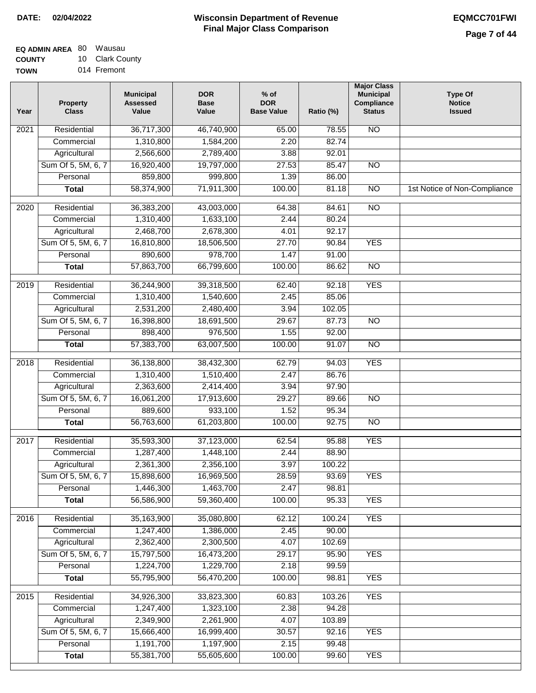| EQ ADMIN AREA 80 | Wausau          |
|------------------|-----------------|
| <b>COUNTY</b>    | 10 Clark County |

**TOWN** 014 Fremont

| Year              | <b>Property</b><br><b>Class</b> | <b>Municipal</b><br><b>Assessed</b><br>Value | <b>DOR</b><br><b>Base</b><br>Value | % of<br><b>DOR</b><br><b>Base Value</b> | Ratio (%) | <b>Major Class</b><br><b>Municipal</b><br>Compliance<br><b>Status</b> | <b>Type Of</b><br><b>Notice</b><br><b>Issued</b> |
|-------------------|---------------------------------|----------------------------------------------|------------------------------------|-----------------------------------------|-----------|-----------------------------------------------------------------------|--------------------------------------------------|
| $\overline{202}1$ | Residential                     | 36,717,300                                   | 46,740,900                         | 65.00                                   | 78.55     | <b>NO</b>                                                             |                                                  |
|                   | Commercial                      | 1,310,800                                    | 1,584,200                          | 2.20                                    | 82.74     |                                                                       |                                                  |
|                   | Agricultural                    | 2,566,600                                    | 2,789,400                          | 3.88                                    | 92.01     |                                                                       |                                                  |
|                   | Sum Of 5, 5M, 6, 7              | 16,920,400                                   | 19,797,000                         | 27.53                                   | 85.47     | $\overline{NO}$                                                       |                                                  |
|                   | Personal                        | 859,800                                      | 999,800                            | 1.39                                    | 86.00     |                                                                       |                                                  |
|                   | <b>Total</b>                    | 58,374,900                                   | 71,911,300                         | 100.00                                  | 81.18     | $\overline{NO}$                                                       | 1st Notice of Non-Compliance                     |
| $\overline{2020}$ | Residential                     | 36,383,200                                   | 43,003,000                         | 64.38                                   | 84.61     | $\overline{3}$                                                        |                                                  |
|                   | Commercial                      | 1,310,400                                    | 1,633,100                          | 2.44                                    | 80.24     |                                                                       |                                                  |
|                   | Agricultural                    | 2,468,700                                    | 2,678,300                          | 4.01                                    | 92.17     |                                                                       |                                                  |
|                   | Sum Of 5, 5M, 6, 7              | 16,810,800                                   | 18,506,500                         | 27.70                                   | 90.84     | <b>YES</b>                                                            |                                                  |
|                   | Personal                        | 890,600                                      | 978,700                            | 1.47                                    | 91.00     |                                                                       |                                                  |
|                   | <b>Total</b>                    | 57,863,700                                   | 66,799,600                         | 100.00                                  | 86.62     | $\overline{NO}$                                                       |                                                  |
| $\frac{1}{2019}$  | Residential                     | 36,244,900                                   | 39,318,500                         | 62.40                                   | 92.18     | <b>YES</b>                                                            |                                                  |
|                   | Commercial                      | 1,310,400                                    | 1,540,600                          | 2.45                                    | 85.06     |                                                                       |                                                  |
|                   | Agricultural                    | 2,531,200                                    | 2,480,400                          | 3.94                                    | 102.05    |                                                                       |                                                  |
|                   | Sum Of 5, 5M, 6, 7              | 16,398,800                                   | 18,691,500                         | 29.67                                   | 87.73     | $\overline{NO}$                                                       |                                                  |
|                   | Personal                        | 898,400                                      | 976,500                            | 1.55                                    | 92.00     |                                                                       |                                                  |
|                   | <b>Total</b>                    | 57,383,700                                   | 63,007,500                         | 100.00                                  | 91.07     | $\overline{NO}$                                                       |                                                  |
| 2018              | Residential                     | 36,138,800                                   | 38,432,300                         | 62.79                                   | 94.03     | <b>YES</b>                                                            |                                                  |
|                   | Commercial                      | 1,310,400                                    | 1,510,400                          | 2.47                                    | 86.76     |                                                                       |                                                  |
|                   | Agricultural                    | 2,363,600                                    | 2,414,400                          | 3.94                                    | 97.90     |                                                                       |                                                  |
|                   | Sum Of 5, 5M, 6, 7              | 16,061,200                                   | 17,913,600                         | 29.27                                   | 89.66     | $\overline{3}$                                                        |                                                  |
|                   | Personal                        | 889,600                                      | 933,100                            | 1.52                                    | 95.34     |                                                                       |                                                  |
|                   | <b>Total</b>                    | 56,763,600                                   | 61,203,800                         | 100.00                                  | 92.75     | <b>NO</b>                                                             |                                                  |
| $\overline{2017}$ | Residential                     | 35,593,300                                   | 37,123,000                         | 62.54                                   | 95.88     | <b>YES</b>                                                            |                                                  |
|                   | Commercial                      | 1,287,400                                    | 1,448,100                          | 2.44                                    | 88.90     |                                                                       |                                                  |
|                   | Agricultural                    | 2,361,300                                    | 2,356,100                          | 3.97                                    | 100.22    |                                                                       |                                                  |
|                   | Sum Of 5, 5M, 6, 7              | 15,898,600                                   | 16,969,500                         | 28.59                                   | 93.69     | <b>YES</b>                                                            |                                                  |
|                   | Personal                        | 1,446,300                                    | 1,463,700                          | 2.47                                    | 98.81     |                                                                       |                                                  |
|                   | <b>Total</b>                    | 56,586,900                                   | 59,360,400                         | 100.00                                  | 95.33     | <b>YES</b>                                                            |                                                  |
| 2016              | Residential                     | 35,163,900                                   | 35,080,800                         | 62.12                                   | 100.24    | <b>YES</b>                                                            |                                                  |
|                   | Commercial                      | 1,247,400                                    | 1,386,000                          | 2.45                                    | 90.00     |                                                                       |                                                  |
|                   | Agricultural                    | 2,362,400                                    | 2,300,500                          | 4.07                                    | 102.69    |                                                                       |                                                  |
|                   | Sum Of 5, 5M, 6, 7              | 15,797,500                                   | 16,473,200                         | 29.17                                   | 95.90     | <b>YES</b>                                                            |                                                  |
|                   | Personal                        | 1,224,700                                    | 1,229,700                          | 2.18                                    | 99.59     |                                                                       |                                                  |
|                   | <b>Total</b>                    | 55,795,900                                   | 56,470,200                         | 100.00                                  | 98.81     | <b>YES</b>                                                            |                                                  |
| 2015              | Residential                     | 34,926,300                                   | 33,823,300                         | 60.83                                   | 103.26    | <b>YES</b>                                                            |                                                  |
|                   | Commercial                      | 1,247,400                                    | 1,323,100                          | 2.38                                    | 94.28     |                                                                       |                                                  |
|                   | Agricultural                    | 2,349,900                                    | 2,261,900                          | 4.07                                    | 103.89    |                                                                       |                                                  |
|                   | Sum Of 5, 5M, 6, 7              | 15,666,400                                   | 16,999,400                         | 30.57                                   | 92.16     | <b>YES</b>                                                            |                                                  |
|                   | Personal                        | 1,191,700                                    | 1,197,900                          | 2.15                                    | 99.48     |                                                                       |                                                  |
|                   | <b>Total</b>                    | 55,381,700                                   | 55,605,600                         | 100.00                                  | 99.60     | <b>YES</b>                                                            |                                                  |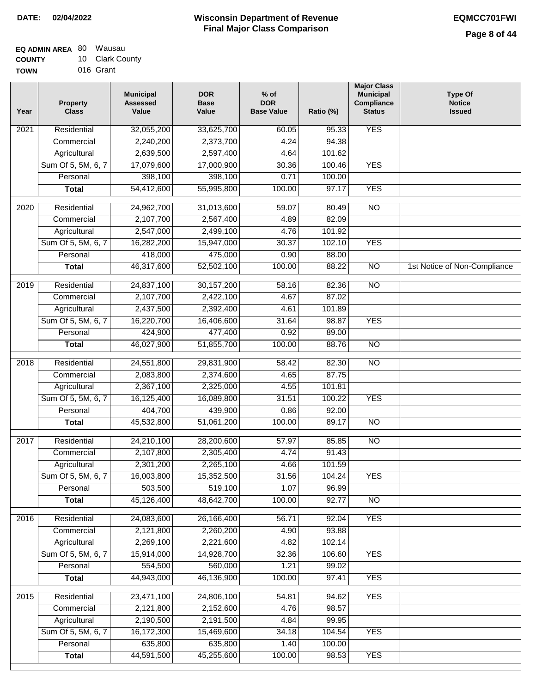| EQ ADMIN AREA 80 Wausau |                 |
|-------------------------|-----------------|
| <b>COUNTY</b>           | 10 Clark County |

**TOWN** 016 Grant

| Year              | <b>Property</b><br><b>Class</b> | <b>Municipal</b><br><b>Assessed</b><br>Value | <b>DOR</b><br><b>Base</b><br>Value | $%$ of<br><b>DOR</b><br><b>Base Value</b> | Ratio (%) | <b>Major Class</b><br><b>Municipal</b><br>Compliance<br><b>Status</b> | <b>Type Of</b><br><b>Notice</b><br><b>Issued</b> |
|-------------------|---------------------------------|----------------------------------------------|------------------------------------|-------------------------------------------|-----------|-----------------------------------------------------------------------|--------------------------------------------------|
| $\overline{202}1$ | Residential                     | 32,055,200                                   | 33,625,700                         | 60.05                                     | 95.33     | <b>YES</b>                                                            |                                                  |
|                   | Commercial                      | 2,240,200                                    | 2,373,700                          | 4.24                                      | 94.38     |                                                                       |                                                  |
|                   | Agricultural                    | 2,639,500                                    | 2,597,400                          | 4.64                                      | 101.62    |                                                                       |                                                  |
|                   | Sum Of 5, 5M, 6, 7              | 17,079,600                                   | 17,000,900                         | 30.36                                     | 100.46    | <b>YES</b>                                                            |                                                  |
|                   | Personal                        | 398,100                                      | 398,100                            | 0.71                                      | 100.00    |                                                                       |                                                  |
|                   | <b>Total</b>                    | 54,412,600                                   | 55,995,800                         | 100.00                                    | 97.17     | <b>YES</b>                                                            |                                                  |
| 2020              | Residential                     | 24,962,700                                   | 31,013,600                         | 59.07                                     | 80.49     | $\overline{NO}$                                                       |                                                  |
|                   | Commercial                      | 2,107,700                                    | 2,567,400                          | 4.89                                      | 82.09     |                                                                       |                                                  |
|                   | Agricultural                    | 2,547,000                                    | 2,499,100                          | 4.76                                      | 101.92    |                                                                       |                                                  |
|                   | Sum Of 5, 5M, 6, 7              | 16,282,200                                   | 15,947,000                         | 30.37                                     | 102.10    | <b>YES</b>                                                            |                                                  |
|                   | Personal                        | 418,000                                      | 475,000                            | 0.90                                      | 88.00     |                                                                       |                                                  |
|                   | <b>Total</b>                    | 46,317,600                                   | 52,502,100                         | 100.00                                    | 88.22     | $\overline{NO}$                                                       | 1st Notice of Non-Compliance                     |
|                   |                                 |                                              |                                    |                                           |           |                                                                       |                                                  |
| 2019              | Residential                     | 24,837,100                                   | 30, 157, 200                       | 58.16                                     | 82.36     | <b>NO</b>                                                             |                                                  |
|                   | Commercial                      | 2,107,700                                    | 2,422,100                          | 4.67                                      | 87.02     |                                                                       |                                                  |
|                   | Agricultural                    | 2,437,500                                    | 2,392,400                          | 4.61                                      | 101.89    |                                                                       |                                                  |
|                   | Sum Of 5, 5M, 6, 7              | 16,220,700                                   | 16,406,600                         | 31.64                                     | 98.87     | <b>YES</b>                                                            |                                                  |
|                   | Personal                        | 424,900                                      | 477,400                            | 0.92                                      | 89.00     |                                                                       |                                                  |
|                   | <b>Total</b>                    | 46,027,900                                   | 51,855,700                         | 100.00                                    | 88.76     | $\overline{NO}$                                                       |                                                  |
| 2018              | Residential                     | 24,551,800                                   | 29,831,900                         | 58.42                                     | 82.30     | $\overline{NO}$                                                       |                                                  |
|                   | Commercial                      | 2,083,800                                    | 2,374,600                          | 4.65                                      | 87.75     |                                                                       |                                                  |
|                   | Agricultural                    | 2,367,100                                    | 2,325,000                          | 4.55                                      | 101.81    |                                                                       |                                                  |
|                   | Sum Of 5, 5M, 6, 7              | 16,125,400                                   | 16,089,800                         | 31.51                                     | 100.22    | <b>YES</b>                                                            |                                                  |
|                   | Personal                        | 404,700                                      | 439,900                            | 0.86                                      | 92.00     |                                                                       |                                                  |
|                   | <b>Total</b>                    | 45,532,800                                   | 51,061,200                         | 100.00                                    | 89.17     | <b>NO</b>                                                             |                                                  |
| $\overline{2017}$ | Residential                     | 24,210,100                                   | 28,200,600                         | 57.97                                     | 85.85     | $\overline{NO}$                                                       |                                                  |
|                   | Commercial                      | 2,107,800                                    | 2,305,400                          | 4.74                                      | 91.43     |                                                                       |                                                  |
|                   | Agricultural                    | 2,301,200                                    | 2,265,100                          | 4.66                                      | 101.59    |                                                                       |                                                  |
|                   | Sum Of 5, 5M, 6, 7              | 16,003,800                                   | 15,352,500                         | 31.56                                     | 104.24    | <b>YES</b>                                                            |                                                  |
|                   | Personal                        | 503,500                                      | 519,100                            | 1.07                                      | 96.99     |                                                                       |                                                  |
|                   | <b>Total</b>                    | 45,126,400                                   | 48,642,700                         | 100.00                                    | 92.77     | <b>NO</b>                                                             |                                                  |
| 2016              | Residential                     | 24,083,600                                   | 26,166,400                         | 56.71                                     | 92.04     | <b>YES</b>                                                            |                                                  |
|                   | Commercial                      | 2,121,800                                    | 2,260,200                          | 4.90                                      | 93.88     |                                                                       |                                                  |
|                   | Agricultural                    | 2,269,100                                    | 2,221,600                          | 4.82                                      | 102.14    |                                                                       |                                                  |
|                   | Sum Of 5, 5M, 6, 7              | 15,914,000                                   | 14,928,700                         | 32.36                                     | 106.60    | <b>YES</b>                                                            |                                                  |
|                   | Personal                        | 554,500                                      | 560,000                            | 1.21                                      | 99.02     |                                                                       |                                                  |
|                   | <b>Total</b>                    | 44,943,000                                   | 46,136,900                         | 100.00                                    | 97.41     | <b>YES</b>                                                            |                                                  |
| 2015              | Residential                     | 23,471,100                                   | 24,806,100                         | 54.81                                     | 94.62     | <b>YES</b>                                                            |                                                  |
|                   | Commercial                      | 2,121,800                                    | 2,152,600                          | 4.76                                      | 98.57     |                                                                       |                                                  |
|                   | Agricultural                    | 2,190,500                                    | 2,191,500                          | 4.84                                      | 99.95     |                                                                       |                                                  |
|                   | Sum Of 5, 5M, 6, 7              | 16,172,300                                   | 15,469,600                         | 34.18                                     | 104.54    | <b>YES</b>                                                            |                                                  |
|                   | Personal                        | 635,800                                      | 635,800                            | 1.40                                      | 100.00    |                                                                       |                                                  |
|                   | <b>Total</b>                    | 44,591,500                                   | 45,255,600                         | 100.00                                    | 98.53     | <b>YES</b>                                                            |                                                  |
|                   |                                 |                                              |                                    |                                           |           |                                                                       |                                                  |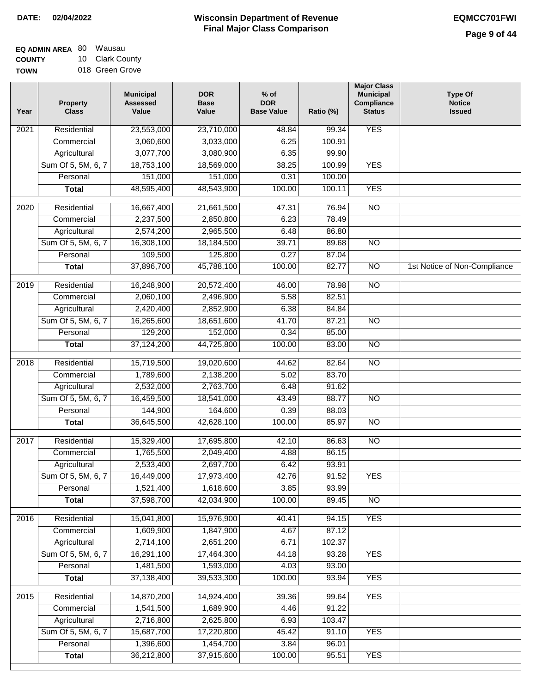| EQ ADMIN AREA 80 | Wausau          |
|------------------|-----------------|
| <b>COUNTY</b>    | 10 Clark County |
| <b>TOWN</b>      | 018 Green Grove |

| Year              | <b>Property</b><br><b>Class</b>    | <b>Municipal</b><br><b>Assessed</b><br>Value | <b>DOR</b><br><b>Base</b><br>Value | $%$ of<br><b>DOR</b><br><b>Base Value</b> | Ratio (%) | <b>Major Class</b><br><b>Municipal</b><br>Compliance<br><b>Status</b> | <b>Type Of</b><br><b>Notice</b><br><b>Issued</b> |
|-------------------|------------------------------------|----------------------------------------------|------------------------------------|-------------------------------------------|-----------|-----------------------------------------------------------------------|--------------------------------------------------|
| 2021              | Residential                        | 23,553,000                                   | 23,710,000                         | 48.84                                     | 99.34     | <b>YES</b>                                                            |                                                  |
|                   | Commercial                         | 3,060,600                                    | 3,033,000                          | 6.25                                      | 100.91    |                                                                       |                                                  |
|                   | Agricultural                       | 3,077,700                                    | 3,080,900                          | 6.35                                      | 99.90     |                                                                       |                                                  |
|                   | Sum Of 5, 5M, 6, 7                 | 18,753,100                                   | 18,569,000                         | 38.25                                     | 100.99    | <b>YES</b>                                                            |                                                  |
|                   | Personal                           | 151,000                                      | 151,000                            | 0.31                                      | 100.00    |                                                                       |                                                  |
|                   | <b>Total</b>                       | 48,595,400                                   | 48,543,900                         | 100.00                                    | 100.11    | <b>YES</b>                                                            |                                                  |
|                   |                                    |                                              |                                    |                                           |           |                                                                       |                                                  |
| 2020              | Residential                        | 16,667,400                                   | 21,661,500                         | 47.31                                     | 76.94     | $\overline{NO}$                                                       |                                                  |
|                   | Commercial                         | 2,237,500                                    | 2,850,800                          | 6.23                                      | 78.49     |                                                                       |                                                  |
|                   | Agricultural                       | 2,574,200                                    | 2,965,500                          | 6.48                                      | 86.80     |                                                                       |                                                  |
|                   | Sum Of 5, 5M, 6, 7                 | 16,308,100                                   | 18,184,500                         | 39.71                                     | 89.68     | $\overline{NO}$                                                       |                                                  |
|                   | Personal                           | 109,500                                      | 125,800                            | 0.27                                      | 87.04     |                                                                       |                                                  |
|                   | <b>Total</b>                       | 37,896,700                                   | 45,788,100                         | 100.00                                    | 82.77     | $\overline{NO}$                                                       | 1st Notice of Non-Compliance                     |
| $\frac{1}{2019}$  | Residential                        | 16,248,900                                   | 20,572,400                         | 46.00                                     | 78.98     | $\overline{NO}$                                                       |                                                  |
|                   | Commercial                         | 2,060,100                                    | 2,496,900                          | 5.58                                      | 82.51     |                                                                       |                                                  |
|                   | Agricultural                       | 2,420,400                                    | 2,852,900                          | 6.38                                      | 84.84     |                                                                       |                                                  |
|                   | Sum Of 5, 5M, 6, 7                 | 16,265,600                                   | 18,651,600                         | 41.70                                     | 87.21     | $\overline{NO}$                                                       |                                                  |
|                   | Personal                           | 129,200                                      | 152,000                            | 0.34                                      | 85.00     |                                                                       |                                                  |
|                   | <b>Total</b>                       | 37,124,200                                   | 44,725,800                         | 100.00                                    | 83.00     | $\overline{NO}$                                                       |                                                  |
| 2018              | Residential                        | 15,719,500                                   | 19,020,600                         | 44.62                                     | 82.64     | $\overline{NO}$                                                       |                                                  |
|                   |                                    | 1,789,600                                    | 2,138,200                          | 5.02                                      | 83.70     |                                                                       |                                                  |
|                   | Commercial                         | 2,532,000                                    | 2,763,700                          | 6.48                                      | 91.62     |                                                                       |                                                  |
|                   | Agricultural<br>Sum Of 5, 5M, 6, 7 | 16,459,500                                   | 18,541,000                         | 43.49                                     | 88.77     | $\overline{NO}$                                                       |                                                  |
|                   | Personal                           | 144,900                                      | 164,600                            | 0.39                                      | 88.03     |                                                                       |                                                  |
|                   | <b>Total</b>                       | 36,645,500                                   | 42,628,100                         | 100.00                                    | 85.97     | <b>NO</b>                                                             |                                                  |
|                   |                                    |                                              |                                    |                                           |           |                                                                       |                                                  |
| 2017              | Residential                        | 15,329,400                                   | 17,695,800                         | 42.10                                     | 86.63     | $\overline{NO}$                                                       |                                                  |
|                   | Commercial                         | 1,765,500                                    | 2,049,400                          | 4.88                                      | 86.15     |                                                                       |                                                  |
|                   | Agricultural                       | 2,533,400                                    | 2,697,700                          | 6.42                                      | 93.91     |                                                                       |                                                  |
|                   | Sum Of 5, 5M, 6, 7                 | 16,449,000                                   | 17,973,400                         | 42.76                                     | 91.52     | YES                                                                   |                                                  |
|                   | Personal                           | 1,521,400                                    | 1,618,600                          | 3.85                                      | 93.99     |                                                                       |                                                  |
|                   | <b>Total</b>                       | 37,598,700                                   | 42,034,900                         | 100.00                                    | 89.45     | <b>NO</b>                                                             |                                                  |
| 2016              | Residential                        | 15,041,800                                   | 15,976,900                         | 40.41                                     | 94.15     | <b>YES</b>                                                            |                                                  |
|                   | Commercial                         | 1,609,900                                    | 1,847,900                          | 4.67                                      | 87.12     |                                                                       |                                                  |
|                   | Agricultural                       | 2,714,100                                    | 2,651,200                          | 6.71                                      | 102.37    |                                                                       |                                                  |
|                   | Sum Of 5, 5M, 6, 7                 | 16,291,100                                   | 17,464,300                         | 44.18                                     | 93.28     | <b>YES</b>                                                            |                                                  |
|                   | Personal                           | 1,481,500                                    | 1,593,000                          | 4.03                                      | 93.00     |                                                                       |                                                  |
|                   | <b>Total</b>                       | 37,138,400                                   | 39,533,300                         | 100.00                                    | 93.94     | <b>YES</b>                                                            |                                                  |
| $\overline{2015}$ | Residential                        | 14,870,200                                   | 14,924,400                         | 39.36                                     | 99.64     | <b>YES</b>                                                            |                                                  |
|                   | Commercial                         | 1,541,500                                    | 1,689,900                          | 4.46                                      | 91.22     |                                                                       |                                                  |
|                   | Agricultural                       | 2,716,800                                    | 2,625,800                          | 6.93                                      | 103.47    |                                                                       |                                                  |
|                   | Sum Of 5, 5M, 6, 7                 | 15,687,700                                   | 17,220,800                         | 45.42                                     | 91.10     | <b>YES</b>                                                            |                                                  |
|                   | Personal                           | 1,396,600                                    | 1,454,700                          | 3.84                                      | 96.01     |                                                                       |                                                  |
|                   | <b>Total</b>                       | 36,212,800                                   | 37,915,600                         | 100.00                                    | 95.51     | <b>YES</b>                                                            |                                                  |
|                   |                                    |                                              |                                    |                                           |           |                                                                       |                                                  |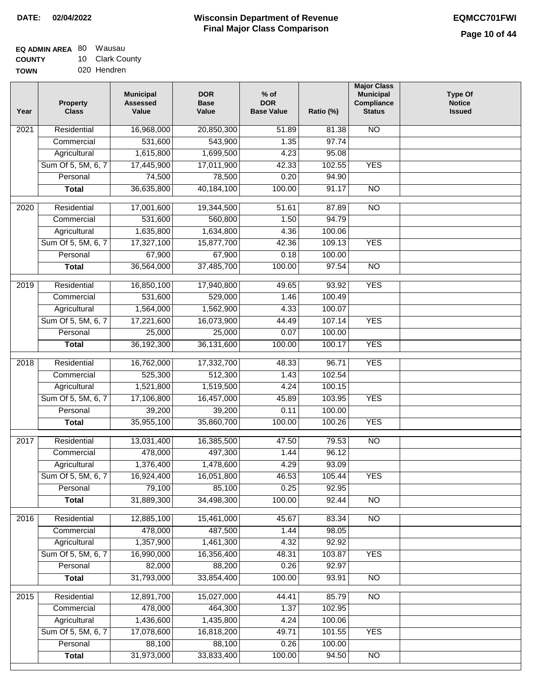| EQ ADMIN AREA 80 | Wausau          |
|------------------|-----------------|
| <b>COUNTY</b>    | 10 Clark County |
| <b>TOWN</b>      | 020 Hendren     |

020 Hendren

| Residential<br><b>NO</b><br>$\overline{202}1$<br>16,968,000<br>20,850,300<br>51.89<br>81.38<br>531,600<br>543,900<br>1.35<br>97.74<br>Commercial<br>1,615,800<br>Agricultural<br>1,699,500<br>4.23<br>95.08<br>Sum Of 5, 5M, 6, 7<br>17,445,900<br>17,011,900<br>42.33<br>102.55<br><b>YES</b><br>78,500<br>Personal<br>74,500<br>0.20<br>94.90<br>36,635,800<br>40,184,100<br>100.00<br>$\overline{NO}$<br><b>Total</b><br>91.17<br>$\overline{NO}$<br>$\overline{2020}$<br>Residential<br>17,001,600<br>19,344,500<br>51.61<br>87.89<br>531,600<br>560,800<br>1.50<br>94.79<br>Commercial<br>1,635,800<br>1,634,800<br>4.36<br>100.06<br>Agricultural<br>Sum Of 5, 5M, 6, 7<br>17,327,100<br>15,877,700<br>42.36<br>109.13<br><b>YES</b><br>Personal<br>67,900<br>67,900<br>0.18<br>100.00<br>36,564,000<br>37,485,700<br>100.00<br>$\overline{NO}$<br><b>Total</b><br>97.54 |  |
|--------------------------------------------------------------------------------------------------------------------------------------------------------------------------------------------------------------------------------------------------------------------------------------------------------------------------------------------------------------------------------------------------------------------------------------------------------------------------------------------------------------------------------------------------------------------------------------------------------------------------------------------------------------------------------------------------------------------------------------------------------------------------------------------------------------------------------------------------------------------------------|--|
|                                                                                                                                                                                                                                                                                                                                                                                                                                                                                                                                                                                                                                                                                                                                                                                                                                                                                |  |
|                                                                                                                                                                                                                                                                                                                                                                                                                                                                                                                                                                                                                                                                                                                                                                                                                                                                                |  |
|                                                                                                                                                                                                                                                                                                                                                                                                                                                                                                                                                                                                                                                                                                                                                                                                                                                                                |  |
|                                                                                                                                                                                                                                                                                                                                                                                                                                                                                                                                                                                                                                                                                                                                                                                                                                                                                |  |
|                                                                                                                                                                                                                                                                                                                                                                                                                                                                                                                                                                                                                                                                                                                                                                                                                                                                                |  |
|                                                                                                                                                                                                                                                                                                                                                                                                                                                                                                                                                                                                                                                                                                                                                                                                                                                                                |  |
|                                                                                                                                                                                                                                                                                                                                                                                                                                                                                                                                                                                                                                                                                                                                                                                                                                                                                |  |
|                                                                                                                                                                                                                                                                                                                                                                                                                                                                                                                                                                                                                                                                                                                                                                                                                                                                                |  |
|                                                                                                                                                                                                                                                                                                                                                                                                                                                                                                                                                                                                                                                                                                                                                                                                                                                                                |  |
|                                                                                                                                                                                                                                                                                                                                                                                                                                                                                                                                                                                                                                                                                                                                                                                                                                                                                |  |
|                                                                                                                                                                                                                                                                                                                                                                                                                                                                                                                                                                                                                                                                                                                                                                                                                                                                                |  |
|                                                                                                                                                                                                                                                                                                                                                                                                                                                                                                                                                                                                                                                                                                                                                                                                                                                                                |  |
|                                                                                                                                                                                                                                                                                                                                                                                                                                                                                                                                                                                                                                                                                                                                                                                                                                                                                |  |
| <b>YES</b><br>2019<br>Residential<br>16,850,100<br>17,940,800<br>49.65<br>93.92                                                                                                                                                                                                                                                                                                                                                                                                                                                                                                                                                                                                                                                                                                                                                                                                |  |
| 529,000<br>100.49<br>Commercial<br>531,600<br>1.46                                                                                                                                                                                                                                                                                                                                                                                                                                                                                                                                                                                                                                                                                                                                                                                                                             |  |
| 1,564,000<br>1,562,900<br>4.33<br>100.07<br>Agricultural                                                                                                                                                                                                                                                                                                                                                                                                                                                                                                                                                                                                                                                                                                                                                                                                                       |  |
| <b>YES</b><br>Sum Of 5, 5M, 6, 7<br>16,073,900<br>44.49<br>107.14<br>17,221,600                                                                                                                                                                                                                                                                                                                                                                                                                                                                                                                                                                                                                                                                                                                                                                                                |  |
| Personal<br>25,000<br>25,000<br>0.07<br>100.00                                                                                                                                                                                                                                                                                                                                                                                                                                                                                                                                                                                                                                                                                                                                                                                                                                 |  |
| 36,192,300<br>36, 131, 600<br>100.00<br>100.17<br><b>YES</b><br><b>Total</b>                                                                                                                                                                                                                                                                                                                                                                                                                                                                                                                                                                                                                                                                                                                                                                                                   |  |
| <b>YES</b><br>Residential<br>16,762,000<br>17,332,700<br>96.71<br>2018<br>48.33                                                                                                                                                                                                                                                                                                                                                                                                                                                                                                                                                                                                                                                                                                                                                                                                |  |
| 525,300<br>512,300<br>102.54<br>Commercial<br>1.43                                                                                                                                                                                                                                                                                                                                                                                                                                                                                                                                                                                                                                                                                                                                                                                                                             |  |
| 1,521,800<br>1,519,500<br>100.15<br>Agricultural<br>4.24                                                                                                                                                                                                                                                                                                                                                                                                                                                                                                                                                                                                                                                                                                                                                                                                                       |  |
| Sum Of 5, 5M, 6, 7<br>17,106,800<br>16,457,000<br>45.89<br>103.95<br><b>YES</b>                                                                                                                                                                                                                                                                                                                                                                                                                                                                                                                                                                                                                                                                                                                                                                                                |  |
| Personal<br>39,200<br>39,200<br>0.11<br>100.00                                                                                                                                                                                                                                                                                                                                                                                                                                                                                                                                                                                                                                                                                                                                                                                                                                 |  |
| 35,955,100<br>35,860,700<br>100.00<br>100.26<br><b>YES</b><br><b>Total</b>                                                                                                                                                                                                                                                                                                                                                                                                                                                                                                                                                                                                                                                                                                                                                                                                     |  |
| $\overline{2017}$<br>Residential<br>13,031,400<br>16,385,500<br>$\overline{NO}$<br>47.50<br>79.53                                                                                                                                                                                                                                                                                                                                                                                                                                                                                                                                                                                                                                                                                                                                                                              |  |
| Commercial<br>478,000<br>497,300<br>1.44<br>96.12                                                                                                                                                                                                                                                                                                                                                                                                                                                                                                                                                                                                                                                                                                                                                                                                                              |  |
| 1,376,400<br>1,478,600<br>4.29<br>93.09<br>Agricultural                                                                                                                                                                                                                                                                                                                                                                                                                                                                                                                                                                                                                                                                                                                                                                                                                        |  |
| Sum Of 5, 5M, 6, 7<br>16,924,400<br>16,051,800<br>46.53<br>105.44<br><b>YES</b>                                                                                                                                                                                                                                                                                                                                                                                                                                                                                                                                                                                                                                                                                                                                                                                                |  |
| 85,100<br>0.25<br>Personal<br>79,100<br>92.95                                                                                                                                                                                                                                                                                                                                                                                                                                                                                                                                                                                                                                                                                                                                                                                                                                  |  |
| 31,889,300<br>34,498,300<br>100.00<br>92.44<br><b>Total</b><br><b>NO</b>                                                                                                                                                                                                                                                                                                                                                                                                                                                                                                                                                                                                                                                                                                                                                                                                       |  |
|                                                                                                                                                                                                                                                                                                                                                                                                                                                                                                                                                                                                                                                                                                                                                                                                                                                                                |  |
| Residential<br>12,885,100<br>15,461,000<br>$\overline{NO}$<br>2016<br>45.67<br>83.34                                                                                                                                                                                                                                                                                                                                                                                                                                                                                                                                                                                                                                                                                                                                                                                           |  |
| 478,000<br>487,500<br>98.05<br>Commercial<br>1.44                                                                                                                                                                                                                                                                                                                                                                                                                                                                                                                                                                                                                                                                                                                                                                                                                              |  |
| 1,357,900<br>Agricultural<br>1,461,300<br>4.32<br>92.92                                                                                                                                                                                                                                                                                                                                                                                                                                                                                                                                                                                                                                                                                                                                                                                                                        |  |
| Sum Of 5, 5M, 6, 7<br><b>YES</b><br>16,990,000<br>16,356,400<br>48.31<br>103.87                                                                                                                                                                                                                                                                                                                                                                                                                                                                                                                                                                                                                                                                                                                                                                                                |  |
| 82,000<br>88,200<br>92.97<br>Personal<br>0.26                                                                                                                                                                                                                                                                                                                                                                                                                                                                                                                                                                                                                                                                                                                                                                                                                                  |  |
| 31,793,000<br>33,854,400<br>100.00<br>93.91<br>$\overline{NO}$<br><b>Total</b>                                                                                                                                                                                                                                                                                                                                                                                                                                                                                                                                                                                                                                                                                                                                                                                                 |  |
| Residential<br>12,891,700<br>15,027,000<br>44.41<br>85.79<br>$\overline{NO}$<br>2015                                                                                                                                                                                                                                                                                                                                                                                                                                                                                                                                                                                                                                                                                                                                                                                           |  |
| 478,000<br>464,300<br>1.37<br>102.95<br>Commercial                                                                                                                                                                                                                                                                                                                                                                                                                                                                                                                                                                                                                                                                                                                                                                                                                             |  |
| 1,436,600<br>1,435,800<br>4.24<br>100.06<br>Agricultural                                                                                                                                                                                                                                                                                                                                                                                                                                                                                                                                                                                                                                                                                                                                                                                                                       |  |
| Sum Of 5, 5M, 6, 7<br>17,078,600<br>16,818,200<br>49.71<br>101.55<br><b>YES</b>                                                                                                                                                                                                                                                                                                                                                                                                                                                                                                                                                                                                                                                                                                                                                                                                |  |
| 88,100<br>88,100<br>Personal<br>0.26<br>100.00                                                                                                                                                                                                                                                                                                                                                                                                                                                                                                                                                                                                                                                                                                                                                                                                                                 |  |
| 31,973,000<br>33,833,400<br>100.00<br>$\overline{NO}$<br><b>Total</b><br>94.50                                                                                                                                                                                                                                                                                                                                                                                                                                                                                                                                                                                                                                                                                                                                                                                                 |  |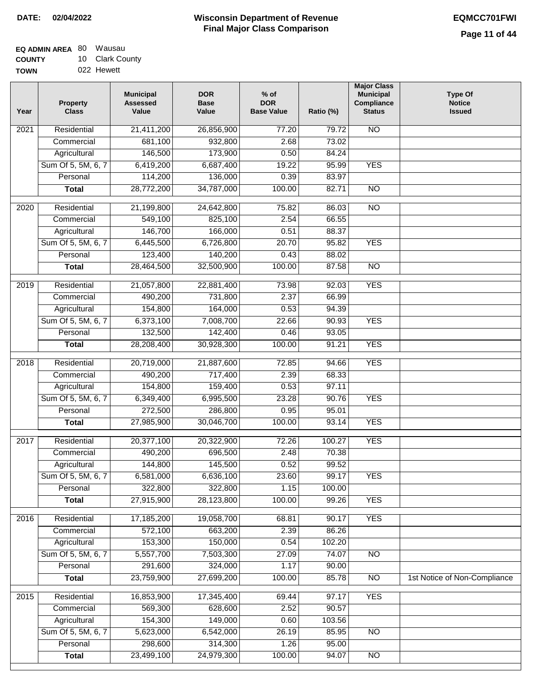| <b>EQ ADMIN AREA 80 Wausau</b> |                 |
|--------------------------------|-----------------|
| <b>COUNTY</b>                  | 10 Clark County |
| <b>TOWN</b>                    | 022 Hewett      |

022 Hewett

| Year              | <b>Property</b><br><b>Class</b> | <b>Municipal</b><br><b>Assessed</b><br>Value | <b>DOR</b><br><b>Base</b><br>Value | $%$ of<br><b>DOR</b><br><b>Base Value</b> | Ratio (%)      | <b>Major Class</b><br><b>Municipal</b><br>Compliance<br><b>Status</b> | <b>Type Of</b><br><b>Notice</b><br><b>Issued</b> |
|-------------------|---------------------------------|----------------------------------------------|------------------------------------|-------------------------------------------|----------------|-----------------------------------------------------------------------|--------------------------------------------------|
| $\overline{202}1$ | Residential                     | 21,411,200                                   | 26,856,900                         | $\frac{1}{77.20}$                         | 79.72          | N <sub>O</sub>                                                        |                                                  |
|                   | Commercial                      | 681,100                                      | 932,800                            | 2.68                                      | 73.02          |                                                                       |                                                  |
|                   | Agricultural                    | 146,500                                      | 173,900                            | 0.50                                      | 84.24          |                                                                       |                                                  |
|                   | Sum Of 5, 5M, 6, 7              | 6,419,200                                    | 6,687,400                          | 19.22                                     | 95.99          | <b>YES</b>                                                            |                                                  |
|                   | Personal                        | 114,200                                      | 136,000                            | 0.39                                      | 83.97          |                                                                       |                                                  |
|                   | <b>Total</b>                    | 28,772,200                                   | 34,787,000                         | 100.00                                    | 82.71          | $\overline{NO}$                                                       |                                                  |
| 2020              | Residential                     | 21,199,800                                   | 24,642,800                         | 75.82                                     | 86.03          | $\overline{NO}$                                                       |                                                  |
|                   | Commercial                      | 549,100                                      | 825,100                            | 2.54                                      | 66.55          |                                                                       |                                                  |
|                   | Agricultural                    | 146,700                                      | 166,000                            | 0.51                                      | 88.37          |                                                                       |                                                  |
|                   | Sum Of 5, 5M, 6, 7              | 6,445,500                                    | 6,726,800                          | 20.70                                     | 95.82          | <b>YES</b>                                                            |                                                  |
|                   | Personal                        | 123,400                                      | 140,200                            | 0.43                                      | 88.02          |                                                                       |                                                  |
|                   | <b>Total</b>                    | 28,464,500                                   | 32,500,900                         | 100.00                                    | 87.58          | $\overline{NO}$                                                       |                                                  |
|                   |                                 |                                              |                                    |                                           |                |                                                                       |                                                  |
| 2019              | Residential                     | 21,057,800<br>490,200                        | 22,881,400                         | 73.98<br>2.37                             | 92.03<br>66.99 | <b>YES</b>                                                            |                                                  |
|                   | Commercial<br>Agricultural      |                                              | 731,800<br>164,000                 | 0.53                                      | 94.39          |                                                                       |                                                  |
|                   | Sum Of 5, 5M, 6, 7              | 154,800                                      | 7,008,700                          | 22.66                                     | 90.93          | <b>YES</b>                                                            |                                                  |
|                   | Personal                        | 6,373,100<br>132,500                         | 142,400                            | 0.46                                      | 93.05          |                                                                       |                                                  |
|                   | <b>Total</b>                    | 28,208,400                                   | 30,928,300                         | 100.00                                    | 91.21          | <b>YES</b>                                                            |                                                  |
|                   |                                 |                                              |                                    |                                           |                |                                                                       |                                                  |
| 2018              | Residential                     | 20,719,000                                   | 21,887,600                         | 72.85                                     | 94.66          | <b>YES</b>                                                            |                                                  |
|                   | Commercial                      | 490,200                                      | 717,400                            | 2.39                                      | 68.33          |                                                                       |                                                  |
|                   | Agricultural                    | 154,800                                      | 159,400                            | 0.53                                      | 97.11          |                                                                       |                                                  |
|                   | Sum Of 5, 5M, 6, 7              | 6,349,400                                    | 6,995,500                          | 23.28                                     | 90.76          | <b>YES</b>                                                            |                                                  |
|                   | Personal                        | 272,500                                      | 286,800                            | 0.95                                      | 95.01          |                                                                       |                                                  |
|                   | <b>Total</b>                    | 27,985,900                                   | 30,046,700                         | 100.00                                    | 93.14          | <b>YES</b>                                                            |                                                  |
| 2017              | Residential                     | 20,377,100                                   | 20,322,900                         | 72.26                                     | 100.27         | <b>YES</b>                                                            |                                                  |
|                   | Commercial                      | 490,200                                      | 696,500                            | 2.48                                      | 70.38          |                                                                       |                                                  |
|                   | Agricultural                    | 144,800                                      | 145,500                            | 0.52                                      | 99.52          |                                                                       |                                                  |
|                   | Sum Of 5, 5M, 6, 7              | 6,581,000                                    | 6,636,100                          | 23.60                                     | 99.17          | <b>YES</b>                                                            |                                                  |
|                   | Personal                        | 322,800                                      | 322,800                            | 1.15                                      | 100.00         |                                                                       |                                                  |
|                   | <b>Total</b>                    | 27,915,900                                   | 28,123,800                         | 100.00                                    | 99.26          | <b>YES</b>                                                            |                                                  |
| 2016              | Residential                     | 17,185,200                                   | 19,058,700                         | 68.81                                     | 90.17          | <b>YES</b>                                                            |                                                  |
|                   | Commercial                      | 572,100                                      | 663,200                            | 2.39                                      | 86.26          |                                                                       |                                                  |
|                   | Agricultural                    | 153,300                                      | 150,000                            | 0.54                                      | 102.20         |                                                                       |                                                  |
|                   | Sum Of 5, 5M, 6, 7              | 5,557,700                                    | 7,503,300                          | 27.09                                     | 74.07          | $\overline{NO}$                                                       |                                                  |
|                   | Personal                        | 291,600                                      | 324,000                            | 1.17                                      | 90.00          |                                                                       |                                                  |
|                   | <b>Total</b>                    | 23,759,900                                   | 27,699,200                         | 100.00                                    | 85.78          | N <sub>O</sub>                                                        | 1st Notice of Non-Compliance                     |
| 2015              | Residential                     | 16,853,900                                   | 17,345,400                         | 69.44                                     | 97.17          | <b>YES</b>                                                            |                                                  |
|                   | Commercial                      | 569,300                                      | 628,600                            | 2.52                                      | 90.57          |                                                                       |                                                  |
|                   | Agricultural                    | 154,300                                      | 149,000                            | 0.60                                      | 103.56         |                                                                       |                                                  |
|                   | Sum Of 5, 5M, 6, 7              | 5,623,000                                    | 6,542,000                          | 26.19                                     | 85.95          | $\overline{NO}$                                                       |                                                  |
|                   | Personal                        | 298,600                                      | 314,300                            | 1.26                                      | 95.00          |                                                                       |                                                  |
|                   | <b>Total</b>                    | 23,499,100                                   | 24,979,300                         | 100.00                                    | 94.07          | NO                                                                    |                                                  |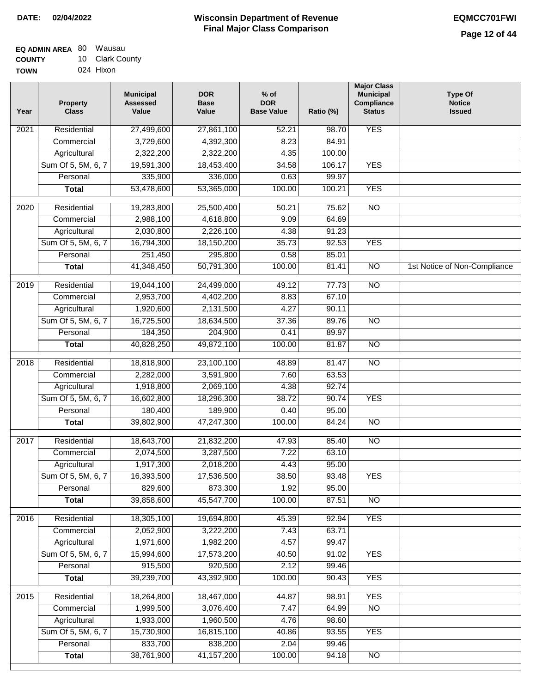| EQ ADMIN AREA 80 | Wausau          |
|------------------|-----------------|
| <b>COUNTY</b>    | 10 Clark County |
| <b>TOWN</b>      | 024 Hixon       |

| Year              | <b>Property</b><br><b>Class</b> | <b>Municipal</b><br><b>Assessed</b><br>Value | <b>DOR</b><br><b>Base</b><br>Value | $%$ of<br><b>DOR</b><br><b>Base Value</b> | Ratio (%) | <b>Major Class</b><br><b>Municipal</b><br>Compliance<br><b>Status</b> | Type Of<br><b>Notice</b><br><b>Issued</b> |
|-------------------|---------------------------------|----------------------------------------------|------------------------------------|-------------------------------------------|-----------|-----------------------------------------------------------------------|-------------------------------------------|
| $\overline{202}1$ | Residential                     | 27,499,600                                   | 27,861,100                         | 52.21                                     | 98.70     | <b>YES</b>                                                            |                                           |
|                   | Commercial                      | 3,729,600                                    | 4,392,300                          | 8.23                                      | 84.91     |                                                                       |                                           |
|                   | Agricultural                    | 2,322,200                                    | 2,322,200                          | 4.35                                      | 100.00    |                                                                       |                                           |
|                   | Sum Of 5, 5M, 6, 7              | 19,591,300                                   | 18,453,400                         | 34.58                                     | 106.17    | <b>YES</b>                                                            |                                           |
|                   | Personal                        | 335,900                                      | 336,000                            | 0.63                                      | 99.97     |                                                                       |                                           |
|                   | <b>Total</b>                    | 53,478,600                                   | 53,365,000                         | 100.00                                    | 100.21    | <b>YES</b>                                                            |                                           |
| $\overline{2020}$ | Residential                     | 19,283,800                                   | 25,500,400                         | 50.21                                     | 75.62     | $\overline{NO}$                                                       |                                           |
|                   | Commercial                      | 2,988,100                                    | 4,618,800                          | 9.09                                      | 64.69     |                                                                       |                                           |
|                   | Agricultural                    | 2,030,800                                    | 2,226,100                          | 4.38                                      | 91.23     |                                                                       |                                           |
|                   | Sum Of 5, 5M, 6, 7              | 16,794,300                                   | 18,150,200                         | 35.73                                     | 92.53     | <b>YES</b>                                                            |                                           |
|                   | Personal                        | 251,450                                      | 295,800                            | 0.58                                      | 85.01     |                                                                       |                                           |
|                   | <b>Total</b>                    | 41,348,450                                   | 50,791,300                         | 100.00                                    | 81.41     | $\overline{NO}$                                                       | 1st Notice of Non-Compliance              |
| 2019              | Residential                     | 19,044,100                                   | 24,499,000                         | 49.12                                     | 77.73     | $\overline{NO}$                                                       |                                           |
|                   | Commercial                      | 2,953,700                                    | 4,402,200                          | 8.83                                      | 67.10     |                                                                       |                                           |
|                   | Agricultural                    | 1,920,600                                    | 2,131,500                          | 4.27                                      | 90.11     |                                                                       |                                           |
|                   | Sum Of 5, 5M, 6, 7              | 16,725,500                                   | 18,634,500                         | 37.36                                     | 89.76     | $\overline{NO}$                                                       |                                           |
|                   | Personal                        | 184,350                                      | 204,900                            | 0.41                                      | 89.97     |                                                                       |                                           |
|                   | <b>Total</b>                    | 40,828,250                                   | 49,872,100                         | 100.00                                    | 81.87     | $\overline{NO}$                                                       |                                           |
|                   |                                 |                                              |                                    |                                           |           |                                                                       |                                           |
| 2018              | Residential                     | 18,818,900                                   | 23,100,100                         | 48.89                                     | 81.47     | $\overline{NO}$                                                       |                                           |
|                   | Commercial                      | 2,282,000                                    | 3,591,900                          | 7.60                                      | 63.53     |                                                                       |                                           |
|                   | Agricultural                    | 1,918,800                                    | 2,069,100                          | 4.38                                      | 92.74     |                                                                       |                                           |
|                   | Sum Of 5, 5M, 6, 7              | 16,602,800                                   | 18,296,300                         | 38.72                                     | 90.74     | <b>YES</b>                                                            |                                           |
|                   | Personal                        | 180,400                                      | 189,900                            | 0.40                                      | 95.00     |                                                                       |                                           |
|                   | <b>Total</b>                    | 39,802,900                                   | 47,247,300                         | 100.00                                    | 84.24     | <b>NO</b>                                                             |                                           |
| 2017              | Residential                     | 18,643,700                                   | 21,832,200                         | 47.93                                     | 85.40     | <b>NO</b>                                                             |                                           |
|                   | Commercial                      | 2,074,500                                    | 3,287,500                          | 7.22                                      | 63.10     |                                                                       |                                           |
|                   | Agricultural                    | 1,917,300                                    | 2,018,200                          | 4.43                                      | 95.00     |                                                                       |                                           |
|                   | Sum Of 5, 5M, 6, 7              | 16,393,500                                   | 17,536,500                         | 38.50                                     | 93.48     | <b>YES</b>                                                            |                                           |
|                   | Personal                        | 829,600                                      | 873,300                            | 1.92                                      | 95.00     |                                                                       |                                           |
|                   | <b>Total</b>                    | 39,858,600                                   | 45,547,700                         | 100.00                                    | 87.51     | <b>NO</b>                                                             |                                           |
| 2016              | Residential                     | 18,305,100                                   | 19,694,800                         | 45.39                                     | 92.94     | <b>YES</b>                                                            |                                           |
|                   | Commercial                      | 2,052,900                                    | 3,222,200                          | 7.43                                      | 63.71     |                                                                       |                                           |
|                   | Agricultural                    | 1,971,600                                    | 1,982,200                          | 4.57                                      | 99.47     |                                                                       |                                           |
|                   | Sum Of 5, 5M, 6, 7              | 15,994,600                                   | 17,573,200                         | 40.50                                     | 91.02     | <b>YES</b>                                                            |                                           |
|                   | Personal                        | 915,500                                      | 920,500                            | 2.12                                      | 99.46     |                                                                       |                                           |
|                   | <b>Total</b>                    | 39,239,700                                   | 43,392,900                         | 100.00                                    | 90.43     | <b>YES</b>                                                            |                                           |
|                   |                                 |                                              |                                    |                                           |           |                                                                       |                                           |
| 2015              | Residential                     | 18,264,800                                   | 18,467,000                         | 44.87                                     | 98.91     | <b>YES</b>                                                            |                                           |
|                   | Commercial                      | 1,999,500                                    | 3,076,400                          | 7.47                                      | 64.99     | $\overline{NO}$                                                       |                                           |
|                   | Agricultural                    | 1,933,000                                    | 1,960,500                          | 4.76                                      | 98.60     |                                                                       |                                           |
|                   | Sum Of 5, 5M, 6, 7              | 15,730,900                                   | 16,815,100                         | 40.86                                     | 93.55     | <b>YES</b>                                                            |                                           |
|                   | Personal                        | 833,700                                      | 838,200                            | 2.04                                      | 99.46     |                                                                       |                                           |
|                   | <b>Total</b>                    | 38,761,900                                   | 41, 157, 200                       | 100.00                                    | 94.18     | $\overline{NO}$                                                       |                                           |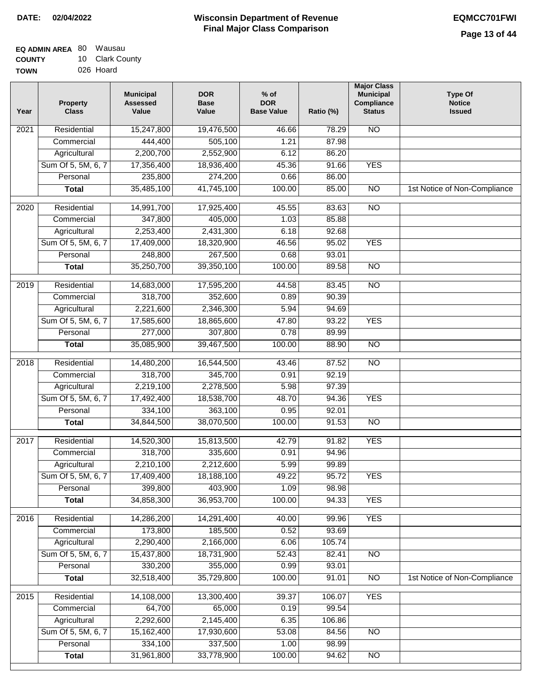| <b>EQ ADMIN AREA 80 Wausau</b> |                 |
|--------------------------------|-----------------|
| <b>COUNTY</b>                  | 10 Clark County |
| <b>TOWN</b>                    | 026 Hoard       |

| Residential<br>15,247,800<br>19,476,500<br>$\overline{NO}$<br>2021<br>46.66<br>78.29<br>444,400<br>505,100<br>1.21<br>87.98<br>Commercial<br>2,200,700<br>2,552,900<br>86.20<br>Agricultural<br>6.12<br>Sum Of 5, 5M, 6, 7<br>17,356,400<br><b>YES</b><br>18,936,400<br>45.36<br>91.66<br>235,800<br>Personal<br>274,200<br>0.66<br>86.00<br>35,485,100<br>41,745,100<br>100.00<br>85.00<br>$\overline{NO}$<br><b>Total</b><br>2020<br>Residential<br>14,991,700<br>17,925,400<br>83.63<br>NO<br>45.55<br>Commercial<br>347,800<br>405,000<br>1.03<br>85.88<br>2,253,400<br>2,431,300<br>Agricultural<br>6.18<br>92.68<br>Sum Of 5, 5M, 6, 7<br>95.02<br><b>YES</b><br>17,409,000<br>18,320,900<br>46.56<br>248,800<br>93.01<br>Personal<br>267,500<br>0.68<br>35,250,700<br><b>Total</b><br>39,350,100<br>100.00<br>89.58<br><b>NO</b><br>Residential<br>$\overline{NO}$<br>$\frac{1}{2019}$<br>14,683,000<br>17,595,200<br>44.58<br>83.45<br>318,700<br>90.39<br>Commercial<br>352,600<br>0.89<br>2,221,600<br>Agricultural<br>2,346,300<br>5.94<br>94.69<br><b>YES</b><br>Sum Of 5, 5M, 6, 7<br>17,585,600<br>18,865,600<br>47.80<br>93.22<br>277,000<br>307,800<br>Personal<br>0.78<br>89.99<br>35,085,900<br>39,467,500<br>100.00<br>88.90<br>$\overline{NO}$<br><b>Total</b><br>87.52<br>$\overline{NO}$<br>2018<br>Residential<br>14,480,200<br>16,544,500<br>43.46<br>318,700<br>345,700<br>92.19<br>0.91<br>Commercial<br>2,219,100<br>2,278,500<br>5.98<br>97.39<br>Agricultural<br>Sum Of 5, 5M, 6, 7<br>48.70<br><b>YES</b><br>17,492,400<br>18,538,700<br>94.36<br>334,100<br>363,100<br>0.95<br>92.01<br>Personal<br><b>NO</b><br>34,844,500<br>38,070,500<br>100.00<br>91.53<br><b>Total</b><br><b>YES</b><br>2017<br>Residential<br>14,520,300<br>15,813,500<br>42.79<br>91.82<br>318,700<br>0.91<br>Commercial<br>335,600<br>94.96<br>2,210,100<br>2,212,600<br>5.99<br>99.89<br>Agricultural<br>Sum Of 5, 5M, 6, 7<br>17,409,400<br>18,188,100<br>49.22<br>95.72<br>YES<br>Personal<br>399,800<br>403,900<br>1.09<br>98.98<br>34,858,300<br>36,953,700<br>100.00<br><b>YES</b><br>94.33<br><b>Total</b><br><b>YES</b><br>Residential<br>14,286,200<br>14,291,400<br>40.00<br>99.96<br>2016<br>173,800<br>0.52<br>93.69<br>Commercial<br>185,500<br>2,290,400<br>2,166,000<br>105.74<br>Agricultural<br>6.06<br>Sum Of 5, 5M, 6, 7<br>15,437,800<br>18,731,900<br>52.43<br>82.41<br>N <sub>O</sub><br>330,200<br>355,000<br>Personal<br>0.99<br>93.01<br><b>Total</b><br>32,518,400<br>35,729,800<br>100.00<br>91.01<br>$\overline{NO}$<br>Residential<br>14,108,000<br>13,300,400<br><b>YES</b><br>$\overline{2015}$<br>39.37<br>106.07<br>64,700<br>65,000<br>0.19<br>99.54<br>Commercial<br>2,292,600<br>2,145,400<br>Agricultural<br>6.35<br>106.86<br>Sum Of 5, 5M, 6, 7<br>15,162,400<br>17,930,600<br>53.08<br>N <sub>O</sub><br>84.56 | Year | <b>Property</b><br><b>Class</b> | <b>Municipal</b><br><b>Assessed</b><br>Value | <b>DOR</b><br><b>Base</b><br>Value | $%$ of<br><b>DOR</b><br><b>Base Value</b> | Ratio (%) | <b>Major Class</b><br><b>Municipal</b><br>Compliance<br><b>Status</b> | <b>Type Of</b><br><b>Notice</b><br><b>Issued</b> |
|----------------------------------------------------------------------------------------------------------------------------------------------------------------------------------------------------------------------------------------------------------------------------------------------------------------------------------------------------------------------------------------------------------------------------------------------------------------------------------------------------------------------------------------------------------------------------------------------------------------------------------------------------------------------------------------------------------------------------------------------------------------------------------------------------------------------------------------------------------------------------------------------------------------------------------------------------------------------------------------------------------------------------------------------------------------------------------------------------------------------------------------------------------------------------------------------------------------------------------------------------------------------------------------------------------------------------------------------------------------------------------------------------------------------------------------------------------------------------------------------------------------------------------------------------------------------------------------------------------------------------------------------------------------------------------------------------------------------------------------------------------------------------------------------------------------------------------------------------------------------------------------------------------------------------------------------------------------------------------------------------------------------------------------------------------------------------------------------------------------------------------------------------------------------------------------------------------------------------------------------------------------------------------------------------------------------------------------------------------------------------------------------------------------------------------------------------------------------------------------------------------------------------------------------------------------------------------------------------------------------------------------------------------------------------------------------------------------------------------------------------------------------------------------------------------------------------------------------------------------|------|---------------------------------|----------------------------------------------|------------------------------------|-------------------------------------------|-----------|-----------------------------------------------------------------------|--------------------------------------------------|
|                                                                                                                                                                                                                                                                                                                                                                                                                                                                                                                                                                                                                                                                                                                                                                                                                                                                                                                                                                                                                                                                                                                                                                                                                                                                                                                                                                                                                                                                                                                                                                                                                                                                                                                                                                                                                                                                                                                                                                                                                                                                                                                                                                                                                                                                                                                                                                                                                                                                                                                                                                                                                                                                                                                                                                                                                                                                |      |                                 |                                              |                                    |                                           |           |                                                                       |                                                  |
|                                                                                                                                                                                                                                                                                                                                                                                                                                                                                                                                                                                                                                                                                                                                                                                                                                                                                                                                                                                                                                                                                                                                                                                                                                                                                                                                                                                                                                                                                                                                                                                                                                                                                                                                                                                                                                                                                                                                                                                                                                                                                                                                                                                                                                                                                                                                                                                                                                                                                                                                                                                                                                                                                                                                                                                                                                                                |      |                                 |                                              |                                    |                                           |           |                                                                       |                                                  |
|                                                                                                                                                                                                                                                                                                                                                                                                                                                                                                                                                                                                                                                                                                                                                                                                                                                                                                                                                                                                                                                                                                                                                                                                                                                                                                                                                                                                                                                                                                                                                                                                                                                                                                                                                                                                                                                                                                                                                                                                                                                                                                                                                                                                                                                                                                                                                                                                                                                                                                                                                                                                                                                                                                                                                                                                                                                                |      |                                 |                                              |                                    |                                           |           |                                                                       |                                                  |
|                                                                                                                                                                                                                                                                                                                                                                                                                                                                                                                                                                                                                                                                                                                                                                                                                                                                                                                                                                                                                                                                                                                                                                                                                                                                                                                                                                                                                                                                                                                                                                                                                                                                                                                                                                                                                                                                                                                                                                                                                                                                                                                                                                                                                                                                                                                                                                                                                                                                                                                                                                                                                                                                                                                                                                                                                                                                |      |                                 |                                              |                                    |                                           |           |                                                                       |                                                  |
|                                                                                                                                                                                                                                                                                                                                                                                                                                                                                                                                                                                                                                                                                                                                                                                                                                                                                                                                                                                                                                                                                                                                                                                                                                                                                                                                                                                                                                                                                                                                                                                                                                                                                                                                                                                                                                                                                                                                                                                                                                                                                                                                                                                                                                                                                                                                                                                                                                                                                                                                                                                                                                                                                                                                                                                                                                                                |      |                                 |                                              |                                    |                                           |           |                                                                       |                                                  |
|                                                                                                                                                                                                                                                                                                                                                                                                                                                                                                                                                                                                                                                                                                                                                                                                                                                                                                                                                                                                                                                                                                                                                                                                                                                                                                                                                                                                                                                                                                                                                                                                                                                                                                                                                                                                                                                                                                                                                                                                                                                                                                                                                                                                                                                                                                                                                                                                                                                                                                                                                                                                                                                                                                                                                                                                                                                                |      |                                 |                                              |                                    |                                           |           |                                                                       | 1st Notice of Non-Compliance                     |
|                                                                                                                                                                                                                                                                                                                                                                                                                                                                                                                                                                                                                                                                                                                                                                                                                                                                                                                                                                                                                                                                                                                                                                                                                                                                                                                                                                                                                                                                                                                                                                                                                                                                                                                                                                                                                                                                                                                                                                                                                                                                                                                                                                                                                                                                                                                                                                                                                                                                                                                                                                                                                                                                                                                                                                                                                                                                |      |                                 |                                              |                                    |                                           |           |                                                                       |                                                  |
|                                                                                                                                                                                                                                                                                                                                                                                                                                                                                                                                                                                                                                                                                                                                                                                                                                                                                                                                                                                                                                                                                                                                                                                                                                                                                                                                                                                                                                                                                                                                                                                                                                                                                                                                                                                                                                                                                                                                                                                                                                                                                                                                                                                                                                                                                                                                                                                                                                                                                                                                                                                                                                                                                                                                                                                                                                                                |      |                                 |                                              |                                    |                                           |           |                                                                       |                                                  |
|                                                                                                                                                                                                                                                                                                                                                                                                                                                                                                                                                                                                                                                                                                                                                                                                                                                                                                                                                                                                                                                                                                                                                                                                                                                                                                                                                                                                                                                                                                                                                                                                                                                                                                                                                                                                                                                                                                                                                                                                                                                                                                                                                                                                                                                                                                                                                                                                                                                                                                                                                                                                                                                                                                                                                                                                                                                                |      |                                 |                                              |                                    |                                           |           |                                                                       |                                                  |
|                                                                                                                                                                                                                                                                                                                                                                                                                                                                                                                                                                                                                                                                                                                                                                                                                                                                                                                                                                                                                                                                                                                                                                                                                                                                                                                                                                                                                                                                                                                                                                                                                                                                                                                                                                                                                                                                                                                                                                                                                                                                                                                                                                                                                                                                                                                                                                                                                                                                                                                                                                                                                                                                                                                                                                                                                                                                |      |                                 |                                              |                                    |                                           |           |                                                                       |                                                  |
|                                                                                                                                                                                                                                                                                                                                                                                                                                                                                                                                                                                                                                                                                                                                                                                                                                                                                                                                                                                                                                                                                                                                                                                                                                                                                                                                                                                                                                                                                                                                                                                                                                                                                                                                                                                                                                                                                                                                                                                                                                                                                                                                                                                                                                                                                                                                                                                                                                                                                                                                                                                                                                                                                                                                                                                                                                                                |      |                                 |                                              |                                    |                                           |           |                                                                       |                                                  |
|                                                                                                                                                                                                                                                                                                                                                                                                                                                                                                                                                                                                                                                                                                                                                                                                                                                                                                                                                                                                                                                                                                                                                                                                                                                                                                                                                                                                                                                                                                                                                                                                                                                                                                                                                                                                                                                                                                                                                                                                                                                                                                                                                                                                                                                                                                                                                                                                                                                                                                                                                                                                                                                                                                                                                                                                                                                                |      |                                 |                                              |                                    |                                           |           |                                                                       |                                                  |
|                                                                                                                                                                                                                                                                                                                                                                                                                                                                                                                                                                                                                                                                                                                                                                                                                                                                                                                                                                                                                                                                                                                                                                                                                                                                                                                                                                                                                                                                                                                                                                                                                                                                                                                                                                                                                                                                                                                                                                                                                                                                                                                                                                                                                                                                                                                                                                                                                                                                                                                                                                                                                                                                                                                                                                                                                                                                |      |                                 |                                              |                                    |                                           |           |                                                                       |                                                  |
|                                                                                                                                                                                                                                                                                                                                                                                                                                                                                                                                                                                                                                                                                                                                                                                                                                                                                                                                                                                                                                                                                                                                                                                                                                                                                                                                                                                                                                                                                                                                                                                                                                                                                                                                                                                                                                                                                                                                                                                                                                                                                                                                                                                                                                                                                                                                                                                                                                                                                                                                                                                                                                                                                                                                                                                                                                                                |      |                                 |                                              |                                    |                                           |           |                                                                       |                                                  |
|                                                                                                                                                                                                                                                                                                                                                                                                                                                                                                                                                                                                                                                                                                                                                                                                                                                                                                                                                                                                                                                                                                                                                                                                                                                                                                                                                                                                                                                                                                                                                                                                                                                                                                                                                                                                                                                                                                                                                                                                                                                                                                                                                                                                                                                                                                                                                                                                                                                                                                                                                                                                                                                                                                                                                                                                                                                                |      |                                 |                                              |                                    |                                           |           |                                                                       |                                                  |
|                                                                                                                                                                                                                                                                                                                                                                                                                                                                                                                                                                                                                                                                                                                                                                                                                                                                                                                                                                                                                                                                                                                                                                                                                                                                                                                                                                                                                                                                                                                                                                                                                                                                                                                                                                                                                                                                                                                                                                                                                                                                                                                                                                                                                                                                                                                                                                                                                                                                                                                                                                                                                                                                                                                                                                                                                                                                |      |                                 |                                              |                                    |                                           |           |                                                                       |                                                  |
|                                                                                                                                                                                                                                                                                                                                                                                                                                                                                                                                                                                                                                                                                                                                                                                                                                                                                                                                                                                                                                                                                                                                                                                                                                                                                                                                                                                                                                                                                                                                                                                                                                                                                                                                                                                                                                                                                                                                                                                                                                                                                                                                                                                                                                                                                                                                                                                                                                                                                                                                                                                                                                                                                                                                                                                                                                                                |      |                                 |                                              |                                    |                                           |           |                                                                       |                                                  |
|                                                                                                                                                                                                                                                                                                                                                                                                                                                                                                                                                                                                                                                                                                                                                                                                                                                                                                                                                                                                                                                                                                                                                                                                                                                                                                                                                                                                                                                                                                                                                                                                                                                                                                                                                                                                                                                                                                                                                                                                                                                                                                                                                                                                                                                                                                                                                                                                                                                                                                                                                                                                                                                                                                                                                                                                                                                                |      |                                 |                                              |                                    |                                           |           |                                                                       |                                                  |
|                                                                                                                                                                                                                                                                                                                                                                                                                                                                                                                                                                                                                                                                                                                                                                                                                                                                                                                                                                                                                                                                                                                                                                                                                                                                                                                                                                                                                                                                                                                                                                                                                                                                                                                                                                                                                                                                                                                                                                                                                                                                                                                                                                                                                                                                                                                                                                                                                                                                                                                                                                                                                                                                                                                                                                                                                                                                |      |                                 |                                              |                                    |                                           |           |                                                                       |                                                  |
|                                                                                                                                                                                                                                                                                                                                                                                                                                                                                                                                                                                                                                                                                                                                                                                                                                                                                                                                                                                                                                                                                                                                                                                                                                                                                                                                                                                                                                                                                                                                                                                                                                                                                                                                                                                                                                                                                                                                                                                                                                                                                                                                                                                                                                                                                                                                                                                                                                                                                                                                                                                                                                                                                                                                                                                                                                                                |      |                                 |                                              |                                    |                                           |           |                                                                       |                                                  |
|                                                                                                                                                                                                                                                                                                                                                                                                                                                                                                                                                                                                                                                                                                                                                                                                                                                                                                                                                                                                                                                                                                                                                                                                                                                                                                                                                                                                                                                                                                                                                                                                                                                                                                                                                                                                                                                                                                                                                                                                                                                                                                                                                                                                                                                                                                                                                                                                                                                                                                                                                                                                                                                                                                                                                                                                                                                                |      |                                 |                                              |                                    |                                           |           |                                                                       |                                                  |
|                                                                                                                                                                                                                                                                                                                                                                                                                                                                                                                                                                                                                                                                                                                                                                                                                                                                                                                                                                                                                                                                                                                                                                                                                                                                                                                                                                                                                                                                                                                                                                                                                                                                                                                                                                                                                                                                                                                                                                                                                                                                                                                                                                                                                                                                                                                                                                                                                                                                                                                                                                                                                                                                                                                                                                                                                                                                |      |                                 |                                              |                                    |                                           |           |                                                                       |                                                  |
|                                                                                                                                                                                                                                                                                                                                                                                                                                                                                                                                                                                                                                                                                                                                                                                                                                                                                                                                                                                                                                                                                                                                                                                                                                                                                                                                                                                                                                                                                                                                                                                                                                                                                                                                                                                                                                                                                                                                                                                                                                                                                                                                                                                                                                                                                                                                                                                                                                                                                                                                                                                                                                                                                                                                                                                                                                                                |      |                                 |                                              |                                    |                                           |           |                                                                       |                                                  |
|                                                                                                                                                                                                                                                                                                                                                                                                                                                                                                                                                                                                                                                                                                                                                                                                                                                                                                                                                                                                                                                                                                                                                                                                                                                                                                                                                                                                                                                                                                                                                                                                                                                                                                                                                                                                                                                                                                                                                                                                                                                                                                                                                                                                                                                                                                                                                                                                                                                                                                                                                                                                                                                                                                                                                                                                                                                                |      |                                 |                                              |                                    |                                           |           |                                                                       |                                                  |
|                                                                                                                                                                                                                                                                                                                                                                                                                                                                                                                                                                                                                                                                                                                                                                                                                                                                                                                                                                                                                                                                                                                                                                                                                                                                                                                                                                                                                                                                                                                                                                                                                                                                                                                                                                                                                                                                                                                                                                                                                                                                                                                                                                                                                                                                                                                                                                                                                                                                                                                                                                                                                                                                                                                                                                                                                                                                |      |                                 |                                              |                                    |                                           |           |                                                                       |                                                  |
|                                                                                                                                                                                                                                                                                                                                                                                                                                                                                                                                                                                                                                                                                                                                                                                                                                                                                                                                                                                                                                                                                                                                                                                                                                                                                                                                                                                                                                                                                                                                                                                                                                                                                                                                                                                                                                                                                                                                                                                                                                                                                                                                                                                                                                                                                                                                                                                                                                                                                                                                                                                                                                                                                                                                                                                                                                                                |      |                                 |                                              |                                    |                                           |           |                                                                       |                                                  |
|                                                                                                                                                                                                                                                                                                                                                                                                                                                                                                                                                                                                                                                                                                                                                                                                                                                                                                                                                                                                                                                                                                                                                                                                                                                                                                                                                                                                                                                                                                                                                                                                                                                                                                                                                                                                                                                                                                                                                                                                                                                                                                                                                                                                                                                                                                                                                                                                                                                                                                                                                                                                                                                                                                                                                                                                                                                                |      |                                 |                                              |                                    |                                           |           |                                                                       |                                                  |
|                                                                                                                                                                                                                                                                                                                                                                                                                                                                                                                                                                                                                                                                                                                                                                                                                                                                                                                                                                                                                                                                                                                                                                                                                                                                                                                                                                                                                                                                                                                                                                                                                                                                                                                                                                                                                                                                                                                                                                                                                                                                                                                                                                                                                                                                                                                                                                                                                                                                                                                                                                                                                                                                                                                                                                                                                                                                |      |                                 |                                              |                                    |                                           |           |                                                                       |                                                  |
|                                                                                                                                                                                                                                                                                                                                                                                                                                                                                                                                                                                                                                                                                                                                                                                                                                                                                                                                                                                                                                                                                                                                                                                                                                                                                                                                                                                                                                                                                                                                                                                                                                                                                                                                                                                                                                                                                                                                                                                                                                                                                                                                                                                                                                                                                                                                                                                                                                                                                                                                                                                                                                                                                                                                                                                                                                                                |      |                                 |                                              |                                    |                                           |           |                                                                       |                                                  |
|                                                                                                                                                                                                                                                                                                                                                                                                                                                                                                                                                                                                                                                                                                                                                                                                                                                                                                                                                                                                                                                                                                                                                                                                                                                                                                                                                                                                                                                                                                                                                                                                                                                                                                                                                                                                                                                                                                                                                                                                                                                                                                                                                                                                                                                                                                                                                                                                                                                                                                                                                                                                                                                                                                                                                                                                                                                                |      |                                 |                                              |                                    |                                           |           |                                                                       |                                                  |
|                                                                                                                                                                                                                                                                                                                                                                                                                                                                                                                                                                                                                                                                                                                                                                                                                                                                                                                                                                                                                                                                                                                                                                                                                                                                                                                                                                                                                                                                                                                                                                                                                                                                                                                                                                                                                                                                                                                                                                                                                                                                                                                                                                                                                                                                                                                                                                                                                                                                                                                                                                                                                                                                                                                                                                                                                                                                |      |                                 |                                              |                                    |                                           |           |                                                                       |                                                  |
|                                                                                                                                                                                                                                                                                                                                                                                                                                                                                                                                                                                                                                                                                                                                                                                                                                                                                                                                                                                                                                                                                                                                                                                                                                                                                                                                                                                                                                                                                                                                                                                                                                                                                                                                                                                                                                                                                                                                                                                                                                                                                                                                                                                                                                                                                                                                                                                                                                                                                                                                                                                                                                                                                                                                                                                                                                                                |      |                                 |                                              |                                    |                                           |           |                                                                       |                                                  |
|                                                                                                                                                                                                                                                                                                                                                                                                                                                                                                                                                                                                                                                                                                                                                                                                                                                                                                                                                                                                                                                                                                                                                                                                                                                                                                                                                                                                                                                                                                                                                                                                                                                                                                                                                                                                                                                                                                                                                                                                                                                                                                                                                                                                                                                                                                                                                                                                                                                                                                                                                                                                                                                                                                                                                                                                                                                                |      |                                 |                                              |                                    |                                           |           |                                                                       |                                                  |
|                                                                                                                                                                                                                                                                                                                                                                                                                                                                                                                                                                                                                                                                                                                                                                                                                                                                                                                                                                                                                                                                                                                                                                                                                                                                                                                                                                                                                                                                                                                                                                                                                                                                                                                                                                                                                                                                                                                                                                                                                                                                                                                                                                                                                                                                                                                                                                                                                                                                                                                                                                                                                                                                                                                                                                                                                                                                |      |                                 |                                              |                                    |                                           |           |                                                                       |                                                  |
|                                                                                                                                                                                                                                                                                                                                                                                                                                                                                                                                                                                                                                                                                                                                                                                                                                                                                                                                                                                                                                                                                                                                                                                                                                                                                                                                                                                                                                                                                                                                                                                                                                                                                                                                                                                                                                                                                                                                                                                                                                                                                                                                                                                                                                                                                                                                                                                                                                                                                                                                                                                                                                                                                                                                                                                                                                                                |      |                                 |                                              |                                    |                                           |           |                                                                       |                                                  |
|                                                                                                                                                                                                                                                                                                                                                                                                                                                                                                                                                                                                                                                                                                                                                                                                                                                                                                                                                                                                                                                                                                                                                                                                                                                                                                                                                                                                                                                                                                                                                                                                                                                                                                                                                                                                                                                                                                                                                                                                                                                                                                                                                                                                                                                                                                                                                                                                                                                                                                                                                                                                                                                                                                                                                                                                                                                                |      |                                 |                                              |                                    |                                           |           |                                                                       |                                                  |
|                                                                                                                                                                                                                                                                                                                                                                                                                                                                                                                                                                                                                                                                                                                                                                                                                                                                                                                                                                                                                                                                                                                                                                                                                                                                                                                                                                                                                                                                                                                                                                                                                                                                                                                                                                                                                                                                                                                                                                                                                                                                                                                                                                                                                                                                                                                                                                                                                                                                                                                                                                                                                                                                                                                                                                                                                                                                |      |                                 |                                              |                                    |                                           |           |                                                                       | 1st Notice of Non-Compliance                     |
|                                                                                                                                                                                                                                                                                                                                                                                                                                                                                                                                                                                                                                                                                                                                                                                                                                                                                                                                                                                                                                                                                                                                                                                                                                                                                                                                                                                                                                                                                                                                                                                                                                                                                                                                                                                                                                                                                                                                                                                                                                                                                                                                                                                                                                                                                                                                                                                                                                                                                                                                                                                                                                                                                                                                                                                                                                                                |      |                                 |                                              |                                    |                                           |           |                                                                       |                                                  |
|                                                                                                                                                                                                                                                                                                                                                                                                                                                                                                                                                                                                                                                                                                                                                                                                                                                                                                                                                                                                                                                                                                                                                                                                                                                                                                                                                                                                                                                                                                                                                                                                                                                                                                                                                                                                                                                                                                                                                                                                                                                                                                                                                                                                                                                                                                                                                                                                                                                                                                                                                                                                                                                                                                                                                                                                                                                                |      |                                 |                                              |                                    |                                           |           |                                                                       |                                                  |
|                                                                                                                                                                                                                                                                                                                                                                                                                                                                                                                                                                                                                                                                                                                                                                                                                                                                                                                                                                                                                                                                                                                                                                                                                                                                                                                                                                                                                                                                                                                                                                                                                                                                                                                                                                                                                                                                                                                                                                                                                                                                                                                                                                                                                                                                                                                                                                                                                                                                                                                                                                                                                                                                                                                                                                                                                                                                |      |                                 |                                              |                                    |                                           |           |                                                                       |                                                  |
|                                                                                                                                                                                                                                                                                                                                                                                                                                                                                                                                                                                                                                                                                                                                                                                                                                                                                                                                                                                                                                                                                                                                                                                                                                                                                                                                                                                                                                                                                                                                                                                                                                                                                                                                                                                                                                                                                                                                                                                                                                                                                                                                                                                                                                                                                                                                                                                                                                                                                                                                                                                                                                                                                                                                                                                                                                                                |      |                                 |                                              |                                    |                                           |           |                                                                       |                                                  |
|                                                                                                                                                                                                                                                                                                                                                                                                                                                                                                                                                                                                                                                                                                                                                                                                                                                                                                                                                                                                                                                                                                                                                                                                                                                                                                                                                                                                                                                                                                                                                                                                                                                                                                                                                                                                                                                                                                                                                                                                                                                                                                                                                                                                                                                                                                                                                                                                                                                                                                                                                                                                                                                                                                                                                                                                                                                                |      | Personal                        | 334,100                                      | 337,500                            | 1.00                                      | 98.99     |                                                                       |                                                  |
| 31,961,800<br>33,778,900<br>100.00<br><b>Total</b><br>94.62<br>NO                                                                                                                                                                                                                                                                                                                                                                                                                                                                                                                                                                                                                                                                                                                                                                                                                                                                                                                                                                                                                                                                                                                                                                                                                                                                                                                                                                                                                                                                                                                                                                                                                                                                                                                                                                                                                                                                                                                                                                                                                                                                                                                                                                                                                                                                                                                                                                                                                                                                                                                                                                                                                                                                                                                                                                                              |      |                                 |                                              |                                    |                                           |           |                                                                       |                                                  |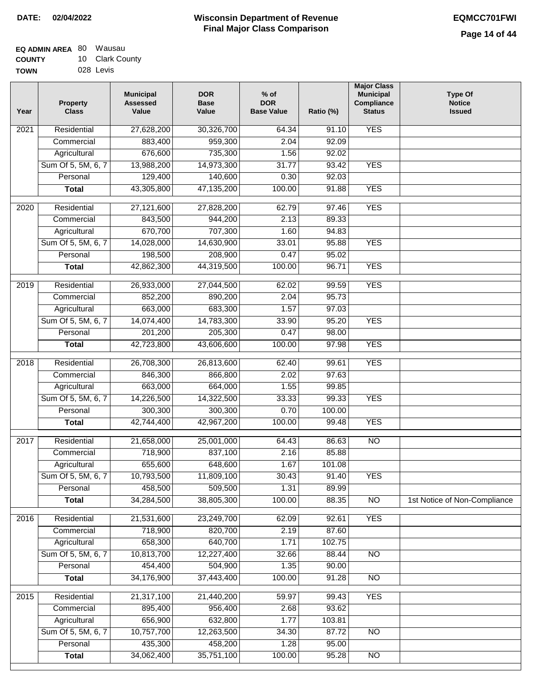| <b>EQ ADMIN AREA 80 Wausau</b> |                 |
|--------------------------------|-----------------|
| <b>COUNTY</b>                  | 10 Clark County |
| <b>TOWN</b>                    | 028 Levis       |

| Year             | <b>Property</b><br><b>Class</b> | <b>Municipal</b><br><b>Assessed</b><br>Value | <b>DOR</b><br><b>Base</b><br>Value | $%$ of<br><b>DOR</b><br><b>Base Value</b> | Ratio (%) | <b>Major Class</b><br><b>Municipal</b><br>Compliance<br><b>Status</b> | <b>Type Of</b><br><b>Notice</b><br><b>Issued</b> |
|------------------|---------------------------------|----------------------------------------------|------------------------------------|-------------------------------------------|-----------|-----------------------------------------------------------------------|--------------------------------------------------|
| 2021             | Residential                     | 27,628,200                                   | 30,326,700                         | 64.34                                     | 91.10     | <b>YES</b>                                                            |                                                  |
|                  | Commercial                      | 883,400                                      | 959,300                            | 2.04                                      | 92.09     |                                                                       |                                                  |
|                  | Agricultural                    | 676,600                                      | 735,300                            | 1.56                                      | 92.02     |                                                                       |                                                  |
|                  | Sum Of 5, 5M, 6, 7              | 13,988,200                                   | 14,973,300                         | 31.77                                     | 93.42     | <b>YES</b>                                                            |                                                  |
|                  | Personal                        | 129,400                                      | 140,600                            | 0.30                                      | 92.03     |                                                                       |                                                  |
|                  | <b>Total</b>                    | 43,305,800                                   | 47,135,200                         | 100.00                                    | 91.88     | <b>YES</b>                                                            |                                                  |
| 2020             | Residential                     | 27,121,600                                   | 27,828,200                         | 62.79                                     | 97.46     | <b>YES</b>                                                            |                                                  |
|                  | Commercial                      | 843,500                                      | 944,200                            | 2.13                                      | 89.33     |                                                                       |                                                  |
|                  | Agricultural                    | 670,700                                      | 707,300                            | 1.60                                      | 94.83     |                                                                       |                                                  |
|                  | Sum Of 5, 5M, 6, 7              | 14,028,000                                   | 14,630,900                         | 33.01                                     | 95.88     | <b>YES</b>                                                            |                                                  |
|                  | Personal                        | 198,500                                      | 208,900                            | 0.47                                      | 95.02     |                                                                       |                                                  |
|                  | <b>Total</b>                    | 42,862,300                                   | 44,319,500                         | 100.00                                    | 96.71     | <b>YES</b>                                                            |                                                  |
|                  |                                 |                                              |                                    |                                           |           |                                                                       |                                                  |
| $\frac{1}{2019}$ | Residential                     | 26,933,000                                   | 27,044,500                         | 62.02                                     | 99.59     | <b>YES</b>                                                            |                                                  |
|                  | Commercial                      | 852,200                                      | 890,200                            | 2.04                                      | 95.73     |                                                                       |                                                  |
|                  | Agricultural                    | 663,000                                      | 683,300                            | 1.57                                      | 97.03     |                                                                       |                                                  |
|                  | Sum Of 5, 5M, 6, 7              | 14,074,400                                   | 14,783,300                         | 33.90                                     | 95.20     | <b>YES</b>                                                            |                                                  |
|                  | Personal                        | 201,200                                      | 205,300                            | 0.47                                      | 98.00     |                                                                       |                                                  |
|                  | <b>Total</b>                    | 42,723,800                                   | 43,606,600                         | 100.00                                    | 97.98     | <b>YES</b>                                                            |                                                  |
| 2018             | Residential                     | 26,708,300                                   | 26,813,600                         | 62.40                                     | 99.61     | <b>YES</b>                                                            |                                                  |
|                  | Commercial                      | 846,300                                      | 866,800                            | 2.02                                      | 97.63     |                                                                       |                                                  |
|                  | Agricultural                    | 663,000                                      | 664,000                            | 1.55                                      | 99.85     |                                                                       |                                                  |
|                  | Sum Of 5, 5M, 6, 7              | 14,226,500                                   | 14,322,500                         | 33.33                                     | 99.33     | <b>YES</b>                                                            |                                                  |
|                  | Personal                        | 300,300                                      | 300,300                            | 0.70                                      | 100.00    |                                                                       |                                                  |
|                  | <b>Total</b>                    | 42,744,400                                   | 42,967,200                         | 100.00                                    | 99.48     | <b>YES</b>                                                            |                                                  |
| 2017             | Residential                     | 21,658,000                                   | 25,001,000                         | 64.43                                     | 86.63     | $\overline{NO}$                                                       |                                                  |
|                  | Commercial                      | 718,900                                      | 837,100                            | 2.16                                      | 85.88     |                                                                       |                                                  |
|                  | Agricultural                    | 655,600                                      | 648,600                            | 1.67                                      | 101.08    |                                                                       |                                                  |
|                  | Sum Of 5, 5M, 6, 7              | 10,793,500                                   | 11,809,100                         | 30.43                                     | 91.40     | <b>YES</b>                                                            |                                                  |
|                  | Personal                        | 458,500                                      | 509,500                            | 1.31                                      | 89.99     |                                                                       |                                                  |
|                  | <b>Total</b>                    | 34,284,500                                   | 38,805,300                         | 100.00                                    | 88.35     | N <sub>O</sub>                                                        | 1st Notice of Non-Compliance                     |
| 2016             | Residential                     | 21,531,600                                   | 23,249,700                         | 62.09                                     | 92.61     | <b>YES</b>                                                            |                                                  |
|                  | Commercial                      | 718,900                                      | 820,700                            | 2.19                                      | 87.60     |                                                                       |                                                  |
|                  | Agricultural                    | 658,300                                      | 640,700                            | 1.71                                      | 102.75    |                                                                       |                                                  |
|                  | Sum Of 5, 5M, 6, 7              | 10,813,700                                   | 12,227,400                         | 32.66                                     | 88.44     | N <sub>O</sub>                                                        |                                                  |
|                  | Personal                        | 454,400                                      | 504,900                            | 1.35                                      | 90.00     |                                                                       |                                                  |
|                  | <b>Total</b>                    | 34,176,900                                   | 37,443,400                         | 100.00                                    | 91.28     | $\overline{NO}$                                                       |                                                  |
| 2015             | Residential                     | 21,317,100                                   | 21,440,200                         | 59.97                                     | 99.43     | <b>YES</b>                                                            |                                                  |
|                  | Commercial                      | 895,400                                      | 956,400                            | 2.68                                      | 93.62     |                                                                       |                                                  |
|                  | Agricultural                    | 656,900                                      | 632,800                            | 1.77                                      | 103.81    |                                                                       |                                                  |
|                  | Sum Of 5, 5M, 6, 7              | 10,757,700                                   | 12,263,500                         | 34.30                                     | 87.72     | <b>NO</b>                                                             |                                                  |
|                  | Personal                        | 435,300                                      | 458,200                            | 1.28                                      | 95.00     |                                                                       |                                                  |
|                  | <b>Total</b>                    | 34,062,400                                   | 35,751,100                         | 100.00                                    | 95.28     | $\overline{NO}$                                                       |                                                  |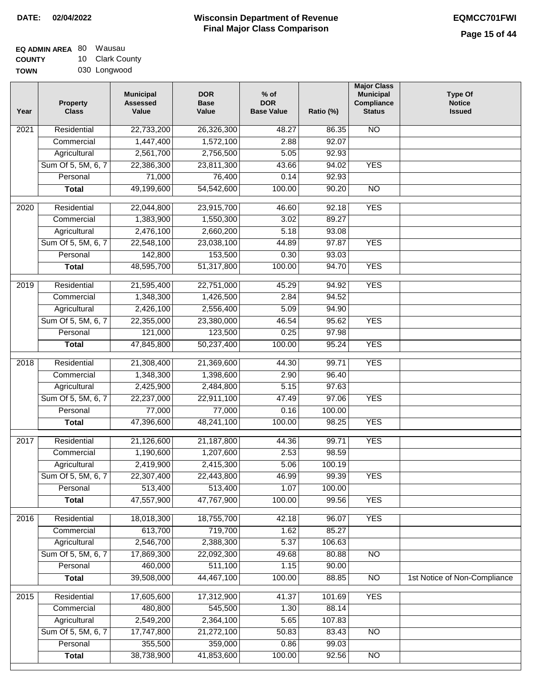| EQ ADMIN AREA 80 Wausau |                 |
|-------------------------|-----------------|
| <b>COUNTY</b>           | 10 Clark County |
|                         |                 |

**TOWN** 030 Longwood

| Year              | <b>Property</b><br><b>Class</b> | <b>Municipal</b><br><b>Assessed</b><br>Value | <b>DOR</b><br><b>Base</b><br>Value | $%$ of<br><b>DOR</b><br><b>Base Value</b> | Ratio (%) | <b>Major Class</b><br><b>Municipal</b><br>Compliance<br><b>Status</b> | <b>Type Of</b><br><b>Notice</b><br><b>Issued</b> |
|-------------------|---------------------------------|----------------------------------------------|------------------------------------|-------------------------------------------|-----------|-----------------------------------------------------------------------|--------------------------------------------------|
| 2021              | Residential                     | 22,733,200                                   | 26,326,300                         | 48.27                                     | 86.35     | N <sub>O</sub>                                                        |                                                  |
|                   | Commercial                      | 1,447,400                                    | 1,572,100                          | 2.88                                      | 92.07     |                                                                       |                                                  |
|                   | Agricultural                    | 2,561,700                                    | 2,756,500                          | 5.05                                      | 92.93     |                                                                       |                                                  |
|                   | Sum Of 5, 5M, 6, 7              | 22,386,300                                   | 23,811,300                         | 43.66                                     | 94.02     | <b>YES</b>                                                            |                                                  |
|                   | Personal                        | 71,000                                       | 76,400                             | 0.14                                      | 92.93     |                                                                       |                                                  |
|                   | <b>Total</b>                    | 49,199,600                                   | 54,542,600                         | 100.00                                    | 90.20     | $\overline{NO}$                                                       |                                                  |
| 2020              | Residential                     | 22,044,800                                   | 23,915,700                         | 46.60                                     | 92.18     | <b>YES</b>                                                            |                                                  |
|                   | Commercial                      | 1,383,900                                    | 1,550,300                          | 3.02                                      | 89.27     |                                                                       |                                                  |
|                   | Agricultural                    | 2,476,100                                    | 2,660,200                          | 5.18                                      | 93.08     |                                                                       |                                                  |
|                   | Sum Of 5, 5M, 6, 7              | 22,548,100                                   | 23,038,100                         | 44.89                                     | 97.87     | <b>YES</b>                                                            |                                                  |
|                   | Personal                        | 142,800                                      | 153,500                            | 0.30                                      | 93.03     |                                                                       |                                                  |
|                   | <b>Total</b>                    | 48,595,700                                   | 51,317,800                         | 100.00                                    | 94.70     | <b>YES</b>                                                            |                                                  |
|                   |                                 |                                              |                                    |                                           |           |                                                                       |                                                  |
| 2019              | Residential                     | 21,595,400                                   | 22,751,000                         | 45.29                                     | 94.92     | <b>YES</b>                                                            |                                                  |
|                   | Commercial                      | 1,348,300                                    | 1,426,500                          | 2.84                                      | 94.52     |                                                                       |                                                  |
|                   | Agricultural                    | 2,426,100                                    | 2,556,400                          | 5.09                                      | 94.90     |                                                                       |                                                  |
|                   | Sum Of 5, 5M, 6, 7              | 22,355,000                                   | 23,380,000                         | 46.54                                     | 95.62     | <b>YES</b>                                                            |                                                  |
|                   | Personal                        | 121,000                                      | 123,500                            | 0.25                                      | 97.98     |                                                                       |                                                  |
|                   | <b>Total</b>                    | 47,845,800                                   | 50,237,400                         | 100.00                                    | 95.24     | <b>YES</b>                                                            |                                                  |
| $\overline{2018}$ | Residential                     | 21,308,400                                   | 21,369,600                         | 44.30                                     | 99.71     | <b>YES</b>                                                            |                                                  |
|                   | Commercial                      | 1,348,300                                    | 1,398,600                          | 2.90                                      | 96.40     |                                                                       |                                                  |
|                   | Agricultural                    | 2,425,900                                    | 2,484,800                          | 5.15                                      | 97.63     |                                                                       |                                                  |
|                   | Sum Of 5, 5M, 6, 7              | 22,237,000                                   | 22,911,100                         | 47.49                                     | 97.06     | <b>YES</b>                                                            |                                                  |
|                   | Personal                        | 77,000                                       | 77,000                             | 0.16                                      | 100.00    |                                                                       |                                                  |
|                   | <b>Total</b>                    | 47,396,600                                   | 48,241,100                         | 100.00                                    | 98.25     | <b>YES</b>                                                            |                                                  |
| 2017              | Residential                     | 21,126,600                                   | 21,187,800                         | 44.36                                     | 99.71     | <b>YES</b>                                                            |                                                  |
|                   | Commercial                      | 1,190,600                                    | 1,207,600                          | 2.53                                      | 98.59     |                                                                       |                                                  |
|                   | Agricultural                    | 2,419,900                                    | 2,415,300                          | 5.06                                      | 100.19    |                                                                       |                                                  |
|                   | Sum Of 5, 5M, 6, 7              | 22,307,400                                   | 22,443,800                         | 46.99                                     | 99.39     | YES                                                                   |                                                  |
|                   | Personal                        | 513,400                                      | 513,400                            | 1.07                                      | 100.00    |                                                                       |                                                  |
|                   | <b>Total</b>                    | 47,557,900                                   | 47,767,900                         | 100.00                                    | 99.56     | <b>YES</b>                                                            |                                                  |
| 2016              | Residential                     | 18,018,300                                   | 18,755,700                         | 42.18                                     | 96.07     | <b>YES</b>                                                            |                                                  |
|                   | Commercial                      | 613,700                                      | 719,700                            | 1.62                                      | 85.27     |                                                                       |                                                  |
|                   | Agricultural                    | 2,546,700                                    | 2,388,300                          | 5.37                                      | 106.63    |                                                                       |                                                  |
|                   | Sum Of 5, 5M, 6, 7              | 17,869,300                                   | 22,092,300                         | 49.68                                     | 80.88     | $\overline{NO}$                                                       |                                                  |
|                   | Personal                        | 460,000                                      | 511,100                            | 1.15                                      | 90.00     |                                                                       |                                                  |
|                   | <b>Total</b>                    | 39,508,000                                   | 44,467,100                         | 100.00                                    | 88.85     | N <sub>O</sub>                                                        | 1st Notice of Non-Compliance                     |
| 2015              | Residential                     | 17,605,600                                   | 17,312,900                         | 41.37                                     | 101.69    | <b>YES</b>                                                            |                                                  |
|                   | Commercial                      | 480,800                                      | 545,500                            | 1.30                                      | 88.14     |                                                                       |                                                  |
|                   | Agricultural                    | 2,549,200                                    | 2,364,100                          | 5.65                                      | 107.83    |                                                                       |                                                  |
|                   | Sum Of 5, 5M, 6, 7              | 17,747,800                                   | 21,272,100                         | 50.83                                     | 83.43     | N <sub>O</sub>                                                        |                                                  |
|                   | Personal                        | 355,500                                      | 359,000                            | 0.86                                      | 99.03     |                                                                       |                                                  |
|                   | <b>Total</b>                    | 38,738,900                                   | 41,853,600                         | 100.00                                    | 92.56     | $\overline{NO}$                                                       |                                                  |
|                   |                                 |                                              |                                    |                                           |           |                                                                       |                                                  |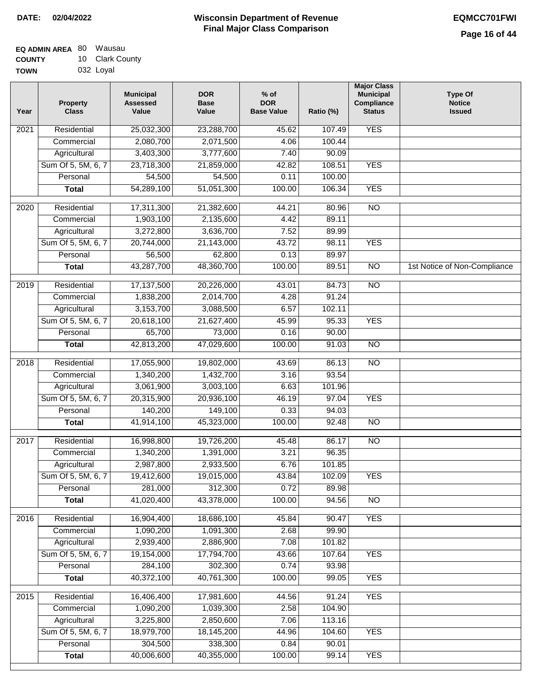| <b>EQ ADMIN AREA 80 Wausau</b> |                 |
|--------------------------------|-----------------|
| <b>COUNTY</b>                  | 10 Clark County |
| <b>TOWN</b>                    | 032 Loyal       |

| Year              | <b>Property</b><br><b>Class</b> | <b>Municipal</b><br><b>Assessed</b><br>Value | <b>DOR</b><br><b>Base</b><br>Value | $%$ of<br><b>DOR</b><br><b>Base Value</b> | Ratio (%) | <b>Major Class</b><br><b>Municipal</b><br>Compliance<br><b>Status</b> | <b>Type Of</b><br><b>Notice</b><br><b>Issued</b> |
|-------------------|---------------------------------|----------------------------------------------|------------------------------------|-------------------------------------------|-----------|-----------------------------------------------------------------------|--------------------------------------------------|
| $\overline{202}1$ | Residential                     | 25,032,300                                   | 23,288,700                         | 45.62                                     | 107.49    | <b>YES</b>                                                            |                                                  |
|                   | Commercial                      | 2,080,700                                    | 2,071,500                          | 4.06                                      | 100.44    |                                                                       |                                                  |
|                   | Agricultural                    | 3,403,300                                    | 3,777,600                          | 7.40                                      | 90.09     |                                                                       |                                                  |
|                   | Sum Of 5, 5M, 6, 7              | 23,718,300                                   | 21,859,000                         | 42.82                                     | 108.51    | <b>YES</b>                                                            |                                                  |
|                   | Personal                        | 54,500                                       | 54,500                             | 0.11                                      | 100.00    |                                                                       |                                                  |
|                   | <b>Total</b>                    | 54,289,100                                   | 51,051,300                         | 100.00                                    | 106.34    | <b>YES</b>                                                            |                                                  |
| $\overline{2020}$ | Residential                     | 17,311,300                                   | 21,382,600                         | 44.21                                     | 80.96     | $\overline{NO}$                                                       |                                                  |
|                   | Commercial                      | 1,903,100                                    | 2,135,600                          | 4.42                                      | 89.11     |                                                                       |                                                  |
|                   | Agricultural                    | 3,272,800                                    | 3,636,700                          | 7.52                                      | 89.99     |                                                                       |                                                  |
|                   | Sum Of 5, 5M, 6, 7              | 20,744,000                                   | 21,143,000                         | 43.72                                     | 98.11     | <b>YES</b>                                                            |                                                  |
|                   | Personal                        | 56,500                                       | 62,800                             | 0.13                                      | 89.97     |                                                                       |                                                  |
|                   | <b>Total</b>                    | 43,287,700                                   | 48,360,700                         | 100.00                                    | 89.51     | $\overline{NO}$                                                       | 1st Notice of Non-Compliance                     |
| 2019              | Residential                     | 17,137,500                                   | 20,226,000                         | 43.01                                     | 84.73     | $\overline{NO}$                                                       |                                                  |
|                   | Commercial                      | 1,838,200                                    | 2,014,700                          | 4.28                                      | 91.24     |                                                                       |                                                  |
|                   | Agricultural                    | 3,153,700                                    | 3,088,500                          | 6.57                                      | 102.11    |                                                                       |                                                  |
|                   | Sum Of 5, 5M, 6, 7              | 20,618,100                                   | 21,627,400                         | 45.99                                     | 95.33     | <b>YES</b>                                                            |                                                  |
|                   | Personal                        | 65,700                                       | 73,000                             | 0.16                                      | 90.00     |                                                                       |                                                  |
|                   | <b>Total</b>                    | 42,813,200                                   | 47,029,600                         | 100.00                                    | 91.03     | $\overline{NO}$                                                       |                                                  |
| 2018              | Residential                     | 17,055,900                                   | 19,802,000                         | 43.69                                     | 86.13     | $\overline{10}$                                                       |                                                  |
|                   | Commercial                      | 1,340,200                                    | 1,432,700                          | 3.16                                      | 93.54     |                                                                       |                                                  |
|                   | Agricultural                    | 3,061,900                                    | 3,003,100                          | 6.63                                      | 101.96    |                                                                       |                                                  |
|                   | Sum Of 5, 5M, 6, 7              | 20,315,900                                   | 20,936,100                         | 46.19                                     | 97.04     | <b>YES</b>                                                            |                                                  |
|                   | Personal                        | 140,200                                      | 149,100                            | 0.33                                      | 94.03     |                                                                       |                                                  |
|                   | <b>Total</b>                    | 41,914,100                                   | 45,323,000                         | 100.00                                    | 92.48     | <b>NO</b>                                                             |                                                  |
| 2017              | Residential                     | 16,998,800                                   | 19,726,200                         | 45.48                                     | 86.17     | <b>NO</b>                                                             |                                                  |
|                   | Commercial                      | 1,340,200                                    | 1,391,000                          | 3.21                                      | 96.35     |                                                                       |                                                  |
|                   | Agricultural                    | 2,987,800                                    | 2,933,500                          | 6.76                                      | 101.85    |                                                                       |                                                  |
|                   | Sum Of 5, 5M, 6, 7              | 19,412,600                                   | 19,015,000                         | 43.84                                     | 102.09    | <b>YES</b>                                                            |                                                  |
|                   | Personal                        | 281,000                                      | 312,300                            | 0.72                                      | 89.98     |                                                                       |                                                  |
|                   | <b>Total</b>                    | 41,020,400                                   | 43,378,000                         | 100.00                                    | 94.56     | <b>NO</b>                                                             |                                                  |
| 2016              | Residential                     | 16,904,400                                   | 18,686,100                         | 45.84                                     | 90.47     | <b>YES</b>                                                            |                                                  |
|                   | Commercial                      | 1,090,200                                    | 1,091,300                          | 2.68                                      | 99.90     |                                                                       |                                                  |
|                   | Agricultural                    | 2,939,400                                    | 2,886,900                          | 7.08                                      | 101.82    |                                                                       |                                                  |
|                   | Sum Of 5, 5M, 6, 7              | 19,154,000                                   | 17,794,700                         | 43.66                                     | 107.64    | <b>YES</b>                                                            |                                                  |
|                   | Personal                        | 284,100                                      | 302,300                            | 0.74                                      | 93.98     |                                                                       |                                                  |
|                   | <b>Total</b>                    | 40,372,100                                   | 40,761,300                         | 100.00                                    | 99.05     | <b>YES</b>                                                            |                                                  |
| 2015              | Residential                     | 16,406,400                                   | 17,981,600                         | 44.56                                     | 91.24     | <b>YES</b>                                                            |                                                  |
|                   | Commercial                      | 1,090,200                                    | 1,039,300                          | 2.58                                      | 104.90    |                                                                       |                                                  |
|                   | Agricultural                    | 3,225,800                                    | 2,850,600                          | 7.06                                      | 113.16    |                                                                       |                                                  |
|                   | Sum Of 5, 5M, 6, 7              | 18,979,700                                   | 18,145,200                         | 44.96                                     | 104.60    | <b>YES</b>                                                            |                                                  |
|                   | Personal                        | 304,500                                      | 338,300                            | 0.84                                      | 90.01     |                                                                       |                                                  |
|                   | <b>Total</b>                    | 40,006,600                                   | 40,355,000                         | 100.00                                    | 99.14     | <b>YES</b>                                                            |                                                  |
|                   |                                 |                                              |                                    |                                           |           |                                                                       |                                                  |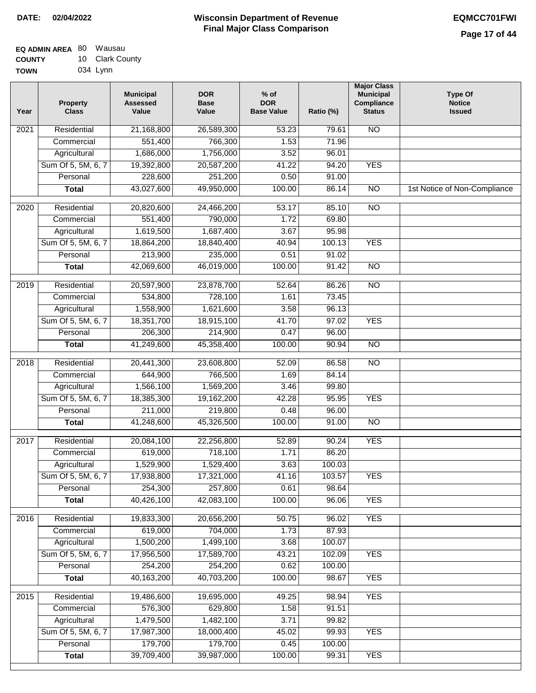| EQ ADMIN AREA 80 | Wausau          |
|------------------|-----------------|
| <b>COUNTY</b>    | 10 Clark County |
| <b>TOWN</b>      | 034 Lynn        |

| Year              | <b>Property</b><br><b>Class</b> | <b>Municipal</b><br><b>Assessed</b><br>Value | <b>DOR</b><br><b>Base</b><br>Value | $%$ of<br><b>DOR</b><br><b>Base Value</b> | Ratio (%) | <b>Major Class</b><br><b>Municipal</b><br>Compliance<br><b>Status</b> | <b>Type Of</b><br><b>Notice</b><br><b>Issued</b> |
|-------------------|---------------------------------|----------------------------------------------|------------------------------------|-------------------------------------------|-----------|-----------------------------------------------------------------------|--------------------------------------------------|
| $\overline{202}1$ | Residential                     | 21,168,800                                   | 26,589,300                         | 53.23                                     | 79.61     | <b>NO</b>                                                             |                                                  |
|                   | Commercial                      | 551,400                                      | 766,300                            | 1.53                                      | 71.96     |                                                                       |                                                  |
|                   | Agricultural                    | 1,686,000                                    | 1,756,000                          | 3.52                                      | 96.01     |                                                                       |                                                  |
|                   | Sum Of 5, 5M, 6, 7              | 19,392,800                                   | 20,587,200                         | 41.22                                     | 94.20     | <b>YES</b>                                                            |                                                  |
|                   | Personal                        | 228,600                                      | 251,200                            | 0.50                                      | 91.00     |                                                                       |                                                  |
|                   | <b>Total</b>                    | 43,027,600                                   | 49,950,000                         | 100.00                                    | 86.14     | $\overline{NO}$                                                       | 1st Notice of Non-Compliance                     |
| 2020              | Residential                     | 20,820,600                                   | 24,466,200                         | 53.17                                     | 85.10     | $\overline{NO}$                                                       |                                                  |
|                   | Commercial                      | 551,400                                      | 790,000                            | 1.72                                      | 69.80     |                                                                       |                                                  |
|                   | Agricultural                    | 1,619,500                                    | 1,687,400                          | 3.67                                      | 95.98     |                                                                       |                                                  |
|                   | Sum Of 5, 5M, 6, 7              | 18,864,200                                   | 18,840,400                         | 40.94                                     | 100.13    | <b>YES</b>                                                            |                                                  |
|                   | Personal                        | 213,900                                      | 235,000                            | 0.51                                      | 91.02     |                                                                       |                                                  |
|                   | <b>Total</b>                    | 42,069,600                                   | 46,019,000                         | 100.00                                    | 91.42     | <b>NO</b>                                                             |                                                  |
| 2019              | Residential                     | 20,597,900                                   | 23,878,700                         | 52.64                                     | 86.26     | $\overline{NO}$                                                       |                                                  |
|                   | Commercial                      | 534,800                                      | 728,100                            | 1.61                                      | 73.45     |                                                                       |                                                  |
|                   | Agricultural                    | 1,558,900                                    | 1,621,600                          | 3.58                                      | 96.13     |                                                                       |                                                  |
|                   | Sum Of 5, 5M, 6, 7              | 18,351,700                                   | 18,915,100                         | 41.70                                     | 97.02     | <b>YES</b>                                                            |                                                  |
|                   | Personal                        | 206,300                                      | 214,900                            | 0.47                                      | 96.00     |                                                                       |                                                  |
|                   | <b>Total</b>                    | 41,249,600                                   | 45,358,400                         | 100.00                                    | 90.94     | $\overline{NO}$                                                       |                                                  |
| 2018              | Residential                     | 20,441,300                                   | 23,608,800                         | 52.09                                     | 86.58     | <b>NO</b>                                                             |                                                  |
|                   | Commercial                      | 644,900                                      | 766,500                            | 1.69                                      | 84.14     |                                                                       |                                                  |
|                   | Agricultural                    | 1,566,100                                    | 1,569,200                          | 3.46                                      | 99.80     |                                                                       |                                                  |
|                   | Sum Of 5, 5M, 6, 7              | 18,385,300                                   | 19,162,200                         | 42.28                                     | 95.95     | <b>YES</b>                                                            |                                                  |
|                   | Personal                        | 211,000                                      | 219,800                            | 0.48                                      | 96.00     |                                                                       |                                                  |
|                   | <b>Total</b>                    | 41,248,600                                   | 45,326,500                         | 100.00                                    | 91.00     | <b>NO</b>                                                             |                                                  |
| 2017              | Residential                     | 20,084,100                                   | 22,256,800                         | 52.89                                     | 90.24     | <b>YES</b>                                                            |                                                  |
|                   | Commercial                      | 619,000                                      | 718,100                            | 1.71                                      | 86.20     |                                                                       |                                                  |
|                   | Agricultural                    | 1,529,900                                    | 1,529,400                          | 3.63                                      | 100.03    |                                                                       |                                                  |
|                   | Sum Of 5, 5M, 6, 7              | 17,938,800                                   | 17,321,000                         | 41.16                                     | 103.57    | <b>YES</b>                                                            |                                                  |
|                   | Personal                        | 254,300                                      | 257,800                            | 0.61                                      | 98.64     |                                                                       |                                                  |
|                   | <b>Total</b>                    | 40,426,100                                   | 42,083,100                         | 100.00                                    | 96.06     | <b>YES</b>                                                            |                                                  |
| 2016              | Residential                     | 19,833,300                                   | 20,656,200                         | 50.75                                     | 96.02     | <b>YES</b>                                                            |                                                  |
|                   | Commercial                      | 619,000                                      | 704,000                            | 1.73                                      | 87.93     |                                                                       |                                                  |
|                   | Agricultural                    | 1,500,200                                    | 1,499,100                          | 3.68                                      | 100.07    |                                                                       |                                                  |
|                   | Sum Of 5, 5M, 6, 7              | 17,956,500                                   | 17,589,700                         | 43.21                                     | 102.09    | <b>YES</b>                                                            |                                                  |
|                   | Personal                        | 254,200                                      | 254,200                            | 0.62                                      | 100.00    |                                                                       |                                                  |
|                   | <b>Total</b>                    | 40,163,200                                   | 40,703,200                         | 100.00                                    | 98.67     | <b>YES</b>                                                            |                                                  |
| 2015              | Residential                     | 19,486,600                                   | 19,695,000                         | 49.25                                     | 98.94     | <b>YES</b>                                                            |                                                  |
|                   | Commercial                      | 576,300                                      | 629,800                            | 1.58                                      | 91.51     |                                                                       |                                                  |
|                   | Agricultural                    | 1,479,500                                    | 1,482,100                          | 3.71                                      | 99.82     |                                                                       |                                                  |
|                   | Sum Of 5, 5M, 6, 7              | 17,987,300                                   | 18,000,400                         | 45.02                                     | 99.93     | <b>YES</b>                                                            |                                                  |
|                   | Personal                        | 179,700                                      | 179,700                            | 0.45                                      | 100.00    |                                                                       |                                                  |
|                   | <b>Total</b>                    | 39,709,400                                   | 39,987,000                         | 100.00                                    | 99.31     | <b>YES</b>                                                            |                                                  |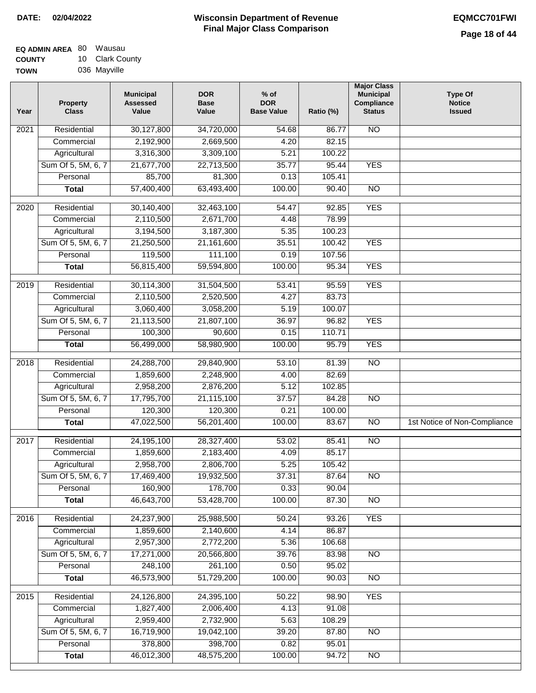| EQ ADMIN AREA 80 | Wausau          |
|------------------|-----------------|
| <b>COUNTY</b>    | 10 Clark County |
| <b>TOWN</b>      | 036 Mayville    |

| Year              | <b>Property</b><br><b>Class</b> | <b>Municipal</b><br><b>Assessed</b><br>Value | <b>DOR</b><br><b>Base</b><br>Value | % of<br><b>DOR</b><br><b>Base Value</b> | Ratio (%) | <b>Major Class</b><br><b>Municipal</b><br>Compliance<br><b>Status</b> | <b>Type Of</b><br><b>Notice</b><br><b>Issued</b> |
|-------------------|---------------------------------|----------------------------------------------|------------------------------------|-----------------------------------------|-----------|-----------------------------------------------------------------------|--------------------------------------------------|
| $\overline{202}1$ | Residential                     | 30,127,800                                   | 34,720,000                         | $\frac{1}{54.68}$                       | 86.77     | N <sub>O</sub>                                                        |                                                  |
|                   | Commercial                      | 2,192,900                                    | 2,669,500                          | 4.20                                    | 82.15     |                                                                       |                                                  |
|                   | Agricultural                    | 3,316,300                                    | 3,309,100                          | 5.21                                    | 100.22    |                                                                       |                                                  |
|                   | Sum Of 5, 5M, 6, 7              | 21,677,700                                   | 22,713,500                         | 35.77                                   | 95.44     | <b>YES</b>                                                            |                                                  |
|                   | Personal                        | 85,700                                       | 81,300                             | 0.13                                    | 105.41    |                                                                       |                                                  |
|                   | <b>Total</b>                    | 57,400,400                                   | 63,493,400                         | 100.00                                  | 90.40     | $\overline{NO}$                                                       |                                                  |
| $\overline{2020}$ | Residential                     | 30,140,400                                   | 32,463,100                         | 54.47                                   | 92.85     | <b>YES</b>                                                            |                                                  |
|                   | Commercial                      | 2,110,500                                    | 2,671,700                          | 4.48                                    | 78.99     |                                                                       |                                                  |
|                   | Agricultural                    | 3,194,500                                    | 3,187,300                          | 5.35                                    | 100.23    |                                                                       |                                                  |
|                   | Sum Of 5, 5M, 6, 7              | 21,250,500                                   | 21,161,600                         | 35.51                                   | 100.42    | <b>YES</b>                                                            |                                                  |
|                   | Personal                        | 119,500                                      | 111,100                            | 0.19                                    | 107.56    |                                                                       |                                                  |
|                   | <b>Total</b>                    | 56,815,400                                   | 59,594,800                         | 100.00                                  | 95.34     | <b>YES</b>                                                            |                                                  |
| $\frac{2019}{ }$  | Residential                     | 30,114,300                                   | 31,504,500                         | 53.41                                   | 95.59     | <b>YES</b>                                                            |                                                  |
|                   | Commercial                      | 2,110,500                                    | 2,520,500                          | 4.27                                    | 83.73     |                                                                       |                                                  |
|                   | Agricultural                    | 3,060,400                                    | 3,058,200                          | 5.19                                    | 100.07    |                                                                       |                                                  |
|                   | Sum Of 5, 5M, 6, 7              | 21,113,500                                   | 21,807,100                         | 36.97                                   | 96.82     | <b>YES</b>                                                            |                                                  |
|                   | Personal                        | 100,300                                      | 90,600                             | 0.15                                    | 110.71    |                                                                       |                                                  |
|                   | <b>Total</b>                    | 56,499,000                                   | 58,980,900                         | 100.00                                  | 95.79     | <b>YES</b>                                                            |                                                  |
|                   |                                 |                                              |                                    |                                         |           |                                                                       |                                                  |
| 2018              | Residential                     | 24,288,700                                   | 29,840,900                         | 53.10                                   | 81.39     | $\overline{10}$                                                       |                                                  |
|                   | Commercial                      | 1,859,600                                    | 2,248,900                          | 4.00                                    | 82.69     |                                                                       |                                                  |
|                   | Agricultural                    | 2,958,200                                    | 2,876,200                          | 5.12                                    | 102.85    |                                                                       |                                                  |
|                   | Sum Of 5, 5M, 6, 7              | 17,795,700                                   | 21,115,100                         | 37.57                                   | 84.28     | $\overline{3}$                                                        |                                                  |
|                   | Personal                        | 120,300                                      | 120,300                            | 0.21                                    | 100.00    |                                                                       |                                                  |
|                   | <b>Total</b>                    | 47,022,500                                   | 56,201,400                         | 100.00                                  | 83.67     | $\overline{10}$                                                       | 1st Notice of Non-Compliance                     |
| $\overline{2017}$ | Residential                     | 24,195,100                                   | 28,327,400                         | 53.02                                   | 85.41     | $\overline{NO}$                                                       |                                                  |
|                   | Commercial                      | 1,859,600                                    | 2,183,400                          | 4.09                                    | 85.17     |                                                                       |                                                  |
|                   | Agricultural                    | 2,958,700                                    | 2,806,700                          | 5.25                                    | 105.42    |                                                                       |                                                  |
|                   | Sum Of 5, 5M, 6, 7              | 17,469,400                                   | 19,932,500                         | 37.31                                   | 87.64     | <b>NO</b>                                                             |                                                  |
|                   | Personal                        | 160,900                                      | 178,700                            | 0.33                                    | 90.04     |                                                                       |                                                  |
|                   | <b>Total</b>                    | 46,643,700                                   | 53,428,700                         | 100.00                                  | 87.30     | <b>NO</b>                                                             |                                                  |
| 2016              | Residential                     | 24,237,900                                   | 25,988,500                         | 50.24                                   | 93.26     | <b>YES</b>                                                            |                                                  |
|                   | Commercial                      | 1,859,600                                    | 2,140,600                          | 4.14                                    | 86.87     |                                                                       |                                                  |
|                   | Agricultural                    | 2,957,300                                    | 2,772,200                          | 5.36                                    | 106.68    |                                                                       |                                                  |
|                   | Sum Of 5, 5M, 6, 7              | 17,271,000                                   | 20,566,800                         | 39.76                                   | 83.98     | N <sub>O</sub>                                                        |                                                  |
|                   | Personal                        | 248,100                                      | 261,100                            | 0.50                                    | 95.02     |                                                                       |                                                  |
|                   | <b>Total</b>                    | 46,573,900                                   | 51,729,200                         | 100.00                                  | 90.03     | N <sub>O</sub>                                                        |                                                  |
| 2015              | Residential                     | 24,126,800                                   | 24,395,100                         | 50.22                                   | 98.90     | <b>YES</b>                                                            |                                                  |
|                   | Commercial                      | 1,827,400                                    | 2,006,400                          | 4.13                                    | 91.08     |                                                                       |                                                  |
|                   | Agricultural                    | 2,959,400                                    | 2,732,900                          | 5.63                                    | 108.29    |                                                                       |                                                  |
|                   | Sum Of 5, 5M, 6, 7              | 16,719,900                                   | 19,042,100                         | 39.20                                   | 87.80     | <b>NO</b>                                                             |                                                  |
|                   | Personal                        | 378,800                                      | 398,700                            | 0.82                                    | 95.01     |                                                                       |                                                  |
|                   | <b>Total</b>                    | 46,012,300                                   | 48,575,200                         | 100.00                                  | 94.72     | N <sub>O</sub>                                                        |                                                  |
|                   |                                 |                                              |                                    |                                         |           |                                                                       |                                                  |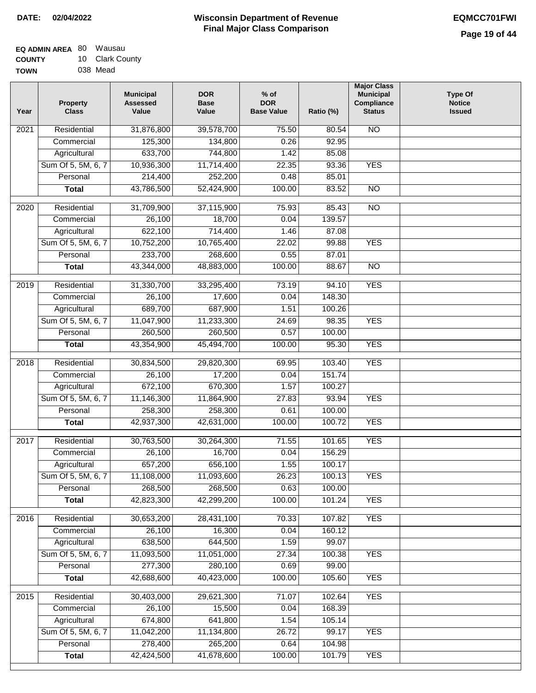| <b>EQ ADMIN AREA 80 Wausau</b> |                 |
|--------------------------------|-----------------|
| <b>COUNTY</b>                  | 10 Clark County |
| <b>TOWN</b>                    | 038 Mead        |

| Year              | <b>Property</b><br><b>Class</b> | <b>Municipal</b><br><b>Assessed</b><br>Value | <b>DOR</b><br><b>Base</b><br>Value | $%$ of<br><b>DOR</b><br><b>Base Value</b> | Ratio (%) | <b>Major Class</b><br><b>Municipal</b><br>Compliance<br><b>Status</b> | <b>Type Of</b><br><b>Notice</b><br><b>Issued</b> |
|-------------------|---------------------------------|----------------------------------------------|------------------------------------|-------------------------------------------|-----------|-----------------------------------------------------------------------|--------------------------------------------------|
| $\overline{202}1$ | Residential                     | 31,876,800                                   | 39,578,700                         | 75.50                                     | 80.54     | <b>NO</b>                                                             |                                                  |
|                   | Commercial                      | 125,300                                      | 134,800                            | 0.26                                      | 92.95     |                                                                       |                                                  |
|                   | Agricultural                    | 633,700                                      | 744,800                            | 1.42                                      | 85.08     |                                                                       |                                                  |
|                   | Sum Of 5, 5M, 6, 7              | 10,936,300                                   | 11,714,400                         | 22.35                                     | 93.36     | <b>YES</b>                                                            |                                                  |
|                   | Personal                        | 214,400                                      | 252,200                            | 0.48                                      | 85.01     |                                                                       |                                                  |
|                   | <b>Total</b>                    | 43,786,500                                   | 52,424,900                         | 100.00                                    | 83.52     | $\overline{NO}$                                                       |                                                  |
| $\overline{2020}$ | Residential                     | 31,709,900                                   | 37,115,900                         | 75.93                                     | 85.43     | <b>NO</b>                                                             |                                                  |
|                   | Commercial                      | 26,100                                       | 18,700                             | 0.04                                      | 139.57    |                                                                       |                                                  |
|                   | Agricultural                    | 622,100                                      | 714,400                            | 1.46                                      | 87.08     |                                                                       |                                                  |
|                   | Sum Of 5, 5M, 6, 7              | 10,752,200                                   | 10,765,400                         | 22.02                                     | 99.88     | <b>YES</b>                                                            |                                                  |
|                   | Personal                        | 233,700                                      | 268,600                            | 0.55                                      | 87.01     |                                                                       |                                                  |
|                   | <b>Total</b>                    | 43,344,000                                   | 48,883,000                         | 100.00                                    | 88.67     | $\overline{NO}$                                                       |                                                  |
| 2019              | Residential                     | 31,330,700                                   | 33,295,400                         | 73.19                                     | 94.10     | <b>YES</b>                                                            |                                                  |
|                   | Commercial                      | 26,100                                       | 17,600                             | 0.04                                      | 148.30    |                                                                       |                                                  |
|                   | Agricultural                    | 689,700                                      | 687,900                            | 1.51                                      | 100.26    |                                                                       |                                                  |
|                   | Sum Of 5, 5M, 6, 7              | 11,047,900                                   | 11,233,300                         | 24.69                                     | 98.35     | <b>YES</b>                                                            |                                                  |
|                   | Personal                        | 260,500                                      | 260,500                            | 0.57                                      | 100.00    |                                                                       |                                                  |
|                   | <b>Total</b>                    | 43,354,900                                   | 45,494,700                         | 100.00                                    | 95.30     | <b>YES</b>                                                            |                                                  |
|                   |                                 |                                              |                                    |                                           |           |                                                                       |                                                  |
| 2018              | Residential                     | 30,834,500                                   | 29,820,300                         | 69.95                                     | 103.40    | <b>YES</b>                                                            |                                                  |
|                   | Commercial                      | 26,100                                       | 17,200                             | 0.04                                      | 151.74    |                                                                       |                                                  |
|                   | Agricultural                    | 672,100                                      | 670,300                            | 1.57                                      | 100.27    |                                                                       |                                                  |
|                   | Sum Of 5, 5M, 6, 7              | 11,146,300                                   | 11,864,900                         | 27.83                                     | 93.94     | <b>YES</b>                                                            |                                                  |
|                   | Personal                        | 258,300                                      | 258,300                            | 0.61                                      | 100.00    |                                                                       |                                                  |
|                   | <b>Total</b>                    | 42,937,300                                   | 42,631,000                         | 100.00                                    | 100.72    | <b>YES</b>                                                            |                                                  |
| 2017              | Residential                     | 30,763,500                                   | 30,264,300                         | 71.55                                     | 101.65    | <b>YES</b>                                                            |                                                  |
|                   | Commercial                      | 26,100                                       | 16,700                             | 0.04                                      | 156.29    |                                                                       |                                                  |
|                   | Agricultural                    | 657,200                                      | 656,100                            | 1.55                                      | 100.17    |                                                                       |                                                  |
|                   | Sum Of 5, 5M, 6, 7              | 11,108,000                                   | 11,093,600                         | 26.23                                     | 100.13    | <b>YES</b>                                                            |                                                  |
|                   | Personal                        | 268,500                                      | 268,500                            | 0.63                                      | 100.00    |                                                                       |                                                  |
|                   | <b>Total</b>                    | 42,823,300                                   | 42,299,200                         | 100.00                                    | 101.24    | <b>YES</b>                                                            |                                                  |
| 2016              | Residential                     | 30,653,200                                   | 28,431,100                         | 70.33                                     | 107.82    | <b>YES</b>                                                            |                                                  |
|                   | Commercial                      | 26,100                                       | 16,300                             | 0.04                                      | 160.12    |                                                                       |                                                  |
|                   | Agricultural                    | 638,500                                      | 644,500                            | 1.59                                      | 99.07     |                                                                       |                                                  |
|                   | Sum Of 5, 5M, 6, 7              | 11,093,500                                   | 11,051,000                         | 27.34                                     | 100.38    | <b>YES</b>                                                            |                                                  |
|                   | Personal                        | 277,300                                      | 280,100                            | 0.69                                      | 99.00     |                                                                       |                                                  |
|                   | <b>Total</b>                    | 42,688,600                                   | 40,423,000                         | 100.00                                    | 105.60    | <b>YES</b>                                                            |                                                  |
|                   |                                 |                                              |                                    |                                           |           |                                                                       |                                                  |
| 2015              | Residential                     | 30,403,000                                   | 29,621,300                         | 71.07                                     | 102.64    | <b>YES</b>                                                            |                                                  |
|                   | Commercial                      | 26,100                                       | 15,500                             | 0.04                                      | 168.39    |                                                                       |                                                  |
|                   | Agricultural                    | 674,800                                      | 641,800                            | 1.54                                      | 105.14    |                                                                       |                                                  |
|                   | Sum Of 5, 5M, 6, 7              | 11,042,200                                   | 11,134,800                         | 26.72                                     | 99.17     | <b>YES</b>                                                            |                                                  |
|                   | Personal                        | 278,400                                      | 265,200                            | 0.64                                      | 104.98    |                                                                       |                                                  |
|                   | <b>Total</b>                    | 42,424,500                                   | 41,678,600                         | 100.00                                    | 101.79    | <b>YES</b>                                                            |                                                  |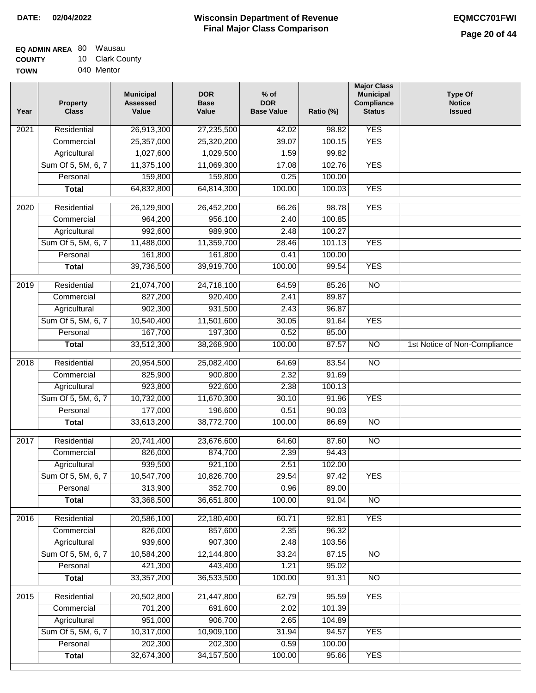| EQ ADMIN AREA 80 | Wausau          |  |  |
|------------------|-----------------|--|--|
| <b>COUNTY</b>    | 10 Clark County |  |  |
| <b>TOWN</b>      | 040 Mentor      |  |  |

040 Mentor

| Year              | <b>Property</b><br><b>Class</b> | <b>Municipal</b><br><b>Assessed</b><br>Value | <b>DOR</b><br><b>Base</b><br>Value | $%$ of<br><b>DOR</b><br><b>Base Value</b> | Ratio (%) | <b>Major Class</b><br><b>Municipal</b><br>Compliance<br><b>Status</b> | <b>Type Of</b><br><b>Notice</b><br><b>Issued</b> |
|-------------------|---------------------------------|----------------------------------------------|------------------------------------|-------------------------------------------|-----------|-----------------------------------------------------------------------|--------------------------------------------------|
| $\overline{202}1$ | Residential                     | 26,913,300                                   | 27,235,500                         | 42.02                                     | 98.82     | <b>YES</b>                                                            |                                                  |
|                   | Commercial                      | 25,357,000                                   | 25,320,200                         | 39.07                                     | 100.15    | <b>YES</b>                                                            |                                                  |
|                   | Agricultural                    | 1,027,600                                    | 1,029,500                          | 1.59                                      | 99.82     |                                                                       |                                                  |
|                   | Sum Of 5, 5M, 6, 7              | 11,375,100                                   | 11,069,300                         | 17.08                                     | 102.76    | <b>YES</b>                                                            |                                                  |
|                   | Personal                        | 159,800                                      | 159,800                            | 0.25                                      | 100.00    |                                                                       |                                                  |
|                   | <b>Total</b>                    | 64,832,800                                   | 64,814,300                         | 100.00                                    | 100.03    | <b>YES</b>                                                            |                                                  |
| $\overline{2020}$ | Residential                     | 26,129,900                                   | 26,452,200                         | 66.26                                     | 98.78     | <b>YES</b>                                                            |                                                  |
|                   | Commercial                      | 964,200                                      | 956,100                            | 2.40                                      | 100.85    |                                                                       |                                                  |
|                   | Agricultural                    | 992,600                                      | 989,900                            | 2.48                                      | 100.27    |                                                                       |                                                  |
|                   | Sum Of 5, 5M, 6, 7              | 11,488,000                                   | 11,359,700                         | 28.46                                     | 101.13    | <b>YES</b>                                                            |                                                  |
|                   | Personal                        | 161,800                                      | 161,800                            | 0.41                                      | 100.00    |                                                                       |                                                  |
|                   | <b>Total</b>                    | 39,736,500                                   | 39,919,700                         | 100.00                                    | 99.54     | <b>YES</b>                                                            |                                                  |
| 2019              | Residential                     | 21,074,700                                   | 24,718,100                         | 64.59                                     | 85.26     | $\overline{NO}$                                                       |                                                  |
|                   | Commercial                      | 827,200                                      | 920,400                            | 2.41                                      | 89.87     |                                                                       |                                                  |
|                   | Agricultural                    | 902,300                                      | 931,500                            | 2.43                                      | 96.87     |                                                                       |                                                  |
|                   | Sum Of 5, 5M, 6, 7              | 10,540,400                                   | 11,501,600                         | 30.05                                     | 91.64     | <b>YES</b>                                                            |                                                  |
|                   | Personal                        | 167,700                                      | 197,300                            | 0.52                                      | 85.00     |                                                                       |                                                  |
|                   | <b>Total</b>                    | 33,512,300                                   | 38,268,900                         | 100.00                                    | 87.57     | $\overline{NO}$                                                       | 1st Notice of Non-Compliance                     |
| 2018              | Residential                     | 20,954,500                                   | 25,082,400                         | 64.69                                     | 83.54     | $\overline{NO}$                                                       |                                                  |
|                   | Commercial                      | 825,900                                      | 900,800                            | 2.32                                      | 91.69     |                                                                       |                                                  |
|                   | Agricultural                    | 923,800                                      | 922,600                            | 2.38                                      | 100.13    |                                                                       |                                                  |
|                   | Sum Of 5, 5M, 6, 7              | 10,732,000                                   | 11,670,300                         | 30.10                                     | 91.96     | <b>YES</b>                                                            |                                                  |
|                   | Personal                        | 177,000                                      | 196,600                            | 0.51                                      | 90.03     |                                                                       |                                                  |
|                   | <b>Total</b>                    | 33,613,200                                   | 38,772,700                         | 100.00                                    | 86.69     | <b>NO</b>                                                             |                                                  |
| $\overline{2017}$ | Residential                     | 20,741,400                                   | 23,676,600                         | 64.60                                     | 87.60     | $\overline{NO}$                                                       |                                                  |
|                   | Commercial                      | 826,000                                      | 874,700                            | 2.39                                      | 94.43     |                                                                       |                                                  |
|                   | Agricultural                    | 939,500                                      | 921,100                            | 2.51                                      | 102.00    |                                                                       |                                                  |
|                   | Sum Of 5, 5M, 6, 7              | 10,547,700                                   | 10,826,700                         | 29.54                                     | 97.42     | <b>YES</b>                                                            |                                                  |
|                   | Personal                        | 313,900                                      | 352,700                            | 0.96                                      | 89.00     |                                                                       |                                                  |
|                   | <b>Total</b>                    | 33,368,500                                   | 36,651,800                         | 100.00                                    | 91.04     | <b>NO</b>                                                             |                                                  |
|                   |                                 |                                              |                                    |                                           |           |                                                                       |                                                  |
| 2016              | Residential                     | 20,586,100                                   | 22,180,400                         | 60.71                                     | 92.81     | <b>YES</b>                                                            |                                                  |
|                   | Commercial                      | 826,000                                      | 857,600                            | 2.35                                      | 96.32     |                                                                       |                                                  |
|                   | Agricultural                    | 939,600                                      | 907,300                            | 2.48                                      | 103.56    |                                                                       |                                                  |
|                   | Sum Of 5, 5M, 6, 7              | 10,584,200                                   | 12,144,800                         | 33.24                                     | 87.15     | $\overline{NO}$                                                       |                                                  |
|                   | Personal                        | 421,300                                      | 443,400                            | 1.21                                      | 95.02     |                                                                       |                                                  |
|                   | <b>Total</b>                    | 33, 357, 200                                 | 36,533,500                         | 100.00                                    | 91.31     | $\overline{NO}$                                                       |                                                  |
| 2015              | Residential                     | 20,502,800                                   | 21,447,800                         | 62.79                                     | 95.59     | <b>YES</b>                                                            |                                                  |
|                   | Commercial                      | 701,200                                      | 691,600                            | 2.02                                      | 101.39    |                                                                       |                                                  |
|                   | Agricultural                    | 951,000                                      | 906,700                            | 2.65                                      | 104.89    |                                                                       |                                                  |
|                   | Sum Of 5, 5M, 6, 7              | 10,317,000                                   | 10,909,100                         | 31.94                                     | 94.57     | <b>YES</b>                                                            |                                                  |
|                   | Personal                        | 202,300                                      | 202,300                            | 0.59                                      | 100.00    |                                                                       |                                                  |
|                   | <b>Total</b>                    | 32,674,300                                   | 34, 157, 500                       | 100.00                                    | 95.66     | <b>YES</b>                                                            |                                                  |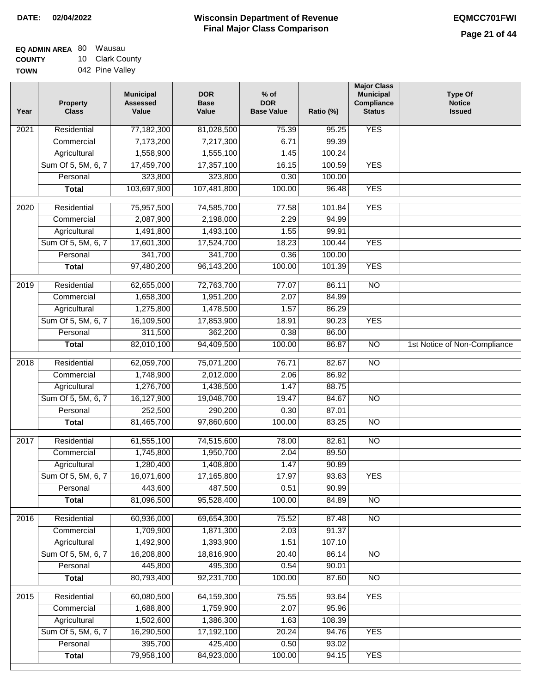| <b>EQ ADMIN AREA 80 Wausau</b> |                 |
|--------------------------------|-----------------|
| <b>COUNTY</b>                  | 10 Clark Count  |
| <b>TOWN</b>                    | 042 Pine Valley |

042 Pine Valley ıty

| Year | <b>Property</b><br><b>Class</b> | <b>Municipal</b><br><b>Assessed</b><br>Value | <b>DOR</b><br><b>Base</b><br>Value | $%$ of<br><b>DOR</b><br><b>Base Value</b> | Ratio (%) | <b>Major Class</b><br><b>Municipal</b><br>Compliance<br><b>Status</b> | <b>Type Of</b><br><b>Notice</b><br><b>Issued</b> |
|------|---------------------------------|----------------------------------------------|------------------------------------|-------------------------------------------|-----------|-----------------------------------------------------------------------|--------------------------------------------------|
| 2021 | Residential                     | 77,182,300                                   | 81,028,500                         | 75.39                                     | 95.25     | <b>YES</b>                                                            |                                                  |
|      | Commercial                      | 7,173,200                                    | 7,217,300                          | 6.71                                      | 99.39     |                                                                       |                                                  |
|      | Agricultural                    | 1,558,900                                    | 1,555,100                          | 1.45                                      | 100.24    |                                                                       |                                                  |
|      | Sum Of 5, 5M, 6, 7              | 17,459,700                                   | 17,357,100                         | 16.15                                     | 100.59    | <b>YES</b>                                                            |                                                  |
|      | Personal                        | 323,800                                      | 323,800                            | 0.30                                      | 100.00    |                                                                       |                                                  |
|      | <b>Total</b>                    | 103,697,900                                  | 107,481,800                        | 100.00                                    | 96.48     | <b>YES</b>                                                            |                                                  |
| 2020 | Residential                     | 75,957,500                                   | 74,585,700                         | 77.58                                     | 101.84    | <b>YES</b>                                                            |                                                  |
|      | Commercial                      | 2,087,900                                    | 2,198,000                          | 2.29                                      | 94.99     |                                                                       |                                                  |
|      | Agricultural                    | 1,491,800                                    | 1,493,100                          | 1.55                                      | 99.91     |                                                                       |                                                  |
|      | Sum Of 5, 5M, 6, 7              | 17,601,300                                   | 17,524,700                         | 18.23                                     | 100.44    | <b>YES</b>                                                            |                                                  |
|      | Personal                        | 341,700                                      | 341,700                            | 0.36                                      | 100.00    |                                                                       |                                                  |
|      | <b>Total</b>                    | 97,480,200                                   | 96,143,200                         | 100.00                                    | 101.39    | <b>YES</b>                                                            |                                                  |
|      |                                 |                                              |                                    |                                           |           |                                                                       |                                                  |
| 2019 | Residential                     | 62,655,000                                   | 72,763,700                         | 77.07                                     | 86.11     | $\overline{NO}$                                                       |                                                  |
|      | Commercial                      | 1,658,300                                    | 1,951,200                          | 2.07                                      | 84.99     |                                                                       |                                                  |
|      | Agricultural                    | 1,275,800                                    | 1,478,500                          | 1.57                                      | 86.29     |                                                                       |                                                  |
|      | Sum Of 5, 5M, 6, 7              | 16,109,500                                   | 17,853,900                         | 18.91                                     | 90.23     | <b>YES</b>                                                            |                                                  |
|      | Personal                        | 311,500                                      | 362,200                            | 0.38                                      | 86.00     |                                                                       |                                                  |
|      | <b>Total</b>                    | 82,010,100                                   | 94,409,500                         | 100.00                                    | 86.87     | $\overline{NO}$                                                       | 1st Notice of Non-Compliance                     |
| 2018 | Residential                     | 62,059,700                                   | 75,071,200                         | 76.71                                     | 82.67     | $\overline{NO}$                                                       |                                                  |
|      | Commercial                      | 1,748,900                                    | 2,012,000                          | 2.06                                      | 86.92     |                                                                       |                                                  |
|      | Agricultural                    | 1,276,700                                    | 1,438,500                          | 1.47                                      | 88.75     |                                                                       |                                                  |
|      | Sum Of 5, 5M, 6, 7              | 16,127,900                                   | 19,048,700                         | 19.47                                     | 84.67     | $\overline{10}$                                                       |                                                  |
|      | Personal                        | 252,500                                      | 290,200                            | 0.30                                      | 87.01     |                                                                       |                                                  |
|      | <b>Total</b>                    | 81,465,700                                   | 97,860,600                         | 100.00                                    | 83.25     | $\overline{NO}$                                                       |                                                  |
| 2017 | Residential                     | 61,555,100                                   | 74,515,600                         | 78.00                                     | 82.61     | N <sub>O</sub>                                                        |                                                  |
|      | Commercial                      | 1,745,800                                    | 1,950,700                          | 2.04                                      | 89.50     |                                                                       |                                                  |
|      | Agricultural                    | 1,280,400                                    | 1,408,800                          | 1.47                                      | 90.89     |                                                                       |                                                  |
|      | Sum Of 5, 5M, 6, 7              | 16,071,600                                   | 17,165,800                         | 17.97                                     | 93.63     | YES                                                                   |                                                  |
|      | Personal                        | 443,600                                      | 487,500                            | 0.51                                      | 90.99     |                                                                       |                                                  |
|      | <b>Total</b>                    | 81,096,500                                   | 95,528,400                         | 100.00                                    | 84.89     | <b>NO</b>                                                             |                                                  |
| 2016 | Residential                     | 60,936,000                                   | 69,654,300                         | 75.52                                     | 87.48     | N <sub>O</sub>                                                        |                                                  |
|      | Commercial                      | 1,709,900                                    | 1,871,300                          | 2.03                                      | 91.37     |                                                                       |                                                  |
|      | Agricultural                    | 1,492,900                                    | 1,393,900                          | 1.51                                      | 107.10    |                                                                       |                                                  |
|      | Sum Of 5, 5M, 6, 7              | 16,208,800                                   | 18,816,900                         | 20.40                                     | 86.14     | N <sub>O</sub>                                                        |                                                  |
|      | Personal                        | 445,800                                      | 495,300                            | 0.54                                      | 90.01     |                                                                       |                                                  |
|      | <b>Total</b>                    | 80,793,400                                   | 92,231,700                         | 100.00                                    | 87.60     | $\overline{NO}$                                                       |                                                  |
| 2015 | Residential                     | 60,080,500                                   | 64,159,300                         | 75.55                                     | 93.64     | <b>YES</b>                                                            |                                                  |
|      | Commercial                      | 1,688,800                                    | 1,759,900                          | 2.07                                      | 95.96     |                                                                       |                                                  |
|      | Agricultural                    | 1,502,600                                    | 1,386,300                          | 1.63                                      | 108.39    |                                                                       |                                                  |
|      | Sum Of 5, 5M, 6, 7              | 16,290,500                                   | 17,192,100                         | 20.24                                     | 94.76     | <b>YES</b>                                                            |                                                  |
|      | Personal                        | 395,700                                      | 425,400                            | 0.50                                      | 93.02     |                                                                       |                                                  |
|      | <b>Total</b>                    | 79,958,100                                   | 84,923,000                         | 100.00                                    | 94.15     | <b>YES</b>                                                            |                                                  |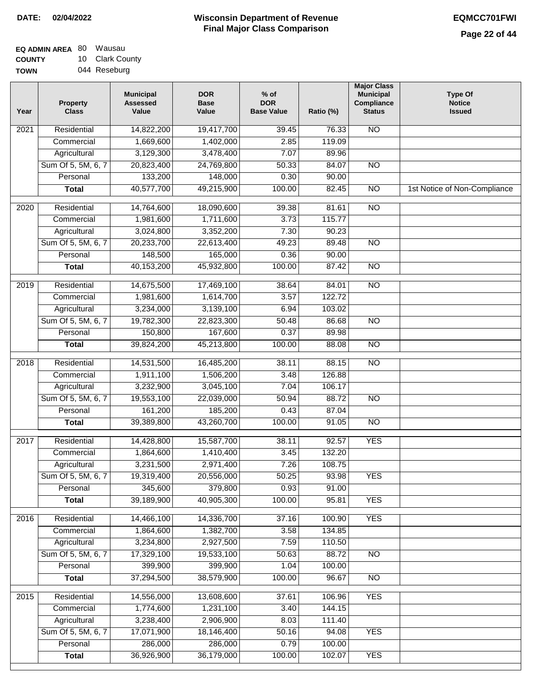| EQ ADMIN AREA 80 | Wausau          |
|------------------|-----------------|
| <b>COUNTY</b>    | 10 Clark County |
| <b>TOWN</b>      | 044 Reseburg    |

| Year              | <b>Property</b><br><b>Class</b> | <b>Municipal</b><br><b>Assessed</b><br>Value | <b>DOR</b><br><b>Base</b><br>Value | % of<br><b>DOR</b><br><b>Base Value</b> | Ratio (%) | <b>Major Class</b><br><b>Municipal</b><br>Compliance<br><b>Status</b> | <b>Type Of</b><br><b>Notice</b><br><b>Issued</b> |
|-------------------|---------------------------------|----------------------------------------------|------------------------------------|-----------------------------------------|-----------|-----------------------------------------------------------------------|--------------------------------------------------|
| $\overline{202}1$ | Residential                     | 14,822,200                                   | 19,417,700                         | 39.45                                   | 76.33     | <b>NO</b>                                                             |                                                  |
|                   | Commercial                      | 1,669,600                                    | 1,402,000                          | 2.85                                    | 119.09    |                                                                       |                                                  |
|                   | Agricultural                    | 3,129,300                                    | 3,478,400                          | 7.07                                    | 89.96     |                                                                       |                                                  |
|                   | Sum Of 5, 5M, 6, 7              | 20,823,400                                   | 24,769,800                         | 50.33                                   | 84.07     | N <sub>O</sub>                                                        |                                                  |
|                   | Personal                        | 133,200                                      | 148,000                            | 0.30                                    | 90.00     |                                                                       |                                                  |
|                   | <b>Total</b>                    | 40,577,700                                   | 49,215,900                         | 100.00                                  | 82.45     | $\overline{NO}$                                                       | 1st Notice of Non-Compliance                     |
| 2020              | Residential                     | 14,764,600                                   | 18,090,600                         | 39.38                                   | 81.61     | $\overline{NO}$                                                       |                                                  |
|                   | Commercial                      | 1,981,600                                    | 1,711,600                          | 3.73                                    | 115.77    |                                                                       |                                                  |
|                   | Agricultural                    | 3,024,800                                    | 3,352,200                          | 7.30                                    | 90.23     |                                                                       |                                                  |
|                   | Sum Of 5, 5M, 6, 7              | 20,233,700                                   | 22,613,400                         | 49.23                                   | 89.48     | $\overline{NO}$                                                       |                                                  |
|                   | Personal                        | 148,500                                      | 165,000                            | 0.36                                    | 90.00     |                                                                       |                                                  |
|                   | <b>Total</b>                    | 40,153,200                                   | 45,932,800                         | 100.00                                  | 87.42     | $\overline{NO}$                                                       |                                                  |
| 2019              | Residential                     | 14,675,500                                   | 17,469,100                         | 38.64                                   | 84.01     | $\overline{NO}$                                                       |                                                  |
|                   | Commercial                      | 1,981,600                                    | 1,614,700                          | 3.57                                    | 122.72    |                                                                       |                                                  |
|                   | Agricultural                    | 3,234,000                                    | 3,139,100                          | 6.94                                    | 103.02    |                                                                       |                                                  |
|                   | Sum Of 5, 5M, 6, 7              | 19,782,300                                   | 22,823,300                         | 50.48                                   | 86.68     | $\overline{NO}$                                                       |                                                  |
|                   | Personal                        | 150,800                                      | 167,600                            | 0.37                                    | 89.98     |                                                                       |                                                  |
|                   | <b>Total</b>                    | 39,824,200                                   | 45,213,800                         | 100.00                                  | 88.08     | $\overline{NO}$                                                       |                                                  |
| 2018              | Residential                     | 14,531,500                                   | 16,485,200                         | 38.11                                   | 88.15     | $\overline{NO}$                                                       |                                                  |
|                   | Commercial                      | 1,911,100                                    | 1,506,200                          | 3.48                                    | 126.88    |                                                                       |                                                  |
|                   | Agricultural                    | 3,232,900                                    | 3,045,100                          | 7.04                                    | 106.17    |                                                                       |                                                  |
|                   | Sum Of 5, 5M, 6, 7              | 19,553,100                                   | 22,039,000                         | 50.94                                   | 88.72     | $\overline{NO}$                                                       |                                                  |
|                   | Personal                        | 161,200                                      | 185,200                            | 0.43                                    | 87.04     |                                                                       |                                                  |
|                   | <b>Total</b>                    | 39,389,800                                   | 43,260,700                         | 100.00                                  | 91.05     | $\overline{NO}$                                                       |                                                  |
| 2017              | Residential                     | 14,428,800                                   | 15,587,700                         | 38.11                                   | 92.57     | <b>YES</b>                                                            |                                                  |
|                   | Commercial                      | 1,864,600                                    | 1,410,400                          | 3.45                                    | 132.20    |                                                                       |                                                  |
|                   | Agricultural                    | 3,231,500                                    | 2,971,400                          | 7.26                                    | 108.75    |                                                                       |                                                  |
|                   | Sum Of 5, 5M, 6, 7              | 19,319,400                                   | 20,556,000                         | 50.25                                   | 93.98     | <b>YES</b>                                                            |                                                  |
|                   | Personal                        | 345,600                                      | 379,800                            | 0.93                                    | 91.00     |                                                                       |                                                  |
|                   | <b>Total</b>                    | 39,189,900                                   | 40,905,300                         | 100.00                                  | 95.81     | <b>YES</b>                                                            |                                                  |
| 2016              | Residential                     | 14,466,100                                   | 14,336,700                         | 37.16                                   | 100.90    | <b>YES</b>                                                            |                                                  |
|                   | Commercial                      | 1,864,600                                    | 1,382,700                          | 3.58                                    | 134.85    |                                                                       |                                                  |
|                   | Agricultural                    | 3,234,800                                    | 2,927,500                          | 7.59                                    | 110.50    |                                                                       |                                                  |
|                   | Sum Of 5, 5M, 6, 7              | 17,329,100                                   | 19,533,100                         | 50.63                                   | 88.72     | $\overline{NO}$                                                       |                                                  |
|                   | Personal                        | 399,900                                      | 399,900                            | 1.04                                    | 100.00    |                                                                       |                                                  |
|                   | <b>Total</b>                    | 37,294,500                                   | 38,579,900                         | 100.00                                  | 96.67     | $\overline{NO}$                                                       |                                                  |
| 2015              | Residential                     | 14,556,000                                   | 13,608,600                         | 37.61                                   | 106.96    | <b>YES</b>                                                            |                                                  |
|                   | Commercial                      | 1,774,600                                    | 1,231,100                          | 3.40                                    | 144.15    |                                                                       |                                                  |
|                   | Agricultural                    | 3,238,400                                    | 2,906,900                          | 8.03                                    | 111.40    |                                                                       |                                                  |
|                   | Sum Of 5, 5M, 6, 7              | 17,071,900                                   | 18,146,400                         | 50.16                                   | 94.08     | <b>YES</b>                                                            |                                                  |
|                   | Personal                        | 286,000                                      | 286,000                            | 0.79                                    | 100.00    |                                                                       |                                                  |
|                   | <b>Total</b>                    | 36,926,900                                   | 36,179,000                         | 100.00                                  | 102.07    | <b>YES</b>                                                            |                                                  |
|                   |                                 |                                              |                                    |                                         |           |                                                                       |                                                  |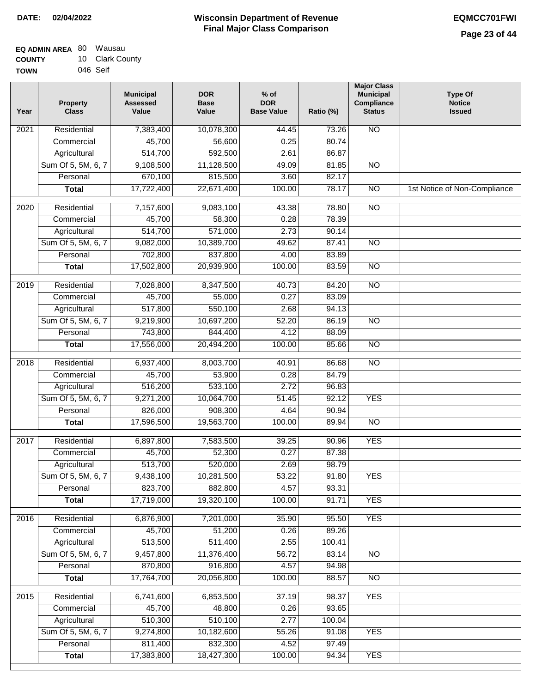| <b>EQ ADMIN AREA 80 Wausau</b> |                 |
|--------------------------------|-----------------|
| <b>COUNTY</b>                  | 10 Clark County |
| <b>TOWN</b>                    | 046 Seif        |

| Year              | <b>Property</b><br><b>Class</b> | <b>Municipal</b><br><b>Assessed</b><br>Value | <b>DOR</b><br><b>Base</b><br>Value | $%$ of<br><b>DOR</b><br><b>Base Value</b> | Ratio (%) | <b>Major Class</b><br><b>Municipal</b><br>Compliance<br><b>Status</b> | <b>Type Of</b><br><b>Notice</b><br><b>Issued</b> |
|-------------------|---------------------------------|----------------------------------------------|------------------------------------|-------------------------------------------|-----------|-----------------------------------------------------------------------|--------------------------------------------------|
| 2021              | Residential                     | 7,383,400                                    | 10,078,300                         | 44.45                                     | 73.26     | <b>NO</b>                                                             |                                                  |
|                   | Commercial                      | 45,700                                       | 56,600                             | 0.25                                      | 80.74     |                                                                       |                                                  |
|                   | Agricultural                    | 514,700                                      | 592,500                            | 2.61                                      | 86.87     |                                                                       |                                                  |
|                   | Sum Of 5, 5M, 6, 7              | 9,108,500                                    | 11,128,500                         | 49.09                                     | 81.85     | N <sub>O</sub>                                                        |                                                  |
|                   | Personal                        | 670,100                                      | 815,500                            | 3.60                                      | 82.17     |                                                                       |                                                  |
|                   | <b>Total</b>                    | 17,722,400                                   | 22,671,400                         | 100.00                                    | 78.17     | $\overline{NO}$                                                       | 1st Notice of Non-Compliance                     |
| $\overline{2020}$ | Residential                     | 7,157,600                                    | 9,083,100                          | 43.38                                     | 78.80     | $\overline{NO}$                                                       |                                                  |
|                   | Commercial                      | 45,700                                       | 58,300                             | 0.28                                      | 78.39     |                                                                       |                                                  |
|                   | Agricultural                    | 514,700                                      | 571,000                            | 2.73                                      | 90.14     |                                                                       |                                                  |
|                   | Sum Of 5, 5M, 6, 7              | 9,082,000                                    | 10,389,700                         | 49.62                                     | 87.41     | $\overline{NO}$                                                       |                                                  |
|                   | Personal                        | 702,800                                      | 837,800                            | 4.00                                      | 83.89     |                                                                       |                                                  |
|                   | <b>Total</b>                    | 17,502,800                                   | 20,939,900                         | 100.00                                    | 83.59     | $\overline{NO}$                                                       |                                                  |
| 2019              | Residential                     | 7,028,800                                    | 8,347,500                          | 40.73                                     | 84.20     | $\overline{NO}$                                                       |                                                  |
|                   | Commercial                      | 45,700                                       | 55,000                             | 0.27                                      | 83.09     |                                                                       |                                                  |
|                   | Agricultural                    | 517,800                                      | 550,100                            | 2.68                                      | 94.13     |                                                                       |                                                  |
|                   | Sum Of 5, 5M, 6, 7              | 9,219,900                                    | 10,697,200                         | 52.20                                     | 86.19     | $\overline{NO}$                                                       |                                                  |
|                   | Personal                        | 743,800                                      | 844,400                            | 4.12                                      | 88.09     |                                                                       |                                                  |
|                   | <b>Total</b>                    | 17,556,000                                   | 20,494,200                         | 100.00                                    | 85.66     | $\overline{NO}$                                                       |                                                  |
| 2018              | Residential                     | 6,937,400                                    | 8,003,700                          | 40.91                                     | 86.68     | <b>NO</b>                                                             |                                                  |
|                   | Commercial                      | 45,700                                       | 53,900                             | 0.28                                      | 84.79     |                                                                       |                                                  |
|                   | Agricultural                    | 516,200                                      | 533,100                            | 2.72                                      | 96.83     |                                                                       |                                                  |
|                   | Sum Of 5, 5M, 6, 7              | 9,271,200                                    | 10,064,700                         | 51.45                                     | 92.12     | <b>YES</b>                                                            |                                                  |
|                   | Personal                        | 826,000                                      | 908,300                            | 4.64                                      | 90.94     |                                                                       |                                                  |
|                   | <b>Total</b>                    | 17,596,500                                   | 19,563,700                         | 100.00                                    | 89.94     | <b>NO</b>                                                             |                                                  |
| 2017              | Residential                     | 6,897,800                                    | 7,583,500                          | 39.25                                     | 90.96     | <b>YES</b>                                                            |                                                  |
|                   | Commercial                      | 45,700                                       | 52,300                             | 0.27                                      | 87.38     |                                                                       |                                                  |
|                   | Agricultural                    | 513,700                                      | 520,000                            | 2.69                                      | 98.79     |                                                                       |                                                  |
|                   | Sum Of 5, 5M, 6, 7              | 9,438,100                                    | 10,281,500                         | 53.22                                     | 91.80     | <b>YES</b>                                                            |                                                  |
|                   | Personal                        | 823,700                                      | 882,800                            | 4.57                                      | 93.31     |                                                                       |                                                  |
|                   | <b>Total</b>                    | 17,719,000                                   | 19,320,100                         | 100.00                                    | 91.71     | <b>YES</b>                                                            |                                                  |
| 2016              | Residential                     | 6,876,900                                    | 7,201,000                          | 35.90                                     | 95.50     | <b>YES</b>                                                            |                                                  |
|                   | Commercial                      | 45,700                                       | 51,200                             | 0.26                                      | 89.26     |                                                                       |                                                  |
|                   | Agricultural                    | 513,500                                      | 511,400                            | 2.55                                      | 100.41    |                                                                       |                                                  |
|                   | Sum Of 5, 5M, 6, 7              | 9,457,800                                    | 11,376,400                         | 56.72                                     | 83.14     | N <sub>O</sub>                                                        |                                                  |
|                   | Personal                        | 870,800                                      | 916,800                            | 4.57                                      | 94.98     |                                                                       |                                                  |
|                   | <b>Total</b>                    | 17,764,700                                   | 20,056,800                         | 100.00                                    | 88.57     | N <sub>O</sub>                                                        |                                                  |
| 2015              | Residential                     | 6,741,600                                    | 6,853,500                          | 37.19                                     | 98.37     | <b>YES</b>                                                            |                                                  |
|                   | Commercial                      | 45,700                                       | 48,800                             | 0.26                                      | 93.65     |                                                                       |                                                  |
|                   | Agricultural                    | 510,300                                      | 510,100                            | 2.77                                      | 100.04    |                                                                       |                                                  |
|                   | Sum Of 5, 5M, 6, 7              | 9,274,800                                    | 10,182,600                         | 55.26                                     | 91.08     | <b>YES</b>                                                            |                                                  |
|                   | Personal                        | 811,400                                      | 832,300                            | 4.52                                      | 97.49     |                                                                       |                                                  |
|                   | <b>Total</b>                    | 17,383,800                                   | 18,427,300                         | 100.00                                    | 94.34     | <b>YES</b>                                                            |                                                  |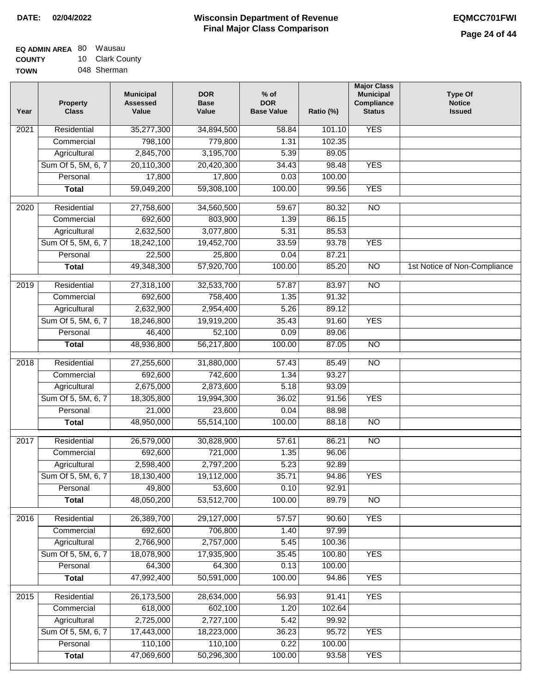| EQ ADMIN AREA 80 | Wausau          |
|------------------|-----------------|
| <b>COUNTY</b>    | 10 Clark County |
| <b>TOWN</b>      | 048 Sherman     |

| Year              | <b>Property</b><br><b>Class</b> | <b>Municipal</b><br><b>Assessed</b><br>Value | <b>DOR</b><br><b>Base</b><br>Value | $%$ of<br><b>DOR</b><br><b>Base Value</b> | Ratio (%) | <b>Major Class</b><br><b>Municipal</b><br>Compliance<br><b>Status</b> | <b>Type Of</b><br><b>Notice</b><br><b>Issued</b> |
|-------------------|---------------------------------|----------------------------------------------|------------------------------------|-------------------------------------------|-----------|-----------------------------------------------------------------------|--------------------------------------------------|
| $\overline{202}1$ | Residential                     | 35,277,300                                   | 34,894,500                         | 58.84                                     | 101.10    | <b>YES</b>                                                            |                                                  |
|                   | Commercial                      | 798,100                                      | 779,800                            | 1.31                                      | 102.35    |                                                                       |                                                  |
|                   | Agricultural                    | 2,845,700                                    | 3,195,700                          | 5.39                                      | 89.05     |                                                                       |                                                  |
|                   | Sum Of 5, 5M, 6, 7              | 20,110,300                                   | 20,420,300                         | 34.43                                     | 98.48     | <b>YES</b>                                                            |                                                  |
|                   | Personal                        | 17,800                                       | 17,800                             | 0.03                                      | 100.00    |                                                                       |                                                  |
|                   | <b>Total</b>                    | 59,049,200                                   | 59,308,100                         | 100.00                                    | 99.56     | <b>YES</b>                                                            |                                                  |
| 2020              | Residential                     | 27,758,600                                   | 34,560,500                         | 59.67                                     | 80.32     | $\overline{NO}$                                                       |                                                  |
|                   | Commercial                      | 692,600                                      | 803,900                            | 1.39                                      | 86.15     |                                                                       |                                                  |
|                   | Agricultural                    | 2,632,500                                    | 3,077,800                          | 5.31                                      | 85.53     |                                                                       |                                                  |
|                   | Sum Of 5, 5M, 6, 7              | 18,242,100                                   | 19,452,700                         | 33.59                                     | 93.78     | <b>YES</b>                                                            |                                                  |
|                   | Personal                        | 22,500                                       | 25,800                             | 0.04                                      | 87.21     |                                                                       |                                                  |
|                   | <b>Total</b>                    | 49,348,300                                   | 57,920,700                         | 100.00                                    | 85.20     | $\overline{NO}$                                                       | 1st Notice of Non-Compliance                     |
| 2019              | Residential                     | 27,318,100                                   | 32,533,700                         | 57.87                                     | 83.97     | $\overline{N}$                                                        |                                                  |
|                   | Commercial                      | 692,600                                      | 758,400                            | 1.35                                      | 91.32     |                                                                       |                                                  |
|                   | Agricultural                    | 2,632,900                                    | 2,954,400                          | 5.26                                      | 89.12     |                                                                       |                                                  |
|                   | Sum Of 5, 5M, 6, 7              | 18,246,800                                   | 19,919,200                         | 35.43                                     | 91.60     | <b>YES</b>                                                            |                                                  |
|                   | Personal                        | 46,400                                       | 52,100                             | 0.09                                      | 89.06     |                                                                       |                                                  |
|                   | <b>Total</b>                    | 48,936,800                                   | 56,217,800                         | 100.00                                    | 87.05     | $\overline{NO}$                                                       |                                                  |
| 2018              | Residential                     | 27,255,600                                   | 31,880,000                         | 57.43                                     | 85.49     | $\overline{NO}$                                                       |                                                  |
|                   | Commercial                      | 692,600                                      | 742,600                            | 1.34                                      | 93.27     |                                                                       |                                                  |
|                   | Agricultural                    | 2,675,000                                    | 2,873,600                          | 5.18                                      | 93.09     |                                                                       |                                                  |
|                   | Sum Of 5, 5M, 6, 7              | 18,305,800                                   | 19,994,300                         | 36.02                                     | 91.56     | <b>YES</b>                                                            |                                                  |
|                   | Personal                        | 21,000                                       | 23,600                             | 0.04                                      | 88.98     |                                                                       |                                                  |
|                   | <b>Total</b>                    | 48,950,000                                   | 55,514,100                         | 100.00                                    | 88.18     | <b>NO</b>                                                             |                                                  |
| $\overline{2017}$ | Residential                     | 26,579,000                                   | 30,828,900                         | 57.61                                     | 86.21     | $\overline{NO}$                                                       |                                                  |
|                   | Commercial                      | 692,600                                      | 721,000                            | 1.35                                      | 96.06     |                                                                       |                                                  |
|                   | Agricultural                    | 2,598,400                                    | 2,797,200                          | 5.23                                      | 92.89     |                                                                       |                                                  |
|                   | Sum Of 5, 5M, 6, 7              | 18,130,400                                   | 19,112,000                         | 35.71                                     | 94.86     | <b>YES</b>                                                            |                                                  |
|                   | Personal                        | 49,800                                       | 53,600                             | 0.10                                      | 92.91     |                                                                       |                                                  |
|                   | <b>Total</b>                    | 48,050,200                                   | 53,512,700                         | 100.00                                    | 89.79     | <b>NO</b>                                                             |                                                  |
| 2016              | Residential                     | 26,389,700                                   | 29,127,000                         | 57.57                                     | 90.60     | <b>YES</b>                                                            |                                                  |
|                   | Commercial                      | 692,600                                      | 706,800                            | 1.40                                      | 97.99     |                                                                       |                                                  |
|                   | Agricultural                    | 2,766,900                                    | 2,757,000                          | 5.45                                      | 100.36    |                                                                       |                                                  |
|                   | Sum Of 5, 5M, 6, 7              | 18,078,900                                   | 17,935,900                         | 35.45                                     | 100.80    | <b>YES</b>                                                            |                                                  |
|                   | Personal                        | 64,300                                       | 64,300                             | 0.13                                      | 100.00    |                                                                       |                                                  |
|                   | <b>Total</b>                    | 47,992,400                                   | 50,591,000                         | 100.00                                    | 94.86     | <b>YES</b>                                                            |                                                  |
| 2015              | Residential                     | 26,173,500                                   | 28,634,000                         | 56.93                                     | 91.41     | <b>YES</b>                                                            |                                                  |
|                   | Commercial                      | 618,000                                      | 602,100                            | 1.20                                      | 102.64    |                                                                       |                                                  |
|                   | Agricultural                    | 2,725,000                                    | 2,727,100                          | 5.42                                      | 99.92     |                                                                       |                                                  |
|                   | Sum Of 5, 5M, 6, 7              | 17,443,000                                   | 18,223,000                         | 36.23                                     | 95.72     | <b>YES</b>                                                            |                                                  |
|                   | Personal                        | 110,100                                      | 110,100                            | 0.22                                      | 100.00    |                                                                       |                                                  |
|                   | <b>Total</b>                    | 47,069,600                                   | 50,296,300                         | 100.00                                    | 93.58     | <b>YES</b>                                                            |                                                  |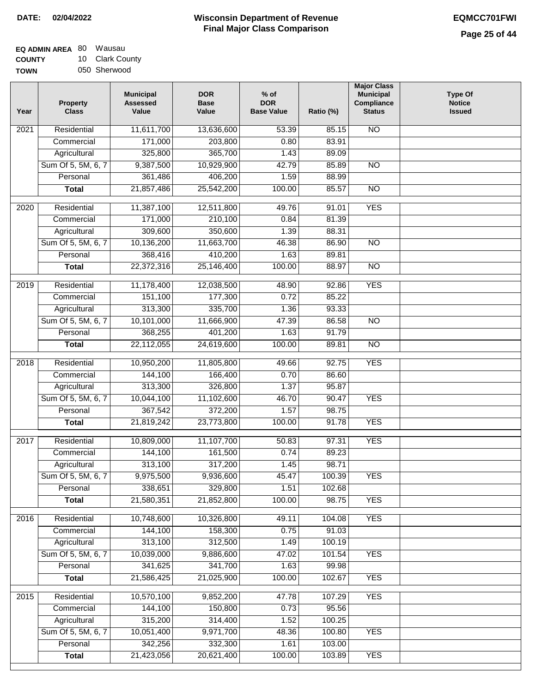| EQ ADMIN AREA 80 | Wausau          |
|------------------|-----------------|
| <b>COUNTY</b>    | 10 Clark County |
| <b>TOWN</b>      | 050 Sherwood    |

| Year | <b>Property</b><br><b>Class</b> | <b>Municipal</b><br><b>Assessed</b><br>Value | <b>DOR</b><br><b>Base</b><br>Value | % of<br><b>DOR</b><br><b>Base Value</b> | Ratio (%) | <b>Major Class</b><br><b>Municipal</b><br>Compliance<br><b>Status</b> | <b>Type Of</b><br><b>Notice</b><br><b>Issued</b> |
|------|---------------------------------|----------------------------------------------|------------------------------------|-----------------------------------------|-----------|-----------------------------------------------------------------------|--------------------------------------------------|
| 2021 | Residential                     | 11,611,700                                   | 13,636,600                         | 53.39                                   | 85.15     | $\overline{NO}$                                                       |                                                  |
|      | Commercial                      | 171,000                                      | 203,800                            | 0.80                                    | 83.91     |                                                                       |                                                  |
|      | Agricultural                    | 325,800                                      | 365,700                            | 1.43                                    | 89.09     |                                                                       |                                                  |
|      | Sum Of 5, 5M, 6, 7              | 9,387,500                                    | 10,929,900                         | 42.79                                   | 85.89     | $\overline{NO}$                                                       |                                                  |
|      | Personal                        | 361,486                                      | 406,200                            | 1.59                                    | 88.99     |                                                                       |                                                  |
|      | <b>Total</b>                    | 21,857,486                                   | 25,542,200                         | 100.00                                  | 85.57     | $\overline{NO}$                                                       |                                                  |
| 2020 | Residential                     | 11,387,100                                   | 12,511,800                         | 49.76                                   | 91.01     | <b>YES</b>                                                            |                                                  |
|      | Commercial                      | 171,000                                      | 210,100                            | 0.84                                    | 81.39     |                                                                       |                                                  |
|      | Agricultural                    | 309,600                                      | 350,600                            | 1.39                                    | 88.31     |                                                                       |                                                  |
|      | Sum Of 5, 5M, 6, 7              | 10,136,200                                   | 11,663,700                         | 46.38                                   | 86.90     | $\overline{NO}$                                                       |                                                  |
|      | Personal                        | 368,416                                      | 410,200                            | 1.63                                    | 89.81     |                                                                       |                                                  |
|      | <b>Total</b>                    | 22,372,316                                   | 25,146,400                         | 100.00                                  | 88.97     | $\overline{NO}$                                                       |                                                  |
|      |                                 |                                              |                                    |                                         |           |                                                                       |                                                  |
| 2019 | Residential                     | 11,178,400                                   | 12,038,500                         | 48.90                                   | 92.86     | <b>YES</b>                                                            |                                                  |
|      | Commercial                      | 151,100                                      | 177,300                            | 0.72                                    | 85.22     |                                                                       |                                                  |
|      | Agricultural                    | 313,300                                      | 335,700                            | 1.36                                    | 93.33     |                                                                       |                                                  |
|      | Sum Of 5, 5M, 6, 7              | 10,101,000                                   | 11,666,900                         | 47.39                                   | 86.58     | $\overline{NO}$                                                       |                                                  |
|      | Personal                        | 368,255                                      | 401,200                            | 1.63                                    | 91.79     |                                                                       |                                                  |
|      | <b>Total</b>                    | 22,112,055                                   | 24,619,600                         | 100.00                                  | 89.81     | $\overline{NO}$                                                       |                                                  |
| 2018 | Residential                     | 10,950,200                                   | 11,805,800                         | 49.66                                   | 92.75     | <b>YES</b>                                                            |                                                  |
|      | Commercial                      | 144,100                                      | 166,400                            | 0.70                                    | 86.60     |                                                                       |                                                  |
|      | Agricultural                    | 313,300                                      | 326,800                            | 1.37                                    | 95.87     |                                                                       |                                                  |
|      | Sum Of 5, 5M, 6, 7              | 10,044,100                                   | 11,102,600                         | 46.70                                   | 90.47     | <b>YES</b>                                                            |                                                  |
|      | Personal                        | 367,542                                      | 372,200                            | 1.57                                    | 98.75     |                                                                       |                                                  |
|      | <b>Total</b>                    | 21,819,242                                   | 23,773,800                         | 100.00                                  | 91.78     | <b>YES</b>                                                            |                                                  |
| 2017 | Residential                     | 10,809,000                                   | 11,107,700                         | 50.83                                   | 97.31     | <b>YES</b>                                                            |                                                  |
|      | Commercial                      | 144,100                                      | 161,500                            | 0.74                                    | 89.23     |                                                                       |                                                  |
|      | Agricultural                    | 313,100                                      | 317,200                            | 1.45                                    | 98.71     |                                                                       |                                                  |
|      | Sum Of 5, 5M, 6, 7              | 9,975,500                                    | 9,936,600                          | 45.47                                   | 100.39    | <b>YES</b>                                                            |                                                  |
|      | Personal                        | 338,651                                      | 329,800                            | 1.51                                    | 102.68    |                                                                       |                                                  |
|      | <b>Total</b>                    | 21,580,351                                   | 21,852,800                         | 100.00                                  | 98.75     | <b>YES</b>                                                            |                                                  |
|      |                                 |                                              |                                    |                                         |           |                                                                       |                                                  |
| 2016 | Residential                     | 10,748,600                                   | 10,326,800                         | 49.11                                   | 104.08    | <b>YES</b>                                                            |                                                  |
|      | Commercial                      | 144,100                                      | 158,300                            | 0.75                                    | 91.03     |                                                                       |                                                  |
|      | Agricultural                    | 313,100                                      | 312,500                            | 1.49                                    | 100.19    |                                                                       |                                                  |
|      | Sum Of 5, 5M, 6, 7              | 10,039,000                                   | 9,886,600                          | 47.02                                   | 101.54    | <b>YES</b>                                                            |                                                  |
|      | Personal                        | 341,625                                      | 341,700                            | 1.63                                    | 99.98     |                                                                       |                                                  |
|      | <b>Total</b>                    | 21,586,425                                   | 21,025,900                         | 100.00                                  | 102.67    | <b>YES</b>                                                            |                                                  |
| 2015 | Residential                     | 10,570,100                                   | 9,852,200                          | 47.78                                   | 107.29    | <b>YES</b>                                                            |                                                  |
|      | Commercial                      | 144,100                                      | 150,800                            | 0.73                                    | 95.56     |                                                                       |                                                  |
|      | Agricultural                    | 315,200                                      | 314,400                            | 1.52                                    | 100.25    |                                                                       |                                                  |
|      | Sum Of 5, 5M, 6, 7              | 10,051,400                                   | 9,971,700                          | 48.36                                   | 100.80    | <b>YES</b>                                                            |                                                  |
|      | Personal                        | 342,256                                      | 332,300                            | 1.61                                    | 103.00    |                                                                       |                                                  |
|      | <b>Total</b>                    | 21,423,056                                   | 20,621,400                         | 100.00                                  | 103.89    | <b>YES</b>                                                            |                                                  |
|      |                                 |                                              |                                    |                                         |           |                                                                       |                                                  |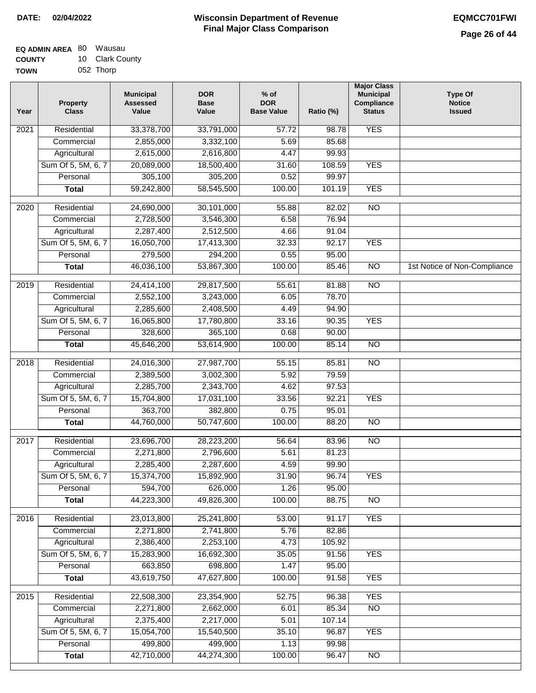| EQ ADMIN AREA 80 | Wausau          |
|------------------|-----------------|
| <b>COUNTY</b>    | 10 Clark County |
| <b>TOWN</b>      | 052 Thorp       |

| ٧Ν | 052 Thorp |  |
|----|-----------|--|
|    |           |  |

| Year              | <b>Property</b><br><b>Class</b> | <b>Municipal</b><br><b>Assessed</b><br>Value | <b>DOR</b><br><b>Base</b><br>Value | $%$ of<br><b>DOR</b><br><b>Base Value</b> | Ratio (%)      | <b>Major Class</b><br><b>Municipal</b><br>Compliance<br><b>Status</b> | <b>Type Of</b><br><b>Notice</b><br><b>Issued</b> |
|-------------------|---------------------------------|----------------------------------------------|------------------------------------|-------------------------------------------|----------------|-----------------------------------------------------------------------|--------------------------------------------------|
| 2021              | Residential                     | 33,378,700                                   | 33,791,000                         | 57.72                                     | 98.78          | <b>YES</b>                                                            |                                                  |
|                   | Commercial                      | 2,855,000                                    | 3,332,100                          | 5.69                                      | 85.68          |                                                                       |                                                  |
|                   | Agricultural                    | 2,615,000                                    | 2,616,800                          | 4.47                                      | 99.93          |                                                                       |                                                  |
|                   | Sum Of 5, 5M, 6, 7              | 20,089,000                                   | 18,500,400                         | 31.60                                     | 108.59         | <b>YES</b>                                                            |                                                  |
|                   | Personal                        | 305,100                                      | 305,200                            | 0.52                                      | 99.97          |                                                                       |                                                  |
|                   | <b>Total</b>                    | 59,242,800                                   | 58,545,500                         | 100.00                                    | 101.19         | <b>YES</b>                                                            |                                                  |
| 2020              | Residential                     | 24,690,000                                   | 30,101,000                         | 55.88                                     | 82.02          | $\overline{NO}$                                                       |                                                  |
|                   | Commercial                      | 2,728,500                                    | 3,546,300                          | 6.58                                      | 76.94          |                                                                       |                                                  |
|                   | Agricultural                    | 2,287,400                                    | 2,512,500                          | 4.66                                      | 91.04          |                                                                       |                                                  |
|                   | Sum Of 5, 5M, 6, 7              | 16,050,700                                   | 17,413,300                         | 32.33                                     | 92.17          | <b>YES</b>                                                            |                                                  |
|                   | Personal                        | 279,500                                      | 294,200                            | 0.55                                      | 95.00          |                                                                       |                                                  |
|                   | <b>Total</b>                    | 46,036,100                                   | 53,867,300                         | 100.00                                    | 85.46          | $\overline{NO}$                                                       | 1st Notice of Non-Compliance                     |
|                   |                                 |                                              |                                    |                                           |                |                                                                       |                                                  |
| $\frac{1}{2019}$  | Residential                     | 24,414,100                                   | 29,817,500                         | 55.61                                     | 81.88          | $\overline{NO}$                                                       |                                                  |
|                   | Commercial                      | 2,552,100                                    | 3,243,000                          | 6.05                                      | 78.70          |                                                                       |                                                  |
|                   | Agricultural                    | 2,285,600                                    | 2,408,500                          | 4.49<br>33.16                             | 94.90          |                                                                       |                                                  |
|                   | Sum Of 5, 5M, 6, 7              | 16,065,800                                   | 17,780,800<br>365,100              |                                           | 90.35          | <b>YES</b>                                                            |                                                  |
|                   | Personal<br><b>Total</b>        | 328,600<br>45,646,200                        | 53,614,900                         | 0.68<br>100.00                            | 90.00<br>85.14 | $\overline{NO}$                                                       |                                                  |
|                   |                                 |                                              |                                    |                                           |                |                                                                       |                                                  |
| 2018              | Residential                     | 24,016,300                                   | 27,987,700                         | 55.15                                     | 85.81          | $\overline{NO}$                                                       |                                                  |
|                   | Commercial                      | 2,389,500                                    | 3,002,300                          | 5.92                                      | 79.59          |                                                                       |                                                  |
|                   | Agricultural                    | 2,285,700                                    | 2,343,700                          | 4.62                                      | 97.53          |                                                                       |                                                  |
|                   | Sum Of 5, 5M, 6, 7              | 15,704,800                                   | 17,031,100                         | 33.56                                     | 92.21          | <b>YES</b>                                                            |                                                  |
|                   | Personal                        | 363,700                                      | 382,800                            | 0.75                                      | 95.01          |                                                                       |                                                  |
|                   | <b>Total</b>                    | 44,760,000                                   | 50,747,600                         | 100.00                                    | 88.20          | <b>NO</b>                                                             |                                                  |
| $\overline{2017}$ | Residential                     | 23,696,700                                   | 28,223,200                         | 56.64                                     | 83.96          | <b>NO</b>                                                             |                                                  |
|                   | Commercial                      | 2,271,800                                    | 2,796,600                          | 5.61                                      | 81.23          |                                                                       |                                                  |
|                   | Agricultural                    | 2,285,400                                    | 2,287,600                          | 4.59                                      | 99.90          |                                                                       |                                                  |
|                   | Sum Of 5, 5M, 6, 7              | 15,374,700                                   | 15,892,900                         | 31.90                                     | 96.74          | <b>YES</b>                                                            |                                                  |
|                   | Personal                        | 594,700                                      | 626,000                            | 1.26                                      | 95.00          |                                                                       |                                                  |
|                   | <b>Total</b>                    | 44,223,300                                   | 49,826,300                         | 100.00                                    | 88.75          | <b>NO</b>                                                             |                                                  |
| 2016              | Residential                     | 23,013,800                                   | 25,241,800                         | 53.00                                     | 91.17          | <b>YES</b>                                                            |                                                  |
|                   | Commercial                      | 2,271,800                                    | 2,741,800                          | 5.76                                      | 82.86          |                                                                       |                                                  |
|                   | Agricultural                    | 2,386,400                                    | 2,253,100                          | 4.73                                      | 105.92         |                                                                       |                                                  |
|                   | Sum Of 5, 5M, 6, 7              | 15,283,900                                   | 16,692,300                         | 35.05                                     | 91.56          | <b>YES</b>                                                            |                                                  |
|                   | Personal                        | 663,850                                      | 698,800                            | 1.47                                      | 95.00          |                                                                       |                                                  |
|                   | <b>Total</b>                    | 43,619,750                                   | 47,627,800                         | 100.00                                    | 91.58          | <b>YES</b>                                                            |                                                  |
| 2015              | Residential                     | 22,508,300                                   | 23,354,900                         | 52.75                                     | 96.38          | <b>YES</b>                                                            |                                                  |
|                   | Commercial                      | 2,271,800                                    | 2,662,000                          | 6.01                                      | 85.34          | $\overline{NO}$                                                       |                                                  |
|                   | Agricultural                    | 2,375,400                                    | 2,217,000                          | 5.01                                      | 107.14         |                                                                       |                                                  |
|                   | Sum Of 5, 5M, 6, 7              | 15,054,700                                   | 15,540,500                         | 35.10                                     | 96.87          | <b>YES</b>                                                            |                                                  |
|                   | Personal                        | 499,800                                      | 499,900                            | 1.13                                      | 99.98          |                                                                       |                                                  |
|                   | <b>Total</b>                    | 42,710,000                                   | 44,274,300                         | 100.00                                    | 96.47          | <b>NO</b>                                                             |                                                  |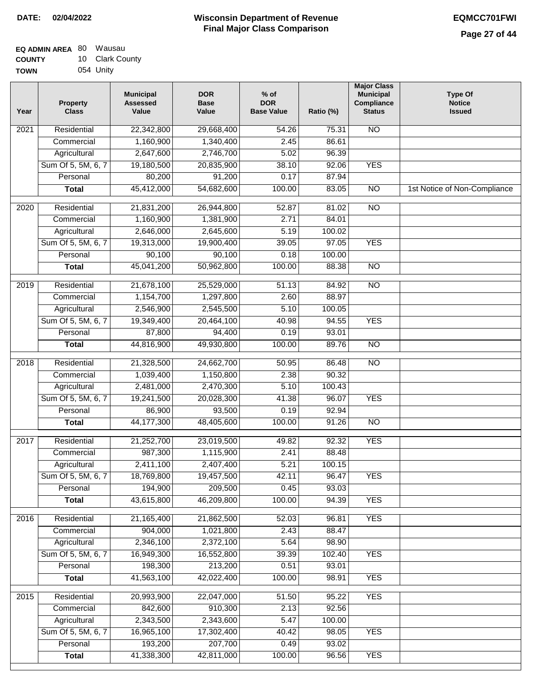| EQ ADMIN AREA 80 | Wausau          |
|------------------|-----------------|
| <b>COUNTY</b>    | 10 Clark County |
| <b>TOWN</b>      | 054 Unity       |

| Year              | <b>Property</b><br><b>Class</b> | <b>Municipal</b><br><b>Assessed</b><br>Value | <b>DOR</b><br><b>Base</b><br>Value | $%$ of<br><b>DOR</b><br><b>Base Value</b> | Ratio (%) | <b>Major Class</b><br><b>Municipal</b><br>Compliance<br><b>Status</b> | <b>Type Of</b><br><b>Notice</b><br><b>Issued</b> |
|-------------------|---------------------------------|----------------------------------------------|------------------------------------|-------------------------------------------|-----------|-----------------------------------------------------------------------|--------------------------------------------------|
| 2021              | Residential                     | 22,342,800                                   | 29,668,400                         | 54.26                                     | 75.31     | <b>NO</b>                                                             |                                                  |
|                   | Commercial                      | 1,160,900                                    | 1,340,400                          | 2.45                                      | 86.61     |                                                                       |                                                  |
|                   | Agricultural                    | 2,647,600                                    | 2,746,700                          | 5.02                                      | 96.39     |                                                                       |                                                  |
|                   | Sum Of 5, 5M, 6, 7              | 19,180,500                                   | 20,835,900                         | 38.10                                     | 92.06     | <b>YES</b>                                                            |                                                  |
|                   | Personal                        | 80,200                                       | 91,200                             | 0.17                                      | 87.94     |                                                                       |                                                  |
|                   | <b>Total</b>                    | 45,412,000                                   | 54,682,600                         | 100.00                                    | 83.05     | $\overline{NO}$                                                       | 1st Notice of Non-Compliance                     |
| $\overline{2020}$ | Residential                     | 21,831,200                                   | 26,944,800                         | 52.87                                     | 81.02     | $\overline{NO}$                                                       |                                                  |
|                   | Commercial                      | 1,160,900                                    | 1,381,900                          | 2.71                                      | 84.01     |                                                                       |                                                  |
|                   | Agricultural                    | 2,646,000                                    | 2,645,600                          | 5.19                                      | 100.02    |                                                                       |                                                  |
|                   | Sum Of 5, 5M, 6, 7              | 19,313,000                                   | 19,900,400                         | 39.05                                     | 97.05     | <b>YES</b>                                                            |                                                  |
|                   | Personal                        | 90,100                                       | 90,100                             | 0.18                                      | 100.00    |                                                                       |                                                  |
|                   | <b>Total</b>                    | 45,041,200                                   | 50,962,800                         | 100.00                                    | 88.38     | $\overline{NO}$                                                       |                                                  |
| 2019              | Residential                     | 21,678,100                                   | 25,529,000                         | 51.13                                     | 84.92     | $\overline{NO}$                                                       |                                                  |
|                   | Commercial                      | 1,154,700                                    | 1,297,800                          | 2.60                                      | 88.97     |                                                                       |                                                  |
|                   | Agricultural                    | 2,546,900                                    | 2,545,500                          | 5.10                                      | 100.05    |                                                                       |                                                  |
|                   | Sum Of 5, 5M, 6, 7              | 19,349,400                                   | 20,464,100                         | 40.98                                     | 94.55     | <b>YES</b>                                                            |                                                  |
|                   | Personal                        | 87,800                                       | 94,400                             | 0.19                                      | 93.01     |                                                                       |                                                  |
|                   | <b>Total</b>                    | 44,816,900                                   | 49,930,800                         | 100.00                                    | 89.76     | $\overline{NO}$                                                       |                                                  |
| 2018              | Residential                     | 21,328,500                                   | 24,662,700                         | 50.95                                     | 86.48     | <b>NO</b>                                                             |                                                  |
|                   | Commercial                      | 1,039,400                                    | 1,150,800                          | 2.38                                      | 90.32     |                                                                       |                                                  |
|                   | Agricultural                    | 2,481,000                                    | 2,470,300                          | 5.10                                      | 100.43    |                                                                       |                                                  |
|                   | Sum Of 5, 5M, 6, 7              | 19,241,500                                   | 20,028,300                         | 41.38                                     | 96.07     | <b>YES</b>                                                            |                                                  |
|                   | Personal                        | 86,900                                       | 93,500                             | 0.19                                      | 92.94     |                                                                       |                                                  |
|                   | <b>Total</b>                    | 44, 177, 300                                 | 48,405,600                         | 100.00                                    | 91.26     | <b>NO</b>                                                             |                                                  |
| 2017              | Residential                     | 21,252,700                                   | 23,019,500                         | 49.82                                     | 92.32     | <b>YES</b>                                                            |                                                  |
|                   | Commercial                      | 987,300                                      | 1,115,900                          | 2.41                                      | 88.48     |                                                                       |                                                  |
|                   | Agricultural                    | 2,411,100                                    | 2,407,400                          | 5.21                                      | 100.15    |                                                                       |                                                  |
|                   | Sum Of 5, 5M, 6, 7              | 18,769,800                                   | 19,457,500                         | 42.11                                     | 96.47     | <b>YES</b>                                                            |                                                  |
|                   | Personal                        | 194,900                                      | 209,500                            | 0.45                                      | 93.03     |                                                                       |                                                  |
|                   | <b>Total</b>                    | 43,615,800                                   | 46,209,800                         | 100.00                                    | 94.39     | <b>YES</b>                                                            |                                                  |
| 2016              | Residential                     | 21,165,400                                   | 21,862,500                         | 52.03                                     | 96.81     | <b>YES</b>                                                            |                                                  |
|                   | Commercial                      | 904,000                                      | 1,021,800                          | 2.43                                      | 88.47     |                                                                       |                                                  |
|                   | Agricultural                    | 2,346,100                                    | 2,372,100                          | 5.64                                      | 98.90     |                                                                       |                                                  |
|                   | Sum Of 5, 5M, 6, 7              | 16,949,300                                   | 16,552,800                         | 39.39                                     | 102.40    | <b>YES</b>                                                            |                                                  |
|                   | Personal                        | 198,300                                      | 213,200                            | 0.51                                      | 93.01     |                                                                       |                                                  |
|                   | <b>Total</b>                    | 41,563,100                                   | 42,022,400                         | 100.00                                    | 98.91     | <b>YES</b>                                                            |                                                  |
| 2015              | Residential                     | 20,993,900                                   | 22,047,000                         | 51.50                                     | 95.22     | <b>YES</b>                                                            |                                                  |
|                   | Commercial                      | 842,600                                      | 910,300                            | 2.13                                      | 92.56     |                                                                       |                                                  |
|                   | Agricultural                    | 2,343,500                                    | 2,343,600                          | 5.47                                      | 100.00    |                                                                       |                                                  |
|                   | Sum Of 5, 5M, 6, 7              | 16,965,100                                   | 17,302,400                         | 40.42                                     | 98.05     | <b>YES</b>                                                            |                                                  |
|                   | Personal                        | 193,200                                      | 207,700                            | 0.49                                      | 93.02     |                                                                       |                                                  |
|                   | <b>Total</b>                    | 41,338,300                                   | 42,811,000                         | 100.00                                    | 96.56     | <b>YES</b>                                                            |                                                  |
|                   |                                 |                                              |                                    |                                           |           |                                                                       |                                                  |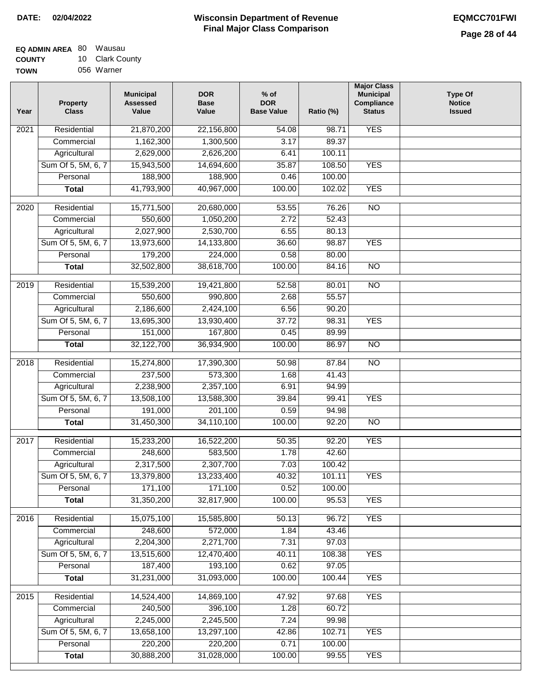| <b>EQ ADMIN AREA 80 Wausau</b> |                 |
|--------------------------------|-----------------|
| <b>COUNTY</b>                  | 10 Clark County |
| <b>TOWN</b>                    | 056 Warner      |

| Year              | <b>Property</b><br><b>Class</b> | <b>Municipal</b><br><b>Assessed</b><br>Value | <b>DOR</b><br><b>Base</b><br>Value | % of<br><b>DOR</b><br><b>Base Value</b> | Ratio (%) | <b>Major Class</b><br><b>Municipal</b><br>Compliance<br><b>Status</b> | <b>Type Of</b><br><b>Notice</b><br><b>Issued</b> |
|-------------------|---------------------------------|----------------------------------------------|------------------------------------|-----------------------------------------|-----------|-----------------------------------------------------------------------|--------------------------------------------------|
| 2021              | Residential                     | 21,870,200                                   | 22,156,800                         | 54.08                                   | 98.71     | <b>YES</b>                                                            |                                                  |
|                   | Commercial                      | 1,162,300                                    | 1,300,500                          | 3.17                                    | 89.37     |                                                                       |                                                  |
|                   | Agricultural                    | 2,629,000                                    | 2,626,200                          | 6.41                                    | 100.11    |                                                                       |                                                  |
|                   | Sum Of 5, 5M, 6, 7              | 15,943,500                                   | 14,694,600                         | 35.87                                   | 108.50    | <b>YES</b>                                                            |                                                  |
|                   | Personal                        | 188,900                                      | 188,900                            | 0.46                                    | 100.00    |                                                                       |                                                  |
|                   | <b>Total</b>                    | 41,793,900                                   | 40,967,000                         | 100.00                                  | 102.02    | <b>YES</b>                                                            |                                                  |
| 2020              | Residential                     | 15,771,500                                   | 20,680,000                         | 53.55                                   | 76.26     | $\overline{10}$                                                       |                                                  |
|                   | Commercial                      | 550,600                                      | 1,050,200                          | 2.72                                    | 52.43     |                                                                       |                                                  |
|                   | Agricultural                    | 2,027,900                                    | 2,530,700                          | 6.55                                    | 80.13     |                                                                       |                                                  |
|                   | Sum Of 5, 5M, 6, 7              | 13,973,600                                   | 14,133,800                         | 36.60                                   | 98.87     | <b>YES</b>                                                            |                                                  |
|                   | Personal                        | 179,200                                      | 224,000                            | 0.58                                    | 80.00     |                                                                       |                                                  |
|                   | <b>Total</b>                    | 32,502,800                                   | 38,618,700                         | 100.00                                  | 84.16     | $\overline{NO}$                                                       |                                                  |
| 2019              | Residential                     | 15,539,200                                   | 19,421,800                         | 52.58                                   | 80.01     | $\overline{NO}$                                                       |                                                  |
|                   | Commercial                      | 550,600                                      | 990,800                            | 2.68                                    | 55.57     |                                                                       |                                                  |
|                   | Agricultural                    | 2,186,600                                    | 2,424,100                          | 6.56                                    | 90.20     |                                                                       |                                                  |
|                   | Sum Of 5, 5M, 6, 7              | 13,695,300                                   | 13,930,400                         | 37.72                                   | 98.31     | <b>YES</b>                                                            |                                                  |
|                   | Personal                        | 151,000                                      | 167,800                            | 0.45                                    | 89.99     |                                                                       |                                                  |
|                   | <b>Total</b>                    | 32,122,700                                   | 36,934,900                         | 100.00                                  | 86.97     | $\overline{NO}$                                                       |                                                  |
| $\overline{2018}$ | Residential                     | 15,274,800                                   | 17,390,300                         | 50.98                                   | 87.84     | $\overline{NO}$                                                       |                                                  |
|                   | Commercial                      | 237,500                                      | 573,300                            | 1.68                                    | 41.43     |                                                                       |                                                  |
|                   | Agricultural                    | 2,238,900                                    | 2,357,100                          | 6.91                                    | 94.99     |                                                                       |                                                  |
|                   | Sum Of 5, 5M, 6, 7              | 13,508,100                                   | 13,588,300                         | 39.84                                   | 99.41     | <b>YES</b>                                                            |                                                  |
|                   | Personal                        | 191,000                                      | 201,100                            | 0.59                                    | 94.98     |                                                                       |                                                  |
|                   | <b>Total</b>                    | 31,450,300                                   | 34,110,100                         | 100.00                                  | 92.20     | <b>NO</b>                                                             |                                                  |
| 2017              | Residential                     | 15,233,200                                   | 16,522,200                         | 50.35                                   | 92.20     | <b>YES</b>                                                            |                                                  |
|                   | Commercial                      | 248,600                                      | 583,500                            | 1.78                                    | 42.60     |                                                                       |                                                  |
|                   | Agricultural                    | 2,317,500                                    | 2,307,700                          | 7.03                                    | 100.42    |                                                                       |                                                  |
|                   | Sum Of 5, 5M, 6, 7              | 13,379,800                                   | 13,233,400                         | 40.32                                   | 101.11    | <b>YES</b>                                                            |                                                  |
|                   | Personal                        | 171,100                                      | 171,100                            | 0.52                                    | 100.00    |                                                                       |                                                  |
|                   | <b>Total</b>                    | 31,350,200                                   | 32,817,900                         | 100.00                                  | 95.53     | <b>YES</b>                                                            |                                                  |
| 2016              | Residential                     | 15,075,100                                   | 15,585,800                         | 50.13                                   | 96.72     | <b>YES</b>                                                            |                                                  |
|                   | Commercial                      | 248,600                                      | 572,000                            | 1.84                                    | 43.46     |                                                                       |                                                  |
|                   | Agricultural                    | 2,204,300                                    | 2,271,700                          | 7.31                                    | 97.03     |                                                                       |                                                  |
|                   | Sum Of 5, 5M, 6, 7              | 13,515,600                                   | 12,470,400                         | 40.11                                   | 108.38    | <b>YES</b>                                                            |                                                  |
|                   | Personal                        | 187,400                                      | 193,100                            | 0.62                                    | 97.05     |                                                                       |                                                  |
|                   | <b>Total</b>                    | 31,231,000                                   | 31,093,000                         | 100.00                                  | 100.44    | <b>YES</b>                                                            |                                                  |
| 2015              | Residential                     | 14,524,400                                   | 14,869,100                         | 47.92                                   | 97.68     | <b>YES</b>                                                            |                                                  |
|                   | Commercial                      | 240,500                                      | 396,100                            | 1.28                                    | 60.72     |                                                                       |                                                  |
|                   | Agricultural                    | 2,245,000                                    | 2,245,500                          | 7.24                                    | 99.98     |                                                                       |                                                  |
|                   | Sum Of 5, 5M, 6, 7              | 13,658,100                                   | 13,297,100                         | 42.86                                   | 102.71    | <b>YES</b>                                                            |                                                  |
|                   | Personal                        | 220,200                                      | 220,200                            | 0.71                                    | 100.00    |                                                                       |                                                  |
|                   | <b>Total</b>                    | 30,888,200                                   | 31,028,000                         | 100.00                                  | 99.55     | <b>YES</b>                                                            |                                                  |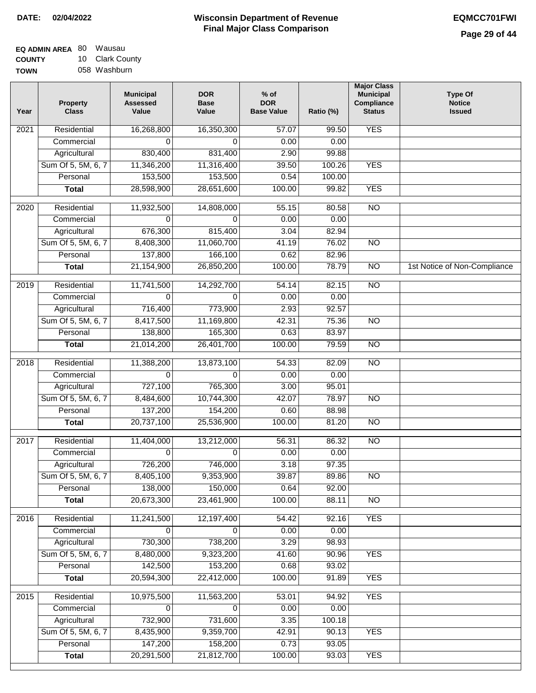| <b>EQ ADMIN AREA 80 Wausau</b> |                 |
|--------------------------------|-----------------|
| <b>COUNTY</b>                  | 10 Clark County |
| <b>TOWN</b>                    | 058 Washburn    |

| 1 U | <b>Clark County</b> |
|-----|---------------------|
|     | 058 Washburn        |

| Year              | <b>Property</b><br><b>Class</b> | <b>Municipal</b><br><b>Assessed</b><br>Value | <b>DOR</b><br><b>Base</b><br>Value | $%$ of<br><b>DOR</b><br><b>Base Value</b> | Ratio (%) | <b>Major Class</b><br><b>Municipal</b><br><b>Compliance</b><br><b>Status</b> | <b>Type Of</b><br><b>Notice</b><br><b>Issued</b> |
|-------------------|---------------------------------|----------------------------------------------|------------------------------------|-------------------------------------------|-----------|------------------------------------------------------------------------------|--------------------------------------------------|
| 2021              | Residential                     | 16,268,800                                   | 16,350,300                         | 57.07                                     | 99.50     | <b>YES</b>                                                                   |                                                  |
|                   | Commercial                      | 0                                            | $\Omega$                           | 0.00                                      | 0.00      |                                                                              |                                                  |
|                   | Agricultural                    | 830,400                                      | 831,400                            | 2.90                                      | 99.88     |                                                                              |                                                  |
|                   | Sum Of 5, 5M, 6, 7              | 11,346,200                                   | 11,316,400                         | 39.50                                     | 100.26    | <b>YES</b>                                                                   |                                                  |
|                   | Personal                        | 153,500                                      | 153,500                            | 0.54                                      | 100.00    |                                                                              |                                                  |
|                   | <b>Total</b>                    | 28,598,900                                   | 28,651,600                         | 100.00                                    | 99.82     | <b>YES</b>                                                                   |                                                  |
| $\overline{20}20$ | Residential                     | 11,932,500                                   | 14,808,000                         | 55.15                                     | 80.58     | $\overline{NO}$                                                              |                                                  |
|                   | Commercial                      | $\Omega$                                     | $\Omega$                           | 0.00                                      | 0.00      |                                                                              |                                                  |
|                   | Agricultural                    | 676,300                                      | 815,400                            | 3.04                                      | 82.94     |                                                                              |                                                  |
|                   | Sum Of 5, 5M, 6, 7              | 8,408,300                                    | 11,060,700                         | 41.19                                     | 76.02     | <b>NO</b>                                                                    |                                                  |
|                   | Personal                        | 137,800                                      | 166,100                            | 0.62                                      | 82.96     |                                                                              |                                                  |
|                   | <b>Total</b>                    | 21,154,900                                   | 26,850,200                         | 100.00                                    | 78.79     | <b>NO</b>                                                                    | 1st Notice of Non-Compliance                     |
|                   |                                 |                                              |                                    |                                           |           |                                                                              |                                                  |
| 2019              | Residential                     | 11,741,500                                   | 14,292,700                         | 54.14                                     | 82.15     | $\overline{NO}$                                                              |                                                  |
|                   | Commercial                      | $\Omega$                                     | $\Omega$                           | 0.00                                      | 0.00      |                                                                              |                                                  |
|                   | Agricultural                    | 716,400                                      | 773,900                            | 2.93                                      | 92.57     |                                                                              |                                                  |
|                   | Sum Of 5, 5M, 6, 7              | 8,417,500                                    | 11,169,800                         | 42.31                                     | 75.36     | $\overline{NO}$                                                              |                                                  |
|                   | Personal                        | 138,800                                      | 165,300                            | 0.63                                      | 83.97     |                                                                              |                                                  |
|                   | <b>Total</b>                    | 21,014,200                                   | 26,401,700                         | 100.00                                    | 79.59     | N <sub>O</sub>                                                               |                                                  |
| 2018              | Residential                     | 11,388,200                                   | 13,873,100                         | 54.33                                     | 82.09     | $\overline{NO}$                                                              |                                                  |
|                   | Commercial                      | $\mathbf 0$                                  | 0                                  | 0.00                                      | 0.00      |                                                                              |                                                  |
|                   | Agricultural                    | 727,100                                      | 765,300                            | 3.00                                      | 95.01     |                                                                              |                                                  |
|                   | Sum Of 5, 5M, 6, 7              | 8,484,600                                    | 10,744,300                         | 42.07                                     | 78.97     | <b>NO</b>                                                                    |                                                  |
|                   | Personal                        | 137,200                                      | 154,200                            | 0.60                                      | 88.98     |                                                                              |                                                  |
|                   | <b>Total</b>                    | 20,737,100                                   | 25,536,900                         | 100.00                                    | 81.20     | N <sub>O</sub>                                                               |                                                  |
| 2017              | Residential                     | 11,404,000                                   | 13,212,000                         | 56.31                                     | 86.32     | $\overline{NO}$                                                              |                                                  |
|                   | Commercial                      | $\Omega$                                     | $\Omega$                           | 0.00                                      | 0.00      |                                                                              |                                                  |
|                   | Agricultural                    | 726,200                                      | 746,000                            | 3.18                                      | 97.35     |                                                                              |                                                  |
|                   | Sum Of 5, 5M, 6, 7              | 8,405,100                                    | 9,353,900                          | 39.87                                     | 89.86     | $\overline{NO}$                                                              |                                                  |
|                   | Personal                        | 138,000                                      | 150,000                            | 0.64                                      | 92.00     |                                                                              |                                                  |
|                   | <b>Total</b>                    | 20,673,300                                   | 23,461,900                         | 100.00                                    | 88.11     | $\overline{NO}$                                                              |                                                  |
|                   |                                 |                                              |                                    |                                           |           |                                                                              |                                                  |
| 2016              | Residential                     | 11,241,500                                   | 12,197,400                         | 54.42                                     | 92.16     | <b>YES</b>                                                                   |                                                  |
|                   | Commercial                      | 0                                            | 0                                  | 0.00                                      | 0.00      |                                                                              |                                                  |
|                   | Agricultural                    | 730,300                                      | 738,200                            | 3.29                                      | 98.93     |                                                                              |                                                  |
|                   | Sum Of 5, 5M, 6, 7              | 8,480,000                                    | 9,323,200                          | 41.60                                     | 90.96     | <b>YES</b>                                                                   |                                                  |
|                   | Personal                        | 142,500                                      | 153,200                            | 0.68                                      | 93.02     |                                                                              |                                                  |
|                   | <b>Total</b>                    | 20,594,300                                   | 22,412,000                         | 100.00                                    | 91.89     | <b>YES</b>                                                                   |                                                  |
| 2015              | Residential                     | 10,975,500                                   | 11,563,200                         | 53.01                                     | 94.92     | <b>YES</b>                                                                   |                                                  |
|                   | Commercial                      | $\Omega$                                     | $\Omega$                           | 0.00                                      | 0.00      |                                                                              |                                                  |
|                   | Agricultural                    | 732,900                                      | 731,600                            | 3.35                                      | 100.18    |                                                                              |                                                  |
|                   | Sum Of 5, 5M, 6, 7              | 8,435,900                                    | 9,359,700                          | 42.91                                     | 90.13     | <b>YES</b>                                                                   |                                                  |
|                   | Personal                        | 147,200                                      | 158,200                            | 0.73                                      | 93.05     |                                                                              |                                                  |
|                   | <b>Total</b>                    | 20,291,500                                   | 21,812,700                         | 100.00                                    | 93.03     | <b>YES</b>                                                                   |                                                  |
|                   |                                 |                                              |                                    |                                           |           |                                                                              |                                                  |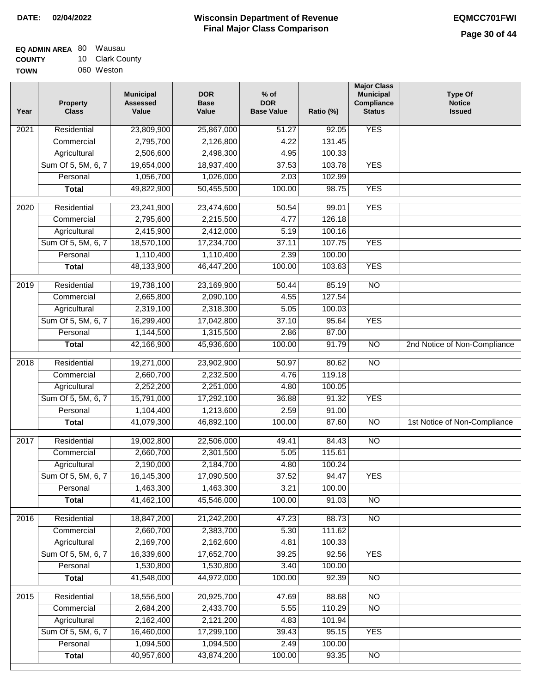| EQ ADMIN AREA 80 | Wausau          |
|------------------|-----------------|
| <b>COUNTY</b>    | 10 Clark County |
| <b>TOWN</b>      | 060 Weston      |

060 Weston

| Year             | <b>Property</b><br><b>Class</b> | <b>Municipal</b><br><b>Assessed</b><br>Value | <b>DOR</b><br><b>Base</b><br>Value | $%$ of<br><b>DOR</b><br><b>Base Value</b> | Ratio (%) | <b>Major Class</b><br><b>Municipal</b><br>Compliance<br><b>Status</b> | <b>Type Of</b><br><b>Notice</b><br><b>Issued</b> |
|------------------|---------------------------------|----------------------------------------------|------------------------------------|-------------------------------------------|-----------|-----------------------------------------------------------------------|--------------------------------------------------|
| 2021             | Residential                     | 23,809,900                                   | 25,867,000                         | 51.27                                     | 92.05     | <b>YES</b>                                                            |                                                  |
|                  | Commercial                      | 2,795,700                                    | 2,126,800                          | 4.22                                      | 131.45    |                                                                       |                                                  |
|                  | Agricultural                    | 2,506,600                                    | 2,498,300                          | 4.95                                      | 100.33    |                                                                       |                                                  |
|                  | Sum Of 5, 5M, 6, 7              | 19,654,000                                   | 18,937,400                         | 37.53                                     | 103.78    | <b>YES</b>                                                            |                                                  |
|                  | Personal                        | 1,056,700                                    | 1,026,000                          | 2.03                                      | 102.99    |                                                                       |                                                  |
|                  | <b>Total</b>                    | 49,822,900                                   | 50,455,500                         | 100.00                                    | 98.75     | <b>YES</b>                                                            |                                                  |
| $\frac{1}{2020}$ | Residential                     | 23,241,900                                   | 23,474,600                         | 50.54                                     | 99.01     | <b>YES</b>                                                            |                                                  |
|                  | Commercial                      | 2,795,600                                    | 2,215,500                          | 4.77                                      | 126.18    |                                                                       |                                                  |
|                  | Agricultural                    | 2,415,900                                    | 2,412,000                          | 5.19                                      | 100.16    |                                                                       |                                                  |
|                  | Sum Of 5, 5M, 6, 7              | 18,570,100                                   | 17,234,700                         | 37.11                                     | 107.75    | <b>YES</b>                                                            |                                                  |
|                  | Personal                        | 1,110,400                                    | 1,110,400                          | 2.39                                      | 100.00    |                                                                       |                                                  |
|                  | <b>Total</b>                    | 48,133,900                                   | 46,447,200                         | 100.00                                    | 103.63    | <b>YES</b>                                                            |                                                  |
| $\frac{1}{2019}$ | Residential                     | 19,738,100                                   | 23,169,900                         | 50.44                                     | 85.19     | $\overline{NO}$                                                       |                                                  |
|                  | Commercial                      | 2,665,800                                    | 2,090,100                          | 4.55                                      | 127.54    |                                                                       |                                                  |
|                  | Agricultural                    | 2,319,100                                    | 2,318,300                          | 5.05                                      | 100.03    |                                                                       |                                                  |
|                  | Sum Of 5, 5M, 6, 7              | 16,299,400                                   | 17,042,800                         | 37.10                                     | 95.64     | <b>YES</b>                                                            |                                                  |
|                  | Personal                        | 1,144,500                                    | 1,315,500                          | 2.86                                      | 87.00     |                                                                       |                                                  |
|                  | <b>Total</b>                    | 42,166,900                                   | 45,936,600                         | 100.00                                    | 91.79     | $\overline{NO}$                                                       | 2nd Notice of Non-Compliance                     |
| 2018             | Residential                     | 19,271,000                                   | 23,902,900                         | 50.97                                     | 80.62     | $\overline{NO}$                                                       |                                                  |
|                  | Commercial                      | 2,660,700                                    | 2,232,500                          | 4.76                                      | 119.18    |                                                                       |                                                  |
|                  | Agricultural                    | 2,252,200                                    | 2,251,000                          | 4.80                                      | 100.05    |                                                                       |                                                  |
|                  | Sum Of 5, 5M, 6, 7              | 15,791,000                                   | 17,292,100                         | 36.88                                     | 91.32     | <b>YES</b>                                                            |                                                  |
|                  | Personal                        | 1,104,400                                    | 1,213,600                          | 2.59                                      | 91.00     |                                                                       |                                                  |
|                  | <b>Total</b>                    | 41,079,300                                   | 46,892,100                         | 100.00                                    | 87.60     | <b>NO</b>                                                             | 1st Notice of Non-Compliance                     |
|                  |                                 |                                              |                                    |                                           |           |                                                                       |                                                  |
| 2017             | Residential                     | 19,002,800                                   | 22,506,000                         | 49.41                                     | 84.43     | $\overline{NO}$                                                       |                                                  |
|                  | Commercial                      | 2,660,700                                    | 2,301,500                          | 5.05                                      | 115.61    |                                                                       |                                                  |
|                  | Agricultural                    | 2,190,000                                    | 2,184,700                          | 4.80                                      | 100.24    |                                                                       |                                                  |
|                  | Sum Of 5, 5M, 6, 7              | 16,145,300                                   | 17,090,500                         | 37.52                                     | 94.47     | <b>YES</b>                                                            |                                                  |
|                  | Personal                        | 1,463,300                                    | 1,463,300                          | 3.21                                      | 100.00    |                                                                       |                                                  |
|                  | <b>Total</b>                    | 41,462,100                                   | 45,546,000                         | 100.00                                    | 91.03     | NO                                                                    |                                                  |
| 2016             | Residential                     | 18,847,200                                   | 21,242,200                         | 47.23                                     | 88.73     | $\overline{NO}$                                                       |                                                  |
|                  | Commercial                      | 2,660,700                                    | 2,383,700                          | 5.30                                      | 111.62    |                                                                       |                                                  |
|                  | Agricultural                    | 2,169,700                                    | 2,162,600                          | 4.81                                      | 100.33    |                                                                       |                                                  |
|                  | Sum Of 5, 5M, 6, 7              | 16,339,600                                   | 17,652,700                         | 39.25                                     | 92.56     | <b>YES</b>                                                            |                                                  |
|                  | Personal                        | 1,530,800                                    | 1,530,800                          | 3.40                                      | 100.00    |                                                                       |                                                  |
|                  | <b>Total</b>                    | 41,548,000                                   | 44,972,000                         | 100.00                                    | 92.39     | $\overline{NO}$                                                       |                                                  |
| 2015             | Residential                     | 18,556,500                                   | 20,925,700                         | 47.69                                     | 88.68     | $\overline{NO}$                                                       |                                                  |
|                  | Commercial                      | 2,684,200                                    | 2,433,700                          | 5.55                                      | 110.29    | $\overline{NO}$                                                       |                                                  |
|                  | Agricultural                    | 2,162,400                                    | 2,121,200                          | 4.83                                      | 101.94    |                                                                       |                                                  |
|                  | Sum Of 5, 5M, 6, 7              | 16,460,000                                   | 17,299,100                         | 39.43                                     | 95.15     | <b>YES</b>                                                            |                                                  |
|                  | Personal                        | 1,094,500                                    | 1,094,500                          | 2.49                                      | 100.00    |                                                                       |                                                  |
|                  | <b>Total</b>                    | 40,957,600                                   | 43,874,200                         | 100.00                                    | 93.35     | $\overline{NO}$                                                       |                                                  |
|                  |                                 |                                              |                                    |                                           |           |                                                                       |                                                  |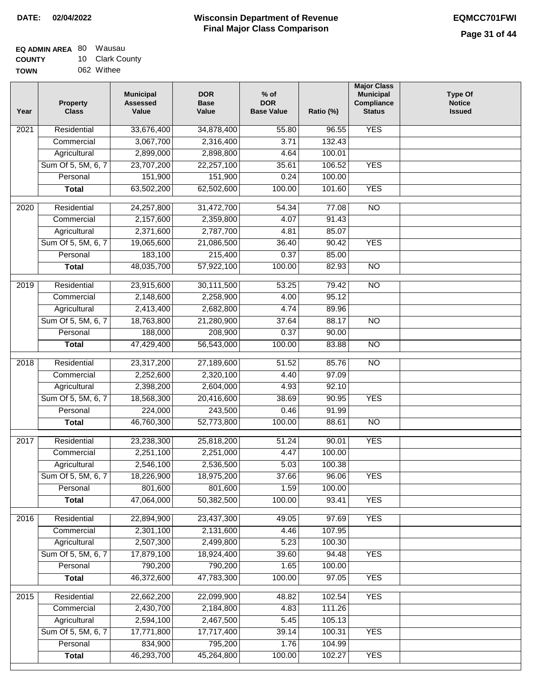| <b>EQ ADMIN AREA 80 Wausau</b> |                 |
|--------------------------------|-----------------|
| <b>COUNTY</b>                  | 10 Clark County |
| <b>TOWN</b>                    | 062 Withee      |

| Year              | <b>Property</b><br><b>Class</b> | <b>Municipal</b><br><b>Assessed</b><br>Value | <b>DOR</b><br><b>Base</b><br>Value | $%$ of<br><b>DOR</b><br><b>Base Value</b> | Ratio (%) | <b>Major Class</b><br><b>Municipal</b><br>Compliance<br><b>Status</b> | <b>Type Of</b><br><b>Notice</b><br><b>Issued</b> |
|-------------------|---------------------------------|----------------------------------------------|------------------------------------|-------------------------------------------|-----------|-----------------------------------------------------------------------|--------------------------------------------------|
| $\overline{202}1$ | Residential                     | 33,676,400                                   | 34,878,400                         | 55.80                                     | 96.55     | <b>YES</b>                                                            |                                                  |
|                   | Commercial                      | 3,067,700                                    | 2,316,400                          | 3.71                                      | 132.43    |                                                                       |                                                  |
|                   | Agricultural                    | 2,899,000                                    | 2,898,800                          | 4.64                                      | 100.01    |                                                                       |                                                  |
|                   | Sum Of 5, 5M, 6, 7              | 23,707,200                                   | 22,257,100                         | 35.61                                     | 106.52    | <b>YES</b>                                                            |                                                  |
|                   | Personal                        | 151,900                                      | 151,900                            | 0.24                                      | 100.00    |                                                                       |                                                  |
|                   | <b>Total</b>                    | 63,502,200                                   | 62,502,600                         | 100.00                                    | 101.60    | <b>YES</b>                                                            |                                                  |
| $\overline{2020}$ | Residential                     | 24,257,800                                   | 31,472,700                         | 54.34                                     | 77.08     | $\overline{10}$                                                       |                                                  |
|                   | Commercial                      | 2,157,600                                    | 2,359,800                          | 4.07                                      | 91.43     |                                                                       |                                                  |
|                   | Agricultural                    | 2,371,600                                    | 2,787,700                          | 4.81                                      | 85.07     |                                                                       |                                                  |
|                   | Sum Of 5, 5M, 6, 7              | 19,065,600                                   | 21,086,500                         | 36.40                                     | 90.42     | <b>YES</b>                                                            |                                                  |
|                   | Personal                        | 183,100                                      | 215,400                            | 0.37                                      | 85.00     |                                                                       |                                                  |
|                   | <b>Total</b>                    | 48,035,700                                   | 57,922,100                         | 100.00                                    | 82.93     | $\overline{NO}$                                                       |                                                  |
| 2019              | Residential                     | 23,915,600                                   | 30,111,500                         | 53.25                                     | 79.42     | $\overline{NO}$                                                       |                                                  |
|                   | Commercial                      | 2,148,600                                    | 2,258,900                          | 4.00                                      | 95.12     |                                                                       |                                                  |
|                   | Agricultural                    | 2,413,400                                    | 2,682,800                          | 4.74                                      | 89.96     |                                                                       |                                                  |
|                   | Sum Of 5, 5M, 6, 7              | 18,763,800                                   | 21,280,900                         | 37.64                                     | 88.17     | $\overline{NO}$                                                       |                                                  |
|                   | Personal                        | 188,000                                      | 208,900                            | 0.37                                      | 90.00     |                                                                       |                                                  |
|                   | <b>Total</b>                    | 47,429,400                                   | 56,543,000                         | 100.00                                    | 83.88     | $\overline{NO}$                                                       |                                                  |
| 2018              | Residential                     | 23,317,200                                   | 27,189,600                         | 51.52                                     | 85.76     | $\overline{10}$                                                       |                                                  |
|                   | Commercial                      | 2,252,600                                    | 2,320,100                          | 4.40                                      | 97.09     |                                                                       |                                                  |
|                   | Agricultural                    | 2,398,200                                    | 2,604,000                          | 4.93                                      | 92.10     |                                                                       |                                                  |
|                   | Sum Of 5, 5M, 6, 7              | 18,568,300                                   | 20,416,600                         | 38.69                                     | 90.95     | <b>YES</b>                                                            |                                                  |
|                   | Personal                        | 224,000                                      | 243,500                            | 0.46                                      | 91.99     |                                                                       |                                                  |
|                   | <b>Total</b>                    | 46,760,300                                   | 52,773,800                         | 100.00                                    | 88.61     | $\overline{10}$                                                       |                                                  |
| 2017              | Residential                     | 23,238,300                                   | 25,818,200                         | 51.24                                     | 90.01     | <b>YES</b>                                                            |                                                  |
|                   | Commercial                      | 2,251,100                                    | 2,251,000                          | 4.47                                      | 100.00    |                                                                       |                                                  |
|                   | Agricultural                    | 2,546,100                                    | 2,536,500                          | 5.03                                      | 100.38    |                                                                       |                                                  |
|                   | Sum Of 5, 5M, 6, 7              | 18,226,900                                   | 18,975,200                         | 37.66                                     | 96.06     | <b>YES</b>                                                            |                                                  |
|                   | Personal                        | 801,600                                      | 801,600                            | 1.59                                      | 100.00    |                                                                       |                                                  |
|                   | <b>Total</b>                    | 47,064,000                                   | 50,382,500                         | 100.00                                    | 93.41     | <b>YES</b>                                                            |                                                  |
| 2016              | Residential                     | 22,894,900                                   | 23,437,300                         | 49.05                                     | 97.69     | <b>YES</b>                                                            |                                                  |
|                   | Commercial                      | 2,301,100                                    | 2,131,600                          | 4.46                                      | 107.95    |                                                                       |                                                  |
|                   | Agricultural                    | 2,507,300                                    | 2,499,800                          | 5.23                                      | 100.30    |                                                                       |                                                  |
|                   | Sum Of 5, 5M, 6, 7              | 17,879,100                                   | 18,924,400                         | 39.60                                     | 94.48     | <b>YES</b>                                                            |                                                  |
|                   | Personal                        | 790,200                                      | 790,200                            | 1.65                                      | 100.00    |                                                                       |                                                  |
|                   | <b>Total</b>                    | 46,372,600                                   | 47,783,300                         | 100.00                                    | 97.05     | <b>YES</b>                                                            |                                                  |
| 2015              | Residential                     | 22,662,200                                   | 22,099,900                         | 48.82                                     | 102.54    | <b>YES</b>                                                            |                                                  |
|                   | Commercial                      | 2,430,700                                    | 2,184,800                          | 4.83                                      | 111.26    |                                                                       |                                                  |
|                   | Agricultural                    | 2,594,100                                    | 2,467,500                          | 5.45                                      | 105.13    |                                                                       |                                                  |
|                   | Sum Of 5, 5M, 6, 7              | 17,771,800                                   | 17,717,400                         | 39.14                                     | 100.31    | <b>YES</b>                                                            |                                                  |
|                   | Personal                        | 834,900                                      | 795,200                            | 1.76                                      | 104.99    |                                                                       |                                                  |
|                   | <b>Total</b>                    | 46,293,700                                   | 45,264,800                         | 100.00                                    | 102.27    | <b>YES</b>                                                            |                                                  |
|                   |                                 |                                              |                                    |                                           |           |                                                                       |                                                  |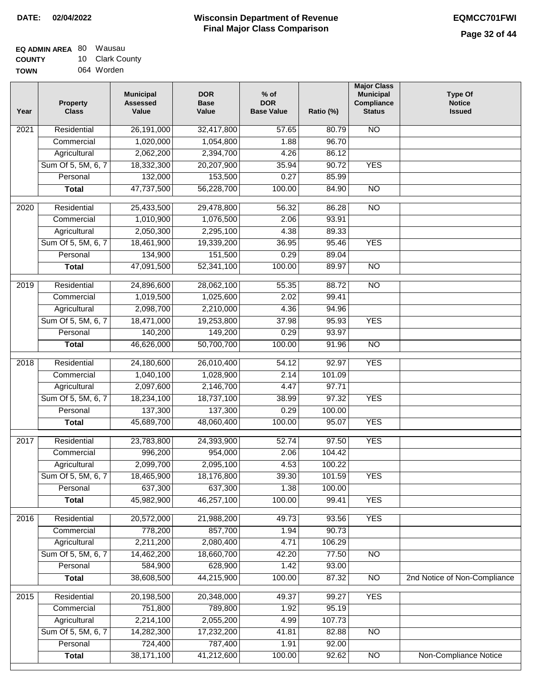| <b>EQ ADMIN AREA 80 Wausau</b> |                 |
|--------------------------------|-----------------|
| <b>COUNTY</b>                  | 10 Clark County |
| <b>TOWN</b>                    | 064 Worden      |

| Year              | <b>Property</b><br><b>Class</b> | <b>Municipal</b><br><b>Assessed</b><br>Value | <b>DOR</b><br><b>Base</b><br>Value | $%$ of<br><b>DOR</b><br><b>Base Value</b> | Ratio (%) | <b>Major Class</b><br><b>Municipal</b><br>Compliance<br><b>Status</b> | <b>Type Of</b><br><b>Notice</b><br><b>Issued</b> |
|-------------------|---------------------------------|----------------------------------------------|------------------------------------|-------------------------------------------|-----------|-----------------------------------------------------------------------|--------------------------------------------------|
| $\overline{202}1$ | Residential                     | 26,191,000                                   | 32,417,800                         | 57.65                                     | 80.79     | <b>NO</b>                                                             |                                                  |
|                   | Commercial                      | 1,020,000                                    | 1,054,800                          | 1.88                                      | 96.70     |                                                                       |                                                  |
|                   | Agricultural                    | 2,062,200                                    | 2,394,700                          | 4.26                                      | 86.12     |                                                                       |                                                  |
|                   | Sum Of 5, 5M, 6, 7              | 18,332,300                                   | 20,207,900                         | 35.94                                     | 90.72     | <b>YES</b>                                                            |                                                  |
|                   | Personal                        | 132,000                                      | 153,500                            | 0.27                                      | 85.99     |                                                                       |                                                  |
|                   | <b>Total</b>                    | 47,737,500                                   | 56,228,700                         | 100.00                                    | 84.90     | $\overline{NO}$                                                       |                                                  |
| $\overline{2020}$ | Residential                     | 25,433,500                                   | 29,478,800                         | 56.32                                     | 86.28     | $\overline{10}$                                                       |                                                  |
|                   | Commercial                      | 1,010,900                                    | 1,076,500                          | 2.06                                      | 93.91     |                                                                       |                                                  |
|                   | Agricultural                    | 2,050,300                                    | 2,295,100                          | 4.38                                      | 89.33     |                                                                       |                                                  |
|                   | Sum Of 5, 5M, 6, 7              | 18,461,900                                   | 19,339,200                         | 36.95                                     | 95.46     | <b>YES</b>                                                            |                                                  |
|                   | Personal                        | 134,900                                      | 151,500                            | 0.29                                      | 89.04     |                                                                       |                                                  |
|                   | <b>Total</b>                    | 47,091,500                                   | 52,341,100                         | 100.00                                    | 89.97     | $\overline{NO}$                                                       |                                                  |
|                   |                                 |                                              |                                    |                                           |           |                                                                       |                                                  |
| 2019              | Residential                     | 24,896,600                                   | 28,062,100                         | 55.35                                     | 88.72     | $\overline{NO}$                                                       |                                                  |
|                   | Commercial                      | 1,019,500                                    | 1,025,600                          | 2.02                                      | 99.41     |                                                                       |                                                  |
|                   | Agricultural                    | 2,098,700                                    | 2,210,000                          | 4.36                                      | 94.96     |                                                                       |                                                  |
|                   | Sum Of 5, 5M, 6, 7              | 18,471,000                                   | 19,253,800                         | 37.98                                     | 95.93     | <b>YES</b>                                                            |                                                  |
|                   | Personal                        | 140,200                                      | 149,200                            | 0.29                                      | 93.97     |                                                                       |                                                  |
|                   | <b>Total</b>                    | 46,626,000                                   | 50,700,700                         | 100.00                                    | 91.96     | $\overline{NO}$                                                       |                                                  |
| 2018              | Residential                     | 24,180,600                                   | 26,010,400                         | 54.12                                     | 92.97     | <b>YES</b>                                                            |                                                  |
|                   | Commercial                      | 1,040,100                                    | 1,028,900                          | 2.14                                      | 101.09    |                                                                       |                                                  |
|                   | Agricultural                    | 2,097,600                                    | 2,146,700                          | 4.47                                      | 97.71     |                                                                       |                                                  |
|                   | Sum Of 5, 5M, 6, 7              | 18,234,100                                   | 18,737,100                         | 38.99                                     | 97.32     | <b>YES</b>                                                            |                                                  |
|                   | Personal                        | 137,300                                      | 137,300                            | 0.29                                      | 100.00    |                                                                       |                                                  |
|                   | <b>Total</b>                    | 45,689,700                                   | 48,060,400                         | 100.00                                    | 95.07     | <b>YES</b>                                                            |                                                  |
| 2017              | Residential                     | 23,783,800                                   | 24,393,900                         | 52.74                                     | 97.50     | <b>YES</b>                                                            |                                                  |
|                   | Commercial                      | 996,200                                      | 954,000                            | 2.06                                      | 104.42    |                                                                       |                                                  |
|                   | Agricultural                    | 2,099,700                                    | 2,095,100                          | 4.53                                      | 100.22    |                                                                       |                                                  |
|                   | Sum Of 5, 5M, 6, 7              | 18,465,900                                   | 18,176,800                         | 39.30                                     | 101.59    | <b>YES</b>                                                            |                                                  |
|                   | Personal                        | 637,300                                      | 637,300                            | 1.38                                      | 100.00    |                                                                       |                                                  |
|                   | <b>Total</b>                    | 45,982,900                                   | 46,257,100                         | 100.00                                    | 99.41     | <b>YES</b>                                                            |                                                  |
| 2016              | Residential                     | 20,572,000                                   | 21,988,200                         | 49.73                                     | 93.56     | <b>YES</b>                                                            |                                                  |
|                   | Commercial                      | 778,200                                      | 857,700                            | 1.94                                      | 90.73     |                                                                       |                                                  |
|                   | Agricultural                    | 2,211,200                                    | 2,080,400                          | 4.71                                      | 106.29    |                                                                       |                                                  |
|                   | Sum Of 5, 5M, 6, 7              | 14,462,200                                   | 18,660,700                         | 42.20                                     | 77.50     | $\overline{NO}$                                                       |                                                  |
|                   | Personal                        | 584,900                                      | 628,900                            | 1.42                                      | 93.00     |                                                                       |                                                  |
|                   | <b>Total</b>                    | 38,608,500                                   | 44,215,900                         | 100.00                                    | 87.32     | N <sub>O</sub>                                                        | 2nd Notice of Non-Compliance                     |
| 2015              | Residential                     | 20,198,500                                   | 20,348,000                         | 49.37                                     | 99.27     | <b>YES</b>                                                            |                                                  |
|                   | Commercial                      | 751,800                                      | 789,800                            | 1.92                                      | 95.19     |                                                                       |                                                  |
|                   | Agricultural                    | 2,214,100                                    | 2,055,200                          | 4.99                                      | 107.73    |                                                                       |                                                  |
|                   | Sum Of 5, 5M, 6, 7              | 14,282,300                                   | 17,232,200                         | 41.81                                     | 82.88     | <b>NO</b>                                                             |                                                  |
|                   | Personal                        | 724,400                                      | 787,400                            | 1.91                                      | 92.00     |                                                                       |                                                  |
|                   | <b>Total</b>                    | 38,171,100                                   | 41,212,600                         | 100.00                                    | 92.62     | N <sub>O</sub>                                                        | <b>Non-Compliance Notice</b>                     |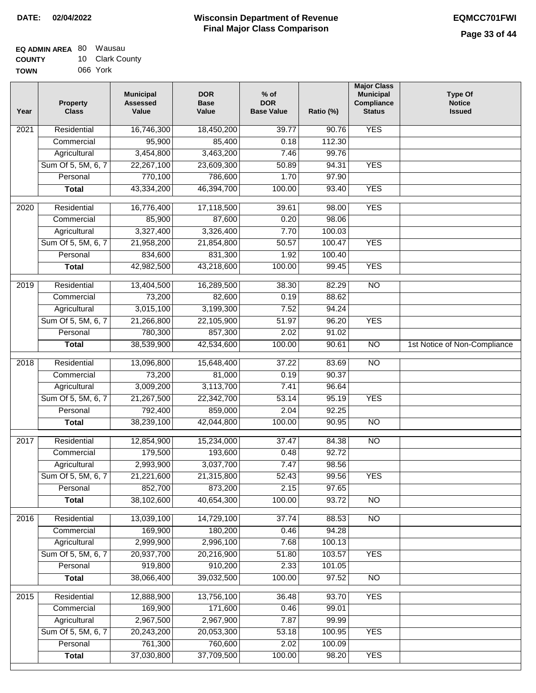| <b>EQ ADMIN AREA 80 Wausau</b> |                 |
|--------------------------------|-----------------|
| <b>COUNTY</b>                  | 10 Clark County |
| <b>TOWN</b>                    | 066 York        |

| Year | Property<br><b>Class</b> | <b>Municipal</b><br><b>Assessed</b><br>Value | <b>DOR</b><br><b>Base</b><br>Value | % of<br><b>DOR</b><br><b>Base Value</b> | Ratio (%) | <b>Major Class</b><br><b>Municipal</b><br>Compliance<br><b>Status</b> | <b>Type Of</b><br><b>Notice</b><br><b>Issued</b> |
|------|--------------------------|----------------------------------------------|------------------------------------|-----------------------------------------|-----------|-----------------------------------------------------------------------|--------------------------------------------------|
| 2021 | Residential              | 16,746,300                                   | 18,450,200                         | 39.77                                   | 90.76     | <b>YES</b>                                                            |                                                  |
|      | Commercial               | 95,900                                       | 85,400                             | 0.18                                    | 112.30    |                                                                       |                                                  |
|      | Agricultural             | 3,454,800                                    | 3,463,200                          | 7.46                                    | 99.76     |                                                                       |                                                  |
|      | Sum Of 5, 5M, 6, 7       | 22,267,100                                   | 23,609,300                         | 50.89                                   | 94.31     | <b>YES</b>                                                            |                                                  |
|      | Personal                 | 770,100                                      | 786,600                            | 1.70                                    | 97.90     |                                                                       |                                                  |
|      | <b>Total</b>             | 43,334,200                                   | 46,394,700                         | 100.00                                  | 93.40     | <b>YES</b>                                                            |                                                  |
| 2020 | Residential              | 16,776,400                                   | 17,118,500                         | 39.61                                   | 98.00     | <b>YES</b>                                                            |                                                  |
|      | Commercial               | 85,900                                       | 87,600                             | 0.20                                    | 98.06     |                                                                       |                                                  |
|      | Agricultural             | 3,327,400                                    | 3,326,400                          | 7.70                                    | 100.03    |                                                                       |                                                  |
|      | Sum Of 5, 5M, 6, 7       | 21,958,200                                   | 21,854,800                         | 50.57                                   | 100.47    | <b>YES</b>                                                            |                                                  |
|      | Personal                 | 834,600                                      | 831,300                            | 1.92                                    | 100.40    |                                                                       |                                                  |
|      | <b>Total</b>             | 42,982,500                                   | 43,218,600                         | 100.00                                  | 99.45     | <b>YES</b>                                                            |                                                  |
|      |                          |                                              |                                    |                                         |           |                                                                       |                                                  |
| 2019 | Residential              | 13,404,500                                   | 16,289,500                         | 38.30                                   | 82.29     | $\overline{NO}$                                                       |                                                  |
|      | Commercial               | 73,200                                       | 82,600                             | 0.19                                    | 88.62     |                                                                       |                                                  |
|      | Agricultural             | 3,015,100                                    | 3,199,300                          | 7.52                                    | 94.24     |                                                                       |                                                  |
|      | Sum Of 5, 5M, 6, 7       | 21,266,800                                   | 22,105,900                         | 51.97                                   | 96.20     | <b>YES</b>                                                            |                                                  |
|      | Personal                 | 780,300                                      | 857,300                            | 2.02                                    | 91.02     |                                                                       |                                                  |
|      | <b>Total</b>             | 38,539,900                                   | 42,534,600                         | 100.00                                  | 90.61     | $\overline{NO}$                                                       | 1st Notice of Non-Compliance                     |
| 2018 | Residential              | 13,096,800                                   | 15,648,400                         | 37.22                                   | 83.69     | $\overline{NO}$                                                       |                                                  |
|      | Commercial               | 73,200                                       | 81,000                             | 0.19                                    | 90.37     |                                                                       |                                                  |
|      | Agricultural             | 3,009,200                                    | 3,113,700                          | 7.41                                    | 96.64     |                                                                       |                                                  |
|      | Sum Of 5, 5M, 6, 7       | 21,267,500                                   | 22,342,700                         | 53.14                                   | 95.19     | <b>YES</b>                                                            |                                                  |
|      | Personal                 | 792,400                                      | 859,000                            | 2.04                                    | 92.25     |                                                                       |                                                  |
|      | <b>Total</b>             | 38,239,100                                   | 42,044,800                         | 100.00                                  | 90.95     | <b>NO</b>                                                             |                                                  |
| 2017 | Residential              | 12,854,900                                   | 15,234,000                         | 37.47                                   | 84.38     | $\overline{NO}$                                                       |                                                  |
|      | Commercial               | 179,500                                      | 193,600                            | 0.48                                    | 92.72     |                                                                       |                                                  |
|      | Agricultural             | 2,993,900                                    | 3,037,700                          | 7.47                                    | 98.56     |                                                                       |                                                  |
|      | Sum Of 5, 5M, 6, 7       | 21,221,600                                   | 21,315,800                         | 52.43                                   | 99.56     | YES                                                                   |                                                  |
|      | Personal                 | 852,700                                      | 873,200                            | 2.15                                    | 97.65     |                                                                       |                                                  |
|      | <b>Total</b>             | 38,102,600                                   | 40,654,300                         | 100.00                                  | 93.72     | N <sub>O</sub>                                                        |                                                  |
| 2016 | Residential              | 13,039,100                                   | 14,729,100                         | 37.74                                   | 88.53     | N <sub>O</sub>                                                        |                                                  |
|      | Commercial               | 169,900                                      | 180,200                            | 0.46                                    | 94.28     |                                                                       |                                                  |
|      | Agricultural             | 2,999,900                                    | 2,996,100                          | 7.68                                    | 100.13    |                                                                       |                                                  |
|      | Sum Of 5, 5M, 6, 7       | 20,937,700                                   | 20,216,900                         | 51.80                                   | 103.57    | <b>YES</b>                                                            |                                                  |
|      | Personal                 | 919,800                                      | 910,200                            | 2.33                                    | 101.05    |                                                                       |                                                  |
|      | <b>Total</b>             | 38,066,400                                   | 39,032,500                         | 100.00                                  | 97.52     | $\overline{NO}$                                                       |                                                  |
|      |                          |                                              |                                    |                                         |           |                                                                       |                                                  |
| 2015 | Residential              | 12,888,900                                   | 13,756,100                         | 36.48                                   | 93.70     | <b>YES</b>                                                            |                                                  |
|      | Commercial               | 169,900                                      | 171,600                            | 0.46                                    | 99.01     |                                                                       |                                                  |
|      | Agricultural             | 2,967,500                                    | 2,967,900                          | 7.87                                    | 99.99     |                                                                       |                                                  |
|      | Sum Of 5, 5M, 6, 7       | 20,243,200                                   | 20,053,300                         | 53.18                                   | 100.95    | <b>YES</b>                                                            |                                                  |
|      | Personal                 | 761,300                                      | 760,600                            | 2.02                                    | 100.09    |                                                                       |                                                  |
|      | <b>Total</b>             | 37,030,800                                   | 37,709,500                         | 100.00                                  | 98.20     | <b>YES</b>                                                            |                                                  |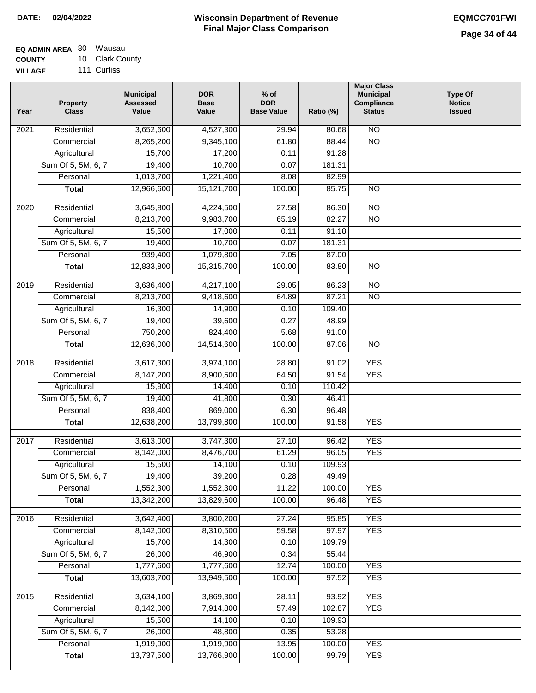#### **EQ ADMIN AREA** 80 Wausau **COUNTY** 10 Clark County

**VILLAGE** 111 Curtiss

| Year              | <b>Property</b><br><b>Class</b> | <b>Municipal</b><br><b>Assessed</b><br>Value | <b>DOR</b><br><b>Base</b><br>Value | % of<br><b>DOR</b><br><b>Base Value</b> | Ratio (%) | <b>Major Class</b><br><b>Municipal</b><br>Compliance<br><b>Status</b> | <b>Type Of</b><br><b>Notice</b><br><b>Issued</b> |
|-------------------|---------------------------------|----------------------------------------------|------------------------------------|-----------------------------------------|-----------|-----------------------------------------------------------------------|--------------------------------------------------|
| $\overline{202}1$ | Residential                     | 3,652,600                                    | 4,527,300                          | 29.94                                   | 80.68     | $\overline{NO}$                                                       |                                                  |
|                   | Commercial                      | 8,265,200                                    | 9,345,100                          | 61.80                                   | 88.44     | $\overline{NO}$                                                       |                                                  |
|                   | Agricultural                    | 15,700                                       | 17,200                             | 0.11                                    | 91.28     |                                                                       |                                                  |
|                   | Sum Of 5, 5M, 6, 7              | 19,400                                       | 10,700                             | 0.07                                    | 181.31    |                                                                       |                                                  |
|                   | Personal                        | 1,013,700                                    | 1,221,400                          | 8.08                                    | 82.99     |                                                                       |                                                  |
|                   | <b>Total</b>                    | 12,966,600                                   | 15,121,700                         | 100.00                                  | 85.75     | $\overline{NO}$                                                       |                                                  |
| $\overline{2020}$ | Residential                     | 3,645,800                                    | 4,224,500                          | 27.58                                   | 86.30     | $\overline{NO}$                                                       |                                                  |
|                   | Commercial                      | 8,213,700                                    | 9,983,700                          | 65.19                                   | 82.27     | $\overline{NO}$                                                       |                                                  |
|                   | Agricultural                    | 15,500                                       | 17,000                             | 0.11                                    | 91.18     |                                                                       |                                                  |
|                   | Sum Of 5, 5M, 6, 7              | 19,400                                       | 10,700                             | 0.07                                    | 181.31    |                                                                       |                                                  |
|                   | Personal                        | 939,400                                      | 1,079,800                          | 7.05                                    | 87.00     |                                                                       |                                                  |
|                   | <b>Total</b>                    | 12,833,800                                   | 15,315,700                         | 100.00                                  | 83.80     | $\overline{NO}$                                                       |                                                  |
| 2019              | Residential                     | 3,636,400                                    | 4,217,100                          | 29.05                                   | 86.23     | $\overline{NO}$                                                       |                                                  |
|                   | Commercial                      | 8,213,700                                    | 9,418,600                          | 64.89                                   | 87.21     | $\overline{NO}$                                                       |                                                  |
|                   | Agricultural                    | 16,300                                       | 14,900                             | 0.10                                    | 109.40    |                                                                       |                                                  |
|                   | Sum Of 5, 5M, 6, 7              | 19,400                                       | 39,600                             | 0.27                                    | 48.99     |                                                                       |                                                  |
|                   | Personal                        | 750,200                                      | 824,400                            | 5.68                                    | 91.00     |                                                                       |                                                  |
|                   | <b>Total</b>                    | 12,636,000                                   | 14,514,600                         | 100.00                                  | 87.06     | $\overline{NO}$                                                       |                                                  |
| 2018              | Residential                     | 3,617,300                                    | 3,974,100                          | 28.80                                   | 91.02     | <b>YES</b>                                                            |                                                  |
|                   | Commercial                      | 8,147,200                                    | 8,900,500                          | 64.50                                   | 91.54     | <b>YES</b>                                                            |                                                  |
|                   | Agricultural                    | 15,900                                       | 14,400                             | 0.10                                    | 110.42    |                                                                       |                                                  |
|                   | Sum Of 5, 5M, 6, 7              | 19,400                                       | 41,800                             | 0.30                                    | 46.41     |                                                                       |                                                  |
|                   | Personal                        | 838,400                                      | 869,000                            | 6.30                                    | 96.48     |                                                                       |                                                  |
|                   | <b>Total</b>                    | 12,638,200                                   | 13,799,800                         | 100.00                                  | 91.58     | <b>YES</b>                                                            |                                                  |
| 2017              | Residential                     | 3,613,000                                    | 3,747,300                          | 27.10                                   | 96.42     | <b>YES</b>                                                            |                                                  |
|                   | Commercial                      | 8,142,000                                    | 8,476,700                          | 61.29                                   | 96.05     | <b>YES</b>                                                            |                                                  |
|                   | Agricultural                    | 15,500                                       | 14,100                             | 0.10                                    | 109.93    |                                                                       |                                                  |
|                   | Sum Of 5, 5M, 6, 7              | 19,400                                       | 39,200                             | 0.28                                    | 49.49     |                                                                       |                                                  |
|                   | Personal                        | 1,552,300                                    | 1,552,300                          | 11.22                                   | 100.00    | <b>YES</b>                                                            |                                                  |
|                   | <b>Total</b>                    | 13,342,200                                   | 13,829,600                         | 100.00                                  | 96.48     | <b>YES</b>                                                            |                                                  |
| 2016              | Residential                     | 3,642,400                                    | 3,800,200                          | 27.24                                   | 95.85     | <b>YES</b>                                                            |                                                  |
|                   | Commercial                      | 8,142,000                                    | 8,310,500                          | 59.58                                   | 97.97     | <b>YES</b>                                                            |                                                  |
|                   | Agricultural                    | 15,700                                       | 14,300                             | 0.10                                    | 109.79    |                                                                       |                                                  |
|                   | Sum Of 5, 5M, 6, 7              | 26,000                                       | 46,900                             | 0.34                                    | 55.44     |                                                                       |                                                  |
|                   | Personal                        | 1,777,600                                    | 1,777,600                          | 12.74                                   | 100.00    | <b>YES</b>                                                            |                                                  |
|                   | <b>Total</b>                    | 13,603,700                                   | 13,949,500                         | 100.00                                  | 97.52     | <b>YES</b>                                                            |                                                  |
| 2015              | Residential                     | 3,634,100                                    | 3,869,300                          | 28.11                                   | 93.92     | <b>YES</b>                                                            |                                                  |
|                   | Commercial                      | 8,142,000                                    | 7,914,800                          | 57.49                                   | 102.87    | <b>YES</b>                                                            |                                                  |
|                   | Agricultural                    | 15,500                                       | 14,100                             | 0.10                                    | 109.93    |                                                                       |                                                  |
|                   | Sum Of 5, 5M, 6, 7              | 26,000                                       | 48,800                             | 0.35                                    | 53.28     |                                                                       |                                                  |
|                   | Personal                        | 1,919,900                                    | 1,919,900                          | 13.95                                   | 100.00    | <b>YES</b>                                                            |                                                  |
|                   | <b>Total</b>                    | 13,737,500                                   | 13,766,900                         | 100.00                                  | 99.79     | <b>YES</b>                                                            |                                                  |
|                   |                                 |                                              |                                    |                                         |           |                                                                       |                                                  |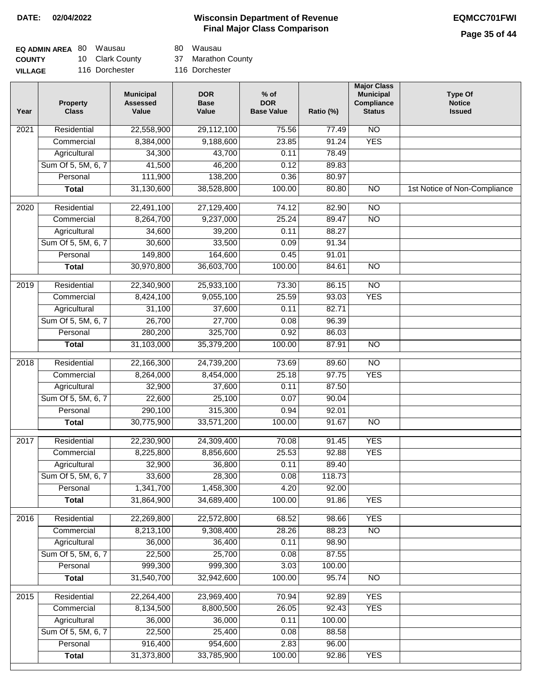# **Page 35 of 44**

| <b>EQ ADMIN AREA 80 Wausau</b> |                 | 80 Wausau          |
|--------------------------------|-----------------|--------------------|
| <b>COUNTY</b>                  | 10 Clark County | 37 Marathon County |
| <b>VILLAGE</b>                 | 116 Dorchester  | 116 Dorchester     |

80 Wausau

| Year              | <b>Property</b><br><b>Class</b> | <b>Municipal</b><br><b>Assessed</b><br>Value | <b>DOR</b><br><b>Base</b><br>Value | $%$ of<br><b>DOR</b><br><b>Base Value</b> | Ratio (%) | <b>Major Class</b><br><b>Municipal</b><br>Compliance<br><b>Status</b> | <b>Type Of</b><br><b>Notice</b><br><b>Issued</b> |
|-------------------|---------------------------------|----------------------------------------------|------------------------------------|-------------------------------------------|-----------|-----------------------------------------------------------------------|--------------------------------------------------|
| $\overline{202}1$ | Residential                     | 22,558,900                                   | 29,112,100                         | 75.56                                     | 77.49     | $\overline{NO}$                                                       |                                                  |
|                   | Commercial                      | 8,384,000                                    | 9,188,600                          | 23.85                                     | 91.24     | <b>YES</b>                                                            |                                                  |
|                   | Agricultural                    | 34,300                                       | 43,700                             | 0.11                                      | 78.49     |                                                                       |                                                  |
|                   | Sum Of 5, 5M, 6, 7              | 41,500                                       | 46,200                             | 0.12                                      | 89.83     |                                                                       |                                                  |
|                   | Personal                        | 111,900                                      | 138,200                            | 0.36                                      | 80.97     |                                                                       |                                                  |
|                   | <b>Total</b>                    | 31,130,600                                   | 38,528,800                         | 100.00                                    | 80.80     | $\overline{NO}$                                                       | 1st Notice of Non-Compliance                     |
| $\overline{2020}$ | Residential                     | 22,491,100                                   | 27,129,400                         | 74.12                                     | 82.90     | $\overline{NO}$                                                       |                                                  |
|                   | Commercial                      | 8,264,700                                    | 9,237,000                          | 25.24                                     | 89.47     | $\overline{NO}$                                                       |                                                  |
|                   | Agricultural                    | 34,600                                       | 39,200                             | 0.11                                      | 88.27     |                                                                       |                                                  |
|                   | Sum Of 5, 5M, 6, 7              | 30,600                                       | 33,500                             | 0.09                                      | 91.34     |                                                                       |                                                  |
|                   | Personal                        | 149,800                                      | 164,600                            | 0.45                                      | 91.01     |                                                                       |                                                  |
|                   | <b>Total</b>                    | 30,970,800                                   | 36,603,700                         | 100.00                                    | 84.61     | $\overline{NO}$                                                       |                                                  |
| 2019              | Residential                     | 22,340,900                                   | 25,933,100                         | 73.30                                     | 86.15     | $\overline{10}$                                                       |                                                  |
|                   | Commercial                      | 8,424,100                                    | 9,055,100                          | 25.59                                     | 93.03     | <b>YES</b>                                                            |                                                  |
|                   | Agricultural                    | 31,100                                       | 37,600                             | 0.11                                      | 82.71     |                                                                       |                                                  |
|                   | Sum Of 5, 5M, 6, 7              | 26,700                                       | 27,700                             | 0.08                                      | 96.39     |                                                                       |                                                  |
|                   | Personal                        | 280,200                                      | 325,700                            | 0.92                                      | 86.03     |                                                                       |                                                  |
|                   | <b>Total</b>                    | 31,103,000                                   | 35,379,200                         | 100.00                                    | 87.91     | $\overline{NO}$                                                       |                                                  |
| 2018              | Residential                     | 22,166,300                                   | 24,739,200                         | 73.69                                     | 89.60     | $\overline{NO}$                                                       |                                                  |
|                   | Commercial                      | 8,264,000                                    | 8,454,000                          | 25.18                                     | 97.75     | <b>YES</b>                                                            |                                                  |
|                   | Agricultural                    | 32,900                                       | 37,600                             | 0.11                                      | 87.50     |                                                                       |                                                  |
|                   | Sum Of 5, 5M, 6, 7              | 22,600                                       | 25,100                             | 0.07                                      | 90.04     |                                                                       |                                                  |
|                   | Personal                        | 290,100                                      | 315,300                            | 0.94                                      | 92.01     |                                                                       |                                                  |
|                   | <b>Total</b>                    | 30,775,900                                   | 33,571,200                         | 100.00                                    | 91.67     | <b>NO</b>                                                             |                                                  |
| $\overline{2017}$ | Residential                     | 22,230,900                                   | 24,309,400                         | 70.08                                     | 91.45     | <b>YES</b>                                                            |                                                  |
|                   | Commercial                      | 8,225,800                                    | 8,856,600                          | 25.53                                     | 92.88     | <b>YES</b>                                                            |                                                  |
|                   | Agricultural                    | 32,900                                       | 36,800                             | 0.11                                      | 89.40     |                                                                       |                                                  |
|                   | Sum Of 5, 5M, 6, 7              | 33,600                                       | 28,300                             | 0.08                                      | 118.73    |                                                                       |                                                  |
|                   | Personal                        | 1,341,700                                    | 1,458,300                          | 4.20                                      | 92.00     |                                                                       |                                                  |
|                   | <b>Total</b>                    | 31,864,900                                   | 34,689,400                         | 100.00                                    | 91.86     | <b>YES</b>                                                            |                                                  |
| 2016              | Residential                     | 22,269,800                                   | 22,572,800                         | 68.52                                     | 98.66     | <b>YES</b>                                                            |                                                  |
|                   | Commercial                      | 8,213,100                                    | 9,308,400                          | 28.26                                     | 88.23     | <b>NO</b>                                                             |                                                  |
|                   | Agricultural                    | 36,000                                       | 36,400                             | 0.11                                      | 98.90     |                                                                       |                                                  |
|                   | Sum Of 5, 5M, 6, 7              | 22,500                                       | 25,700                             | 0.08                                      | 87.55     |                                                                       |                                                  |
|                   | Personal                        | 999,300                                      | 999,300                            | 3.03                                      | 100.00    |                                                                       |                                                  |
|                   | <b>Total</b>                    | 31,540,700                                   | 32,942,600                         | 100.00                                    | 95.74     | $\overline{NO}$                                                       |                                                  |
| 2015              | Residential                     | 22,264,400                                   | 23,969,400                         | 70.94                                     | 92.89     | <b>YES</b>                                                            |                                                  |
|                   | Commercial                      | 8,134,500                                    | 8,800,500                          | 26.05                                     | 92.43     | <b>YES</b>                                                            |                                                  |
|                   | Agricultural                    | 36,000                                       | 36,000                             | 0.11                                      | 100.00    |                                                                       |                                                  |
|                   | Sum Of 5, 5M, 6, 7              | 22,500                                       | 25,400                             | 0.08                                      | 88.58     |                                                                       |                                                  |
|                   | Personal                        | 916,400                                      | 954,600                            | 2.83                                      | 96.00     |                                                                       |                                                  |
|                   | <b>Total</b>                    | 31,373,800                                   | 33,785,900                         | 100.00                                    | 92.86     | <b>YES</b>                                                            |                                                  |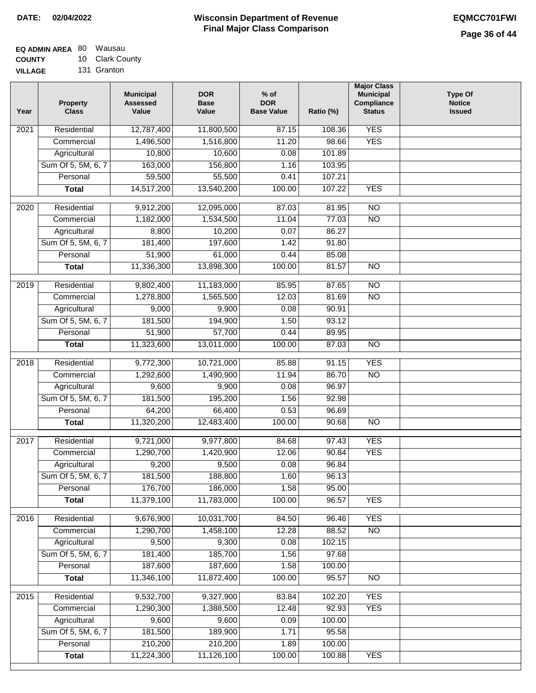| <b>EQ ADMIN AREA 80 Wausau</b> |                 |
|--------------------------------|-----------------|
| <b>COUNTY</b>                  | 10 Clark County |
| <b>VILLAGE</b>                 | 131 Granton     |

131 Granton

| <b>YES</b><br>Residential<br>$\overline{202}1$<br>12,787,400<br>11,800,500<br>87.15<br>108.36<br>1,496,500<br>1,516,800<br>11.20<br>98.66<br><b>YES</b><br>Commercial<br>Agricultural<br>10,800<br>10,600<br>0.08<br>101.89<br>Sum Of 5, 5M, 6, 7<br>163,000<br>156,800<br>103.95<br>1.16<br>59,500<br>55,500<br>Personal<br>0.41<br>107.21<br>14,517,200<br>13,540,200<br>100.00<br>107.22<br><b>YES</b><br><b>Total</b><br>$\overline{NO}$<br>$\overline{2020}$<br>Residential<br>9,912,200<br>12,095,000<br>87.03<br>81.95<br>1,182,000<br>$\overline{NO}$<br>Commercial<br>1,534,500<br>11.04<br>77.03<br>0.07<br>8,800<br>10,200<br>86.27<br>Agricultural<br>Sum Of 5, 5M, 6, 7<br>181,400<br>197,600<br>1.42<br>91.80 |  |
|-----------------------------------------------------------------------------------------------------------------------------------------------------------------------------------------------------------------------------------------------------------------------------------------------------------------------------------------------------------------------------------------------------------------------------------------------------------------------------------------------------------------------------------------------------------------------------------------------------------------------------------------------------------------------------------------------------------------------------|--|
|                                                                                                                                                                                                                                                                                                                                                                                                                                                                                                                                                                                                                                                                                                                             |  |
|                                                                                                                                                                                                                                                                                                                                                                                                                                                                                                                                                                                                                                                                                                                             |  |
|                                                                                                                                                                                                                                                                                                                                                                                                                                                                                                                                                                                                                                                                                                                             |  |
|                                                                                                                                                                                                                                                                                                                                                                                                                                                                                                                                                                                                                                                                                                                             |  |
|                                                                                                                                                                                                                                                                                                                                                                                                                                                                                                                                                                                                                                                                                                                             |  |
|                                                                                                                                                                                                                                                                                                                                                                                                                                                                                                                                                                                                                                                                                                                             |  |
|                                                                                                                                                                                                                                                                                                                                                                                                                                                                                                                                                                                                                                                                                                                             |  |
|                                                                                                                                                                                                                                                                                                                                                                                                                                                                                                                                                                                                                                                                                                                             |  |
|                                                                                                                                                                                                                                                                                                                                                                                                                                                                                                                                                                                                                                                                                                                             |  |
|                                                                                                                                                                                                                                                                                                                                                                                                                                                                                                                                                                                                                                                                                                                             |  |
| 51,900<br>61,000<br>85.08<br>Personal<br>0.44                                                                                                                                                                                                                                                                                                                                                                                                                                                                                                                                                                                                                                                                               |  |
| 11,336,300<br>13,898,300<br>100.00<br>$\overline{NO}$<br><b>Total</b><br>81.57                                                                                                                                                                                                                                                                                                                                                                                                                                                                                                                                                                                                                                              |  |
| 2019<br>Residential<br>9,802,400<br>11,183,000<br>85.95<br>87.65<br>$\overline{10}$                                                                                                                                                                                                                                                                                                                                                                                                                                                                                                                                                                                                                                         |  |
| $\overline{NO}$<br>1,278,800<br>1,565,500<br>12.03<br>81.69<br>Commercial                                                                                                                                                                                                                                                                                                                                                                                                                                                                                                                                                                                                                                                   |  |
| 9,000<br>9,900<br>0.08<br>90.91<br>Agricultural                                                                                                                                                                                                                                                                                                                                                                                                                                                                                                                                                                                                                                                                             |  |
| Sum Of 5, 5M, 6, 7<br>181,500<br>194,900<br>1.50<br>93.12                                                                                                                                                                                                                                                                                                                                                                                                                                                                                                                                                                                                                                                                   |  |
| 51,900<br>57,700<br>Personal<br>0.44<br>89.95                                                                                                                                                                                                                                                                                                                                                                                                                                                                                                                                                                                                                                                                               |  |
| 11,323,600<br>13,011,000<br>100.00<br>87.03<br>$\overline{NO}$<br><b>Total</b>                                                                                                                                                                                                                                                                                                                                                                                                                                                                                                                                                                                                                                              |  |
|                                                                                                                                                                                                                                                                                                                                                                                                                                                                                                                                                                                                                                                                                                                             |  |
| <b>YES</b><br>Residential<br>9,772,300<br>10,721,000<br>85.88<br>2018<br>91.15                                                                                                                                                                                                                                                                                                                                                                                                                                                                                                                                                                                                                                              |  |
| <b>NO</b><br>Commercial<br>1,292,600<br>1,490,900<br>11.94<br>86.70                                                                                                                                                                                                                                                                                                                                                                                                                                                                                                                                                                                                                                                         |  |
| 9,600<br>9,900<br>96.97<br>Agricultural<br>0.08                                                                                                                                                                                                                                                                                                                                                                                                                                                                                                                                                                                                                                                                             |  |
| Sum Of 5, 5M, 6, 7<br>181,500<br>195,200<br>1.56<br>92.98                                                                                                                                                                                                                                                                                                                                                                                                                                                                                                                                                                                                                                                                   |  |
| Personal<br>64,200<br>66,400<br>0.53<br>96.69                                                                                                                                                                                                                                                                                                                                                                                                                                                                                                                                                                                                                                                                               |  |
| 11,320,200<br>12,483,400<br>100.00<br>$\overline{10}$<br><b>Total</b><br>90.68                                                                                                                                                                                                                                                                                                                                                                                                                                                                                                                                                                                                                                              |  |
| 2017<br>Residential<br>9,721,000<br>9,977,800<br>97.43<br><b>YES</b><br>84.68                                                                                                                                                                                                                                                                                                                                                                                                                                                                                                                                                                                                                                               |  |
| <b>YES</b><br>Commercial<br>1,290,700<br>12.06<br>90.84<br>1,420,900                                                                                                                                                                                                                                                                                                                                                                                                                                                                                                                                                                                                                                                        |  |
| 9,200<br>9,500<br>0.08<br>96.84<br>Agricultural                                                                                                                                                                                                                                                                                                                                                                                                                                                                                                                                                                                                                                                                             |  |
| 181,500<br>96.13<br>Sum Of 5, 5M, 6, 7<br>188,800<br>1.60                                                                                                                                                                                                                                                                                                                                                                                                                                                                                                                                                                                                                                                                   |  |
| Personal<br>176,700<br>186,000<br>1.58<br>95.00                                                                                                                                                                                                                                                                                                                                                                                                                                                                                                                                                                                                                                                                             |  |
| 11,379,100<br>11,783,000<br>100.00<br>96.57<br><b>YES</b><br><b>Total</b>                                                                                                                                                                                                                                                                                                                                                                                                                                                                                                                                                                                                                                                   |  |
| 9,676,900<br><b>YES</b><br>Residential<br>10,031,700<br>2016<br>84.50<br>96.46                                                                                                                                                                                                                                                                                                                                                                                                                                                                                                                                                                                                                                              |  |
| 1,290,700<br>1,458,100<br>12.28<br>88.52<br>N <sub>O</sub><br>Commercial                                                                                                                                                                                                                                                                                                                                                                                                                                                                                                                                                                                                                                                    |  |
| Agricultural<br>9,500<br>9,300<br>0.08<br>102.15                                                                                                                                                                                                                                                                                                                                                                                                                                                                                                                                                                                                                                                                            |  |
| Sum Of 5, 5M, 6, 7<br>181,400<br>185,700<br>1.56<br>97.68                                                                                                                                                                                                                                                                                                                                                                                                                                                                                                                                                                                                                                                                   |  |
| 187,600<br>187,600<br>Personal<br>1.58<br>100.00                                                                                                                                                                                                                                                                                                                                                                                                                                                                                                                                                                                                                                                                            |  |
| 11,346,100<br>11,872,400<br>100.00<br>95.57<br>N <sub>O</sub><br><b>Total</b>                                                                                                                                                                                                                                                                                                                                                                                                                                                                                                                                                                                                                                               |  |
| <b>YES</b><br>Residential<br>9,532,700<br>9,327,900<br>83.84<br>102.20<br>2015                                                                                                                                                                                                                                                                                                                                                                                                                                                                                                                                                                                                                                              |  |
| 1,290,300<br>12.48<br>1,388,500<br>92.93<br><b>YES</b><br>Commercial                                                                                                                                                                                                                                                                                                                                                                                                                                                                                                                                                                                                                                                        |  |
| 9,600<br>9,600<br>0.09<br>100.00<br>Agricultural                                                                                                                                                                                                                                                                                                                                                                                                                                                                                                                                                                                                                                                                            |  |
| Sum Of 5, 5M, 6, 7<br>181,500<br>189,900<br>95.58<br>1.71                                                                                                                                                                                                                                                                                                                                                                                                                                                                                                                                                                                                                                                                   |  |
| 210,200<br>210,200<br>Personal<br>1.89<br>100.00                                                                                                                                                                                                                                                                                                                                                                                                                                                                                                                                                                                                                                                                            |  |
| 11,224,300<br>11,126,100<br>100.00<br><b>YES</b><br><b>Total</b><br>100.88                                                                                                                                                                                                                                                                                                                                                                                                                                                                                                                                                                                                                                                  |  |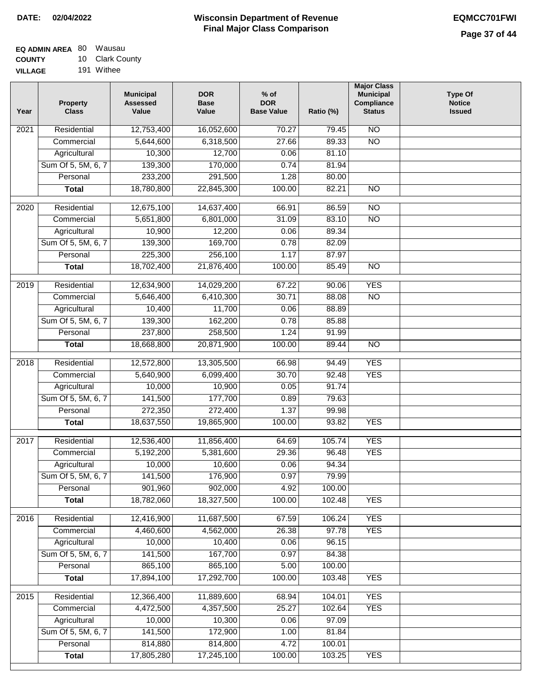| EQ ADMIN AREA 80 | Wausau          |
|------------------|-----------------|
| <b>COUNTY</b>    | 10 Clark County |
| <b>VILLAGE</b>   | 191 Withee      |

| Year              | <b>Property</b><br><b>Class</b> | <b>Municipal</b><br><b>Assessed</b><br>Value | <b>DOR</b><br><b>Base</b><br>Value | $%$ of<br><b>DOR</b><br><b>Base Value</b> | Ratio (%) | <b>Major Class</b><br><b>Municipal</b><br>Compliance<br><b>Status</b> | <b>Type Of</b><br><b>Notice</b><br><b>Issued</b> |
|-------------------|---------------------------------|----------------------------------------------|------------------------------------|-------------------------------------------|-----------|-----------------------------------------------------------------------|--------------------------------------------------|
| $\overline{202}1$ | Residential                     | 12,753,400                                   | 16,052,600                         | 70.27                                     | 79.45     | $\overline{NO}$                                                       |                                                  |
|                   | Commercial                      | 5,644,600                                    | 6,318,500                          | 27.66                                     | 89.33     | $\overline{NO}$                                                       |                                                  |
|                   | Agricultural                    | 10,300                                       | 12,700                             | 0.06                                      | 81.10     |                                                                       |                                                  |
|                   | Sum Of 5, 5M, 6, 7              | 139,300                                      | 170,000                            | 0.74                                      | 81.94     |                                                                       |                                                  |
|                   | Personal                        | 233,200                                      | 291,500                            | 1.28                                      | 80.00     |                                                                       |                                                  |
|                   | <b>Total</b>                    | 18,780,800                                   | 22,845,300                         | 100.00                                    | 82.21     | $\overline{NO}$                                                       |                                                  |
| $\overline{2020}$ | Residential                     | 12,675,100                                   | 14,637,400                         | 66.91                                     | 86.59     | $\overline{NO}$                                                       |                                                  |
|                   | Commercial                      | 5,651,800                                    | 6,801,000                          | 31.09                                     | 83.10     | $\overline{NO}$                                                       |                                                  |
|                   | Agricultural                    | 10,900                                       | 12,200                             | 0.06                                      | 89.34     |                                                                       |                                                  |
|                   | Sum Of 5, 5M, 6, 7              | 139,300                                      | 169,700                            | 0.78                                      | 82.09     |                                                                       |                                                  |
|                   | Personal                        | 225,300                                      | 256,100                            | 1.17                                      | 87.97     |                                                                       |                                                  |
|                   | <b>Total</b>                    | 18,702,400                                   | 21,876,400                         | 100.00                                    | 85.49     | $\overline{NO}$                                                       |                                                  |
| 2019              | Residential                     | 12,634,900                                   | 14,029,200                         | 67.22                                     | 90.06     | <b>YES</b>                                                            |                                                  |
|                   | Commercial                      | 5,646,400                                    | 6,410,300                          | 30.71                                     | 88.08     | $\overline{NO}$                                                       |                                                  |
|                   | Agricultural                    | 10,400                                       | 11,700                             | 0.06                                      | 88.89     |                                                                       |                                                  |
|                   | Sum Of 5, 5M, 6, 7              | 139,300                                      | 162,200                            | 0.78                                      | 85.88     |                                                                       |                                                  |
|                   | Personal                        | 237,800                                      | 258,500                            | 1.24                                      | 91.99     |                                                                       |                                                  |
|                   | <b>Total</b>                    | 18,668,800                                   | 20,871,900                         | 100.00                                    | 89.44     | $\overline{NO}$                                                       |                                                  |
|                   |                                 |                                              |                                    |                                           |           |                                                                       |                                                  |
| 2018              | Residential                     | 12,572,800                                   | 13,305,500                         | 66.98                                     | 94.49     | <b>YES</b>                                                            |                                                  |
|                   | Commercial                      | 5,640,900                                    | 6,099,400                          | 30.70                                     | 92.48     | <b>YES</b>                                                            |                                                  |
|                   | Agricultural                    | 10,000                                       | 10,900                             | 0.05                                      | 91.74     |                                                                       |                                                  |
|                   | Sum Of 5, 5M, 6, 7              | 141,500                                      | 177,700                            | 0.89                                      | 79.63     |                                                                       |                                                  |
|                   | Personal                        | 272,350                                      | 272,400                            | 1.37                                      | 99.98     |                                                                       |                                                  |
|                   | <b>Total</b>                    | 18,637,550                                   | 19,865,900                         | 100.00                                    | 93.82     | <b>YES</b>                                                            |                                                  |
| 2017              | Residential                     | 12,536,400                                   | 11,856,400                         | 64.69                                     | 105.74    | <b>YES</b>                                                            |                                                  |
|                   | Commercial                      | 5,192,200                                    | 5,381,600                          | 29.36                                     | 96.48     | <b>YES</b>                                                            |                                                  |
|                   | Agricultural                    | 10,000                                       | 10,600                             | 0.06                                      | 94.34     |                                                                       |                                                  |
|                   | Sum Of 5, 5M, 6, 7              | 141,500                                      | 176,900                            | 0.97                                      | 79.99     |                                                                       |                                                  |
|                   | Personal                        | 901,960                                      | 902,000                            | 4.92                                      | 100.00    |                                                                       |                                                  |
|                   | <b>Total</b>                    | 18,782,060                                   | 18,327,500                         | 100.00                                    | 102.48    | <b>YES</b>                                                            |                                                  |
| 2016              | Residential                     | 12,416,900                                   | 11,687,500                         | 67.59                                     | 106.24    | <b>YES</b>                                                            |                                                  |
|                   | Commercial                      | 4,460,600                                    | 4,562,000                          | 26.38                                     | 97.78     | <b>YES</b>                                                            |                                                  |
|                   | Agricultural                    | 10,000                                       | 10,400                             | 0.06                                      | 96.15     |                                                                       |                                                  |
|                   | Sum Of 5, 5M, 6, 7              | 141,500                                      | 167,700                            | 0.97                                      | 84.38     |                                                                       |                                                  |
|                   | Personal                        | 865,100                                      | 865,100                            | 5.00                                      | 100.00    |                                                                       |                                                  |
|                   | <b>Total</b>                    | 17,894,100                                   | 17,292,700                         | 100.00                                    | 103.48    | <b>YES</b>                                                            |                                                  |
|                   |                                 |                                              |                                    |                                           |           |                                                                       |                                                  |
| 2015              | Residential                     | 12,366,400                                   | 11,889,600                         | 68.94                                     | 104.01    | <b>YES</b>                                                            |                                                  |
|                   | Commercial                      | 4,472,500                                    | 4,357,500                          | 25.27                                     | 102.64    | <b>YES</b>                                                            |                                                  |
|                   | Agricultural                    | 10,000                                       | 10,300                             | 0.06                                      | 97.09     |                                                                       |                                                  |
|                   | Sum Of 5, 5M, 6, 7              | 141,500                                      | 172,900                            | 1.00                                      | 81.84     |                                                                       |                                                  |
|                   | Personal                        | 814,880                                      | 814,800                            | 4.72                                      | 100.01    |                                                                       |                                                  |
|                   | <b>Total</b>                    | 17,805,280                                   | 17,245,100                         | 100.00                                    | 103.25    | <b>YES</b>                                                            |                                                  |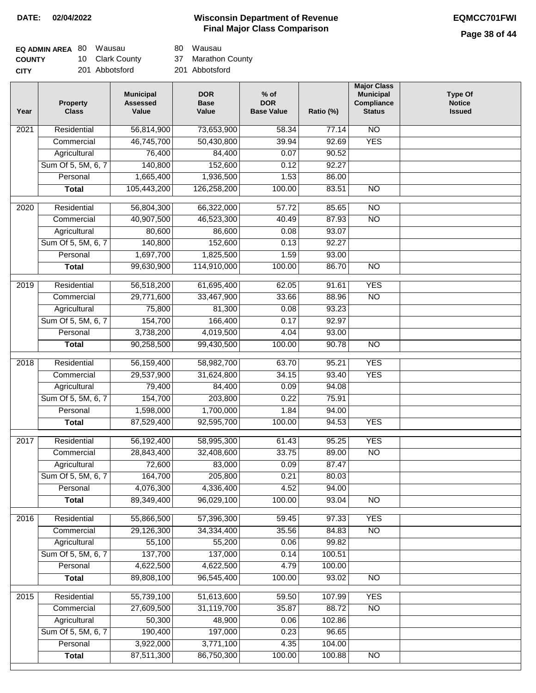# **Page 38 of 44**

| <b>EQ ADMIN AREA 80 Wausau</b> |                 | 80 Wausau          |
|--------------------------------|-----------------|--------------------|
| <b>COUNTY</b>                  | 10 Clark County | 37 Marathon County |
| <b>CITY</b>                    | 201 Abbotsford  | 201 Abbotsford     |

| Year              | <b>Property</b><br><b>Class</b> | <b>Municipal</b><br><b>Assessed</b><br>Value | <b>DOR</b><br><b>Base</b><br>Value | $%$ of<br><b>DOR</b><br><b>Base Value</b> | Ratio (%) | <b>Major Class</b><br><b>Municipal</b><br>Compliance<br><b>Status</b> | <b>Type Of</b><br><b>Notice</b><br><b>Issued</b> |
|-------------------|---------------------------------|----------------------------------------------|------------------------------------|-------------------------------------------|-----------|-----------------------------------------------------------------------|--------------------------------------------------|
| $\overline{202}1$ | Residential                     | 56,814,900                                   | 73,653,900                         | 58.34                                     | 77.14     | $\overline{NO}$                                                       |                                                  |
|                   | Commercial                      | 46,745,700                                   | 50,430,800                         | 39.94                                     | 92.69     | <b>YES</b>                                                            |                                                  |
|                   | Agricultural                    | 76,400                                       | 84,400                             | 0.07                                      | 90.52     |                                                                       |                                                  |
|                   | Sum Of 5, 5M, 6, 7              | 140,800                                      | 152,600                            | 0.12                                      | 92.27     |                                                                       |                                                  |
|                   | Personal                        | 1,665,400                                    | 1,936,500                          | 1.53                                      | 86.00     |                                                                       |                                                  |
|                   | <b>Total</b>                    | 105,443,200                                  | 126,258,200                        | 100.00                                    | 83.51     | $\overline{NO}$                                                       |                                                  |
| $\overline{2020}$ | Residential                     | 56,804,300                                   | 66,322,000                         | 57.72                                     | 85.65     | $\overline{NO}$                                                       |                                                  |
|                   | Commercial                      | 40,907,500                                   | 46,523,300                         | 40.49                                     | 87.93     | $\overline{NO}$                                                       |                                                  |
|                   | Agricultural                    | 80,600                                       | 86,600                             | 0.08                                      | 93.07     |                                                                       |                                                  |
|                   | Sum Of 5, 5M, 6, 7              | 140,800                                      | 152,600                            | 0.13                                      | 92.27     |                                                                       |                                                  |
|                   | Personal                        | 1,697,700                                    | 1,825,500                          | 1.59                                      | 93.00     |                                                                       |                                                  |
|                   | <b>Total</b>                    | 99,630,900                                   | 114,910,000                        | 100.00                                    | 86.70     | $\overline{NO}$                                                       |                                                  |
| 2019              | Residential                     | 56,518,200                                   | 61,695,400                         | 62.05                                     | 91.61     | <b>YES</b>                                                            |                                                  |
|                   | Commercial                      | 29,771,600                                   | 33,467,900                         | 33.66                                     | 88.96     | $\overline{NO}$                                                       |                                                  |
|                   | Agricultural                    | 75,800                                       | 81,300                             | 0.08                                      | 93.23     |                                                                       |                                                  |
|                   | Sum Of 5, 5M, 6, 7              | 154,700                                      | 166,400                            | 0.17                                      | 92.97     |                                                                       |                                                  |
|                   | Personal                        | 3,738,200                                    | 4,019,500                          | 4.04                                      | 93.00     |                                                                       |                                                  |
|                   | <b>Total</b>                    | 90,258,500                                   | 99,430,500                         | 100.00                                    | 90.78     | $\overline{NO}$                                                       |                                                  |
| 2018              | Residential                     | 56,159,400                                   | 58,982,700                         | 63.70                                     | 95.21     | <b>YES</b>                                                            |                                                  |
|                   | Commercial                      | 29,537,900                                   | 31,624,800                         | 34.15                                     | 93.40     | <b>YES</b>                                                            |                                                  |
|                   | Agricultural                    | 79,400                                       | 84,400                             | 0.09                                      | 94.08     |                                                                       |                                                  |
|                   | Sum Of 5, 5M, 6, 7              | 154,700                                      | 203,800                            | 0.22                                      | 75.91     |                                                                       |                                                  |
|                   | Personal                        | 1,598,000                                    | 1,700,000                          | 1.84                                      | 94.00     |                                                                       |                                                  |
|                   | <b>Total</b>                    | 87,529,400                                   | 92,595,700                         | 100.00                                    | 94.53     | <b>YES</b>                                                            |                                                  |
| $\overline{2017}$ | Residential                     | 56,192,400                                   | 58,995,300                         | 61.43                                     | 95.25     | <b>YES</b>                                                            |                                                  |
|                   | Commercial                      | 28,843,400                                   | 32,408,600                         | 33.75                                     | 89.00     | $\overline{NO}$                                                       |                                                  |
|                   | Agricultural                    | 72,600                                       | 83,000                             | 0.09                                      | 87.47     |                                                                       |                                                  |
|                   | Sum Of 5, 5M, 6, 7              | 164,700                                      | 205,800                            | 0.21                                      | 80.03     |                                                                       |                                                  |
|                   | Personal                        | 4,076,300                                    | 4,336,400                          | 4.52                                      | 94.00     |                                                                       |                                                  |
|                   | <b>Total</b>                    | 89,349,400                                   | 96,029,100                         | 100.00                                    | 93.04     | <b>NO</b>                                                             |                                                  |
| 2016              | Residential                     | 55,866,500                                   | 57,396,300                         | 59.45                                     | 97.33     | <b>YES</b>                                                            |                                                  |
|                   | Commercial                      | 29,126,300                                   | 34,334,400                         | 35.56                                     | 84.83     | <b>NO</b>                                                             |                                                  |
|                   | Agricultural                    | 55,100                                       | 55,200                             | 0.06                                      | 99.82     |                                                                       |                                                  |
|                   | Sum Of 5, 5M, 6, 7              | 137,700                                      | 137,000                            | 0.14                                      | 100.51    |                                                                       |                                                  |
|                   | Personal                        | 4,622,500                                    | 4,622,500                          | 4.79                                      | 100.00    |                                                                       |                                                  |
|                   | <b>Total</b>                    | 89,808,100                                   | 96,545,400                         | 100.00                                    | 93.02     | N <sub>O</sub>                                                        |                                                  |
| 2015              | Residential                     | 55,739,100                                   | 51,613,600                         | 59.50                                     | 107.99    | <b>YES</b>                                                            |                                                  |
|                   | Commercial                      | 27,609,500                                   | 31,119,700                         | 35.87                                     | 88.72     | $\overline{NO}$                                                       |                                                  |
|                   | Agricultural                    | 50,300                                       | 48,900                             | 0.06                                      | 102.86    |                                                                       |                                                  |
|                   | Sum Of 5, 5M, 6, 7              | 190,400                                      | 197,000                            | 0.23                                      | 96.65     |                                                                       |                                                  |
|                   | Personal                        | 3,922,000                                    | 3,771,100                          | 4.35                                      | 104.00    |                                                                       |                                                  |
|                   | <b>Total</b>                    | 87,511,300                                   | 86,750,300                         | 100.00                                    | 100.88    | <b>NO</b>                                                             |                                                  |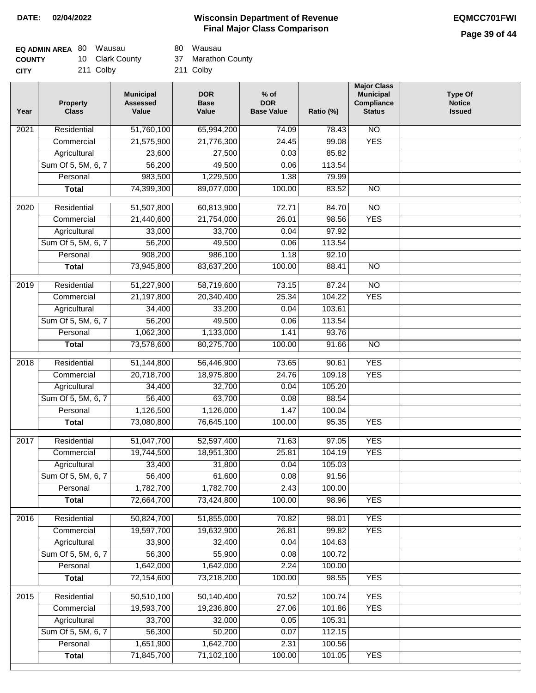# **Page 39 of 44**

| <b>EQ ADMIN AREA 80 Wausau</b> |                 | 80 Wausau          |
|--------------------------------|-----------------|--------------------|
| <b>COUNTY</b>                  | 10 Clark County | 37 Marathon County |
| <b>CITY</b>                    | 211 Colby       | 211 Colby          |

80 Wausau

| Year             | <b>Property</b><br><b>Class</b> | <b>Municipal</b><br><b>Assessed</b><br>Value | <b>DOR</b><br><b>Base</b><br>Value | $%$ of<br><b>DOR</b><br><b>Base Value</b> | Ratio (%) | <b>Major Class</b><br><b>Municipal</b><br>Compliance<br><b>Status</b> | <b>Type Of</b><br><b>Notice</b><br><b>Issued</b> |
|------------------|---------------------------------|----------------------------------------------|------------------------------------|-------------------------------------------|-----------|-----------------------------------------------------------------------|--------------------------------------------------|
| 2021             | Residential                     | 51,760,100                                   | 65,994,200                         | 74.09                                     | 78.43     | <b>NO</b>                                                             |                                                  |
|                  | Commercial                      | 21,575,900                                   | 21,776,300                         | 24.45                                     | 99.08     | <b>YES</b>                                                            |                                                  |
|                  | Agricultural                    | 23,600                                       | 27,500                             | 0.03                                      | 85.82     |                                                                       |                                                  |
|                  | Sum Of 5, 5M, 6, 7              | 56,200                                       | 49,500                             | 0.06                                      | 113.54    |                                                                       |                                                  |
|                  | Personal                        | 983,500                                      | 1,229,500                          | 1.38                                      | 79.99     |                                                                       |                                                  |
|                  | <b>Total</b>                    | 74,399,300                                   | 89,077,000                         | 100.00                                    | 83.52     | $\overline{NO}$                                                       |                                                  |
| 2020             | Residential                     | 51,507,800                                   | 60,813,900                         | 72.71                                     | 84.70     | $\overline{10}$                                                       |                                                  |
|                  | Commercial                      | 21,440,600                                   | 21,754,000                         | 26.01                                     | 98.56     | <b>YES</b>                                                            |                                                  |
|                  | Agricultural                    | 33,000                                       | 33,700                             | 0.04                                      | 97.92     |                                                                       |                                                  |
|                  | Sum Of 5, 5M, 6, 7              | 56,200                                       | 49,500                             | 0.06                                      | 113.54    |                                                                       |                                                  |
|                  | Personal                        | 908,200                                      | 986,100                            | 1.18                                      | 92.10     |                                                                       |                                                  |
|                  | <b>Total</b>                    | 73,945,800                                   | 83,637,200                         | 100.00                                    | 88.41     | <b>NO</b>                                                             |                                                  |
|                  |                                 |                                              |                                    |                                           |           |                                                                       |                                                  |
| $\frac{1}{2019}$ | Residential                     | 51,227,900                                   | 58,719,600                         | 73.15                                     | 87.24     | $\overline{NO}$                                                       |                                                  |
|                  | Commercial                      | 21,197,800                                   | 20,340,400                         | 25.34                                     | 104.22    | <b>YES</b>                                                            |                                                  |
|                  | Agricultural                    | 34,400                                       | 33,200                             | 0.04                                      | 103.61    |                                                                       |                                                  |
|                  | Sum Of 5, 5M, 6, 7              | 56,200                                       | 49,500                             | 0.06                                      | 113.54    |                                                                       |                                                  |
|                  | Personal                        | 1,062,300                                    | 1,133,000                          | 1.41                                      | 93.76     |                                                                       |                                                  |
|                  | <b>Total</b>                    | 73,578,600                                   | 80,275,700                         | 100.00                                    | 91.66     | $\overline{NO}$                                                       |                                                  |
| 2018             | Residential                     | 51,144,800                                   | 56,446,900                         | 73.65                                     | 90.61     | <b>YES</b>                                                            |                                                  |
|                  | Commercial                      | 20,718,700                                   | 18,975,800                         | 24.76                                     | 109.18    | <b>YES</b>                                                            |                                                  |
|                  | Agricultural                    | 34,400                                       | 32,700                             | 0.04                                      | 105.20    |                                                                       |                                                  |
|                  | Sum Of 5, 5M, 6, 7              | 56,400                                       | 63,700                             | 0.08                                      | 88.54     |                                                                       |                                                  |
|                  | Personal                        | 1,126,500                                    | 1,126,000                          | 1.47                                      | 100.04    |                                                                       |                                                  |
|                  | <b>Total</b>                    | 73,080,800                                   | 76,645,100                         | 100.00                                    | 95.35     | <b>YES</b>                                                            |                                                  |
| 2017             | Residential                     | 51,047,700                                   | 52,597,400                         | 71.63                                     | 97.05     | <b>YES</b>                                                            |                                                  |
|                  | Commercial                      | 19,744,500                                   | 18,951,300                         | 25.81                                     | 104.19    | <b>YES</b>                                                            |                                                  |
|                  | Agricultural                    | 33,400                                       | 31,800                             | 0.04                                      | 105.03    |                                                                       |                                                  |
|                  | Sum Of 5, 5M, 6, 7              | 56,400                                       | 61,600                             | 0.08                                      | 91.56     |                                                                       |                                                  |
|                  | Personal                        | 1,782,700                                    | 1,782,700                          | 2.43                                      | 100.00    |                                                                       |                                                  |
|                  | <b>Total</b>                    | 72,664,700                                   | 73,424,800                         | 100.00                                    | 98.96     | <b>YES</b>                                                            |                                                  |
| 2016             | Residential                     | 50,824,700                                   | 51,855,000                         | 70.82                                     | 98.01     | <b>YES</b>                                                            |                                                  |
|                  | Commercial                      | 19,597,700                                   | 19,632,900                         | 26.81                                     | 99.82     | <b>YES</b>                                                            |                                                  |
|                  | Agricultural                    | 33,900                                       | 32,400                             | 0.04                                      | 104.63    |                                                                       |                                                  |
|                  | Sum Of 5, 5M, 6, 7              | 56,300                                       | 55,900                             | 0.08                                      | 100.72    |                                                                       |                                                  |
|                  | Personal                        | 1,642,000                                    | 1,642,000                          | 2.24                                      | 100.00    |                                                                       |                                                  |
|                  | <b>Total</b>                    | 72,154,600                                   | 73,218,200                         | 100.00                                    | 98.55     | <b>YES</b>                                                            |                                                  |
| 2015             | Residential                     | 50,510,100                                   | 50,140,400                         | 70.52                                     | 100.74    | <b>YES</b>                                                            |                                                  |
|                  | Commercial                      | 19,593,700                                   | 19,236,800                         | 27.06                                     | 101.86    | <b>YES</b>                                                            |                                                  |
|                  | Agricultural                    | 33,700                                       | 32,000                             | 0.05                                      | 105.31    |                                                                       |                                                  |
|                  | Sum Of 5, 5M, 6, 7              | 56,300                                       | 50,200                             | 0.07                                      | 112.15    |                                                                       |                                                  |
|                  | Personal                        | 1,651,900                                    | 1,642,700                          | 2.31                                      | 100.56    |                                                                       |                                                  |
|                  | <b>Total</b>                    | 71,845,700                                   | 71,102,100                         | 100.00                                    | 101.05    | <b>YES</b>                                                            |                                                  |
|                  |                                 |                                              |                                    |                                           |           |                                                                       |                                                  |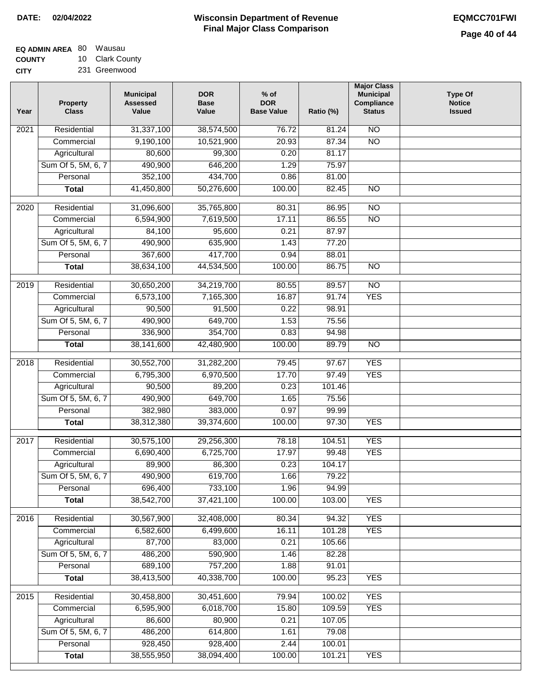| <b>EQ ADMIN AREA 80 Wausau</b> |                |
|--------------------------------|----------------|
| <b>COUNTY</b>                  | 10 Clark Count |
| <b>CITY</b>                    | 231 Greenwood  |

231 Greenwood ty

| Year              | <b>Property</b><br><b>Class</b> | <b>Municipal</b><br><b>Assessed</b><br>Value | <b>DOR</b><br><b>Base</b><br>Value | $%$ of<br><b>DOR</b><br><b>Base Value</b> | Ratio (%) | <b>Major Class</b><br><b>Municipal</b><br>Compliance<br><b>Status</b> | <b>Type Of</b><br><b>Notice</b><br><b>Issued</b> |
|-------------------|---------------------------------|----------------------------------------------|------------------------------------|-------------------------------------------|-----------|-----------------------------------------------------------------------|--------------------------------------------------|
| 2021              | Residential                     | 31,337,100                                   | 38,574,500                         | 76.72                                     | 81.24     | $\overline{NO}$                                                       |                                                  |
|                   | Commercial                      | 9,190,100                                    | 10,521,900                         | 20.93                                     | 87.34     | $\overline{NO}$                                                       |                                                  |
|                   | Agricultural                    | 80,600                                       | 99,300                             | 0.20                                      | 81.17     |                                                                       |                                                  |
|                   | Sum Of 5, 5M, 6, 7              | 490,900                                      | 646,200                            | 1.29                                      | 75.97     |                                                                       |                                                  |
|                   | Personal                        | 352,100                                      | 434,700                            | 0.86                                      | 81.00     |                                                                       |                                                  |
|                   | <b>Total</b>                    | 41,450,800                                   | 50,276,600                         | 100.00                                    | 82.45     | N <sub>O</sub>                                                        |                                                  |
| 2020              | Residential                     | 31,096,600                                   | 35,765,800                         | 80.31                                     | 86.95     | NO                                                                    |                                                  |
|                   | Commercial                      | 6,594,900                                    | 7,619,500                          | 17.11                                     | 86.55     | $\overline{NO}$                                                       |                                                  |
|                   | Agricultural                    | 84,100                                       | 95,600                             | 0.21                                      | 87.97     |                                                                       |                                                  |
|                   | Sum Of 5, 5M, 6, 7              | 490,900                                      | 635,900                            | 1.43                                      | 77.20     |                                                                       |                                                  |
|                   | Personal                        | 367,600                                      | 417,700                            | 0.94                                      | 88.01     |                                                                       |                                                  |
|                   | <b>Total</b>                    | 38,634,100                                   | 44,534,500                         | 100.00                                    | 86.75     | $\overline{NO}$                                                       |                                                  |
|                   |                                 |                                              |                                    |                                           |           |                                                                       |                                                  |
| 2019              | Residential                     | 30,650,200                                   | 34,219,700                         | 80.55                                     | 89.57     | $\overline{NO}$                                                       |                                                  |
|                   | Commercial                      | 6,573,100                                    | 7,165,300                          | 16.87                                     | 91.74     | <b>YES</b>                                                            |                                                  |
|                   | Agricultural                    | 90,500                                       | 91,500                             | 0.22                                      | 98.91     |                                                                       |                                                  |
|                   | Sum Of 5, 5M, 6, 7              | 490,900                                      | 649,700                            | 1.53                                      | 75.56     |                                                                       |                                                  |
|                   | Personal                        | 336,900                                      | 354,700                            | 0.83                                      | 94.98     |                                                                       |                                                  |
|                   | <b>Total</b>                    | 38,141,600                                   | 42,480,900                         | 100.00                                    | 89.79     | $\overline{NO}$                                                       |                                                  |
| $\overline{2018}$ | Residential                     | 30,552,700                                   | 31,282,200                         | 79.45                                     | 97.67     | <b>YES</b>                                                            |                                                  |
|                   | Commercial                      | 6,795,300                                    | 6,970,500                          | 17.70                                     | 97.49     | <b>YES</b>                                                            |                                                  |
|                   | Agricultural                    | 90,500                                       | 89,200                             | 0.23                                      | 101.46    |                                                                       |                                                  |
|                   | Sum Of 5, 5M, 6, 7              | 490,900                                      | 649,700                            | 1.65                                      | 75.56     |                                                                       |                                                  |
|                   | Personal                        | 382,980                                      | 383,000                            | 0.97                                      | 99.99     |                                                                       |                                                  |
|                   | <b>Total</b>                    | 38,312,380                                   | 39,374,600                         | 100.00                                    | 97.30     | <b>YES</b>                                                            |                                                  |
| 2017              | Residential                     | 30,575,100                                   | 29,256,300                         | 78.18                                     | 104.51    | <b>YES</b>                                                            |                                                  |
|                   | Commercial                      | 6,690,400                                    | 6,725,700                          | 17.97                                     | 99.48     | <b>YES</b>                                                            |                                                  |
|                   | Agricultural                    | 89,900                                       | 86,300                             | 0.23                                      | 104.17    |                                                                       |                                                  |
|                   | Sum Of 5, 5M, 6, 7              | 490,900                                      | 619,700                            | 1.66                                      | 79.22     |                                                                       |                                                  |
|                   | Personal                        | 696,400                                      | 733,100                            | 1.96                                      | 94.99     |                                                                       |                                                  |
|                   | <b>Total</b>                    | 38,542,700                                   | 37,421,100                         | 100.00                                    | 103.00    | <b>YES</b>                                                            |                                                  |
|                   |                                 |                                              |                                    |                                           |           |                                                                       |                                                  |
| 2016              | Residential                     | 30,567,900                                   | 32,408,000                         | 80.34                                     | 94.32     | <b>YES</b>                                                            |                                                  |
|                   | Commercial                      | 6,582,600                                    | 6,499,600                          | 16.11                                     | 101.28    | <b>YES</b>                                                            |                                                  |
|                   | Agricultural                    | 87,700                                       | 83,000                             | 0.21                                      | 105.66    |                                                                       |                                                  |
|                   | Sum Of 5, 5M, 6, 7              | 486,200                                      | 590,900                            | 1.46                                      | 82.28     |                                                                       |                                                  |
|                   | Personal                        | 689,100                                      | 757,200                            | 1.88                                      | 91.01     |                                                                       |                                                  |
|                   | <b>Total</b>                    | 38,413,500                                   | 40,338,700                         | 100.00                                    | 95.23     | <b>YES</b>                                                            |                                                  |
| 2015              | Residential                     | 30,458,800                                   | 30,451,600                         | 79.94                                     | 100.02    | <b>YES</b>                                                            |                                                  |
|                   | Commercial                      | 6,595,900                                    | 6,018,700                          | 15.80                                     | 109.59    | <b>YES</b>                                                            |                                                  |
|                   | Agricultural                    | 86,600                                       | 80,900                             | 0.21                                      | 107.05    |                                                                       |                                                  |
|                   | Sum Of 5, 5M, 6, 7              | 486,200                                      | 614,800                            | 1.61                                      | 79.08     |                                                                       |                                                  |
|                   | Personal                        | 928,450                                      | 928,400                            | 2.44                                      | 100.01    |                                                                       |                                                  |
|                   | <b>Total</b>                    | 38,555,950                                   | 38,094,400                         | 100.00                                    | 101.21    | <b>YES</b>                                                            |                                                  |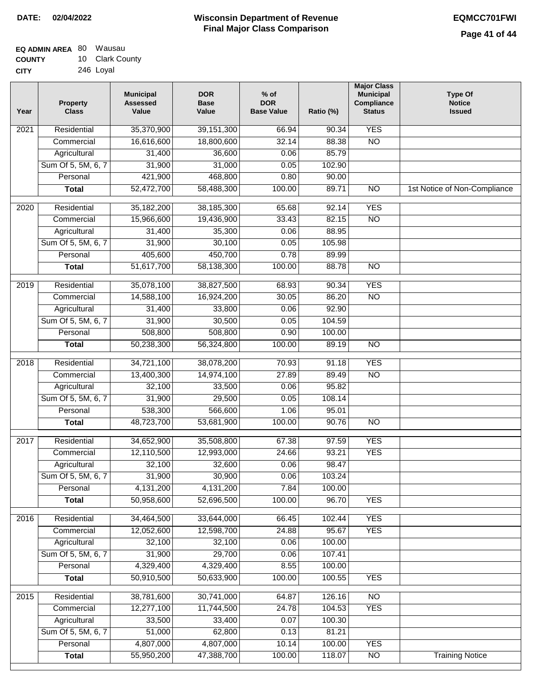| <b>EQ ADMIN AREA 80 Wausau</b> |                 |
|--------------------------------|-----------------|
| <b>COUNTY</b>                  | 10 Clark County |
| <b>CITY</b>                    | 246 Loyal       |

| Year              | <b>Property</b><br><b>Class</b> | <b>Municipal</b><br><b>Assessed</b><br>Value | <b>DOR</b><br><b>Base</b><br>Value | $%$ of<br><b>DOR</b><br><b>Base Value</b> | Ratio (%) | <b>Major Class</b><br><b>Municipal</b><br>Compliance<br><b>Status</b> | <b>Type Of</b><br><b>Notice</b><br><b>Issued</b> |
|-------------------|---------------------------------|----------------------------------------------|------------------------------------|-------------------------------------------|-----------|-----------------------------------------------------------------------|--------------------------------------------------|
| 2021              | Residential                     | 35,370,900                                   | 39, 151, 300                       | 66.94                                     | 90.34     | <b>YES</b>                                                            |                                                  |
|                   | Commercial                      | 16,616,600                                   | 18,800,600                         | 32.14                                     | 88.38     | $\overline{NO}$                                                       |                                                  |
|                   | Agricultural                    | 31,400                                       | 36,600                             | 0.06                                      | 85.79     |                                                                       |                                                  |
|                   | Sum Of 5, 5M, 6, 7              | 31,900                                       | 31,000                             | 0.05                                      | 102.90    |                                                                       |                                                  |
|                   | Personal                        | 421,900                                      | 468,800                            | 0.80                                      | 90.00     |                                                                       |                                                  |
|                   | <b>Total</b>                    | 52,472,700                                   | 58,488,300                         | 100.00                                    | 89.71     | $\overline{NO}$                                                       | 1st Notice of Non-Compliance                     |
| $\overline{2020}$ | Residential                     | 35,182,200                                   | 38,185,300                         | 65.68                                     | 92.14     | <b>YES</b>                                                            |                                                  |
|                   | Commercial                      | 15,966,600                                   | 19,436,900                         | 33.43                                     | 82.15     | $\overline{NO}$                                                       |                                                  |
|                   | Agricultural                    | 31,400                                       | 35,300                             | 0.06                                      | 88.95     |                                                                       |                                                  |
|                   | Sum Of 5, 5M, 6, 7              | 31,900                                       | 30,100                             | 0.05                                      | 105.98    |                                                                       |                                                  |
|                   | Personal                        | 405,600                                      | 450,700                            | 0.78                                      | 89.99     |                                                                       |                                                  |
|                   | <b>Total</b>                    | 51,617,700                                   | 58,138,300                         | 100.00                                    | 88.78     | $\overline{NO}$                                                       |                                                  |
| 2019              | Residential                     | 35,078,100                                   | 38,827,500                         | 68.93                                     | 90.34     | <b>YES</b>                                                            |                                                  |
|                   | Commercial                      | 14,588,100                                   | 16,924,200                         | 30.05                                     | 86.20     | $\overline{NO}$                                                       |                                                  |
|                   | Agricultural                    | 31,400                                       | 33,800                             | 0.06                                      | 92.90     |                                                                       |                                                  |
|                   | Sum Of 5, 5M, 6, 7              | 31,900                                       | 30,500                             | 0.05                                      | 104.59    |                                                                       |                                                  |
|                   | Personal                        | 508,800                                      | 508,800                            | 0.90                                      | 100.00    |                                                                       |                                                  |
|                   | <b>Total</b>                    | 50,238,300                                   | 56,324,800                         | 100.00                                    | 89.19     | $\overline{NO}$                                                       |                                                  |
| 2018              | Residential                     | 34,721,100                                   | 38,078,200                         | 70.93                                     | 91.18     | <b>YES</b>                                                            |                                                  |
|                   | Commercial                      | 13,400,300                                   | 14,974,100                         | 27.89                                     | 89.49     | <b>NO</b>                                                             |                                                  |
|                   | Agricultural                    | 32,100                                       | 33,500                             | 0.06                                      | 95.82     |                                                                       |                                                  |
|                   | Sum Of 5, 5M, 6, 7              | 31,900                                       | 29,500                             | 0.05                                      | 108.14    |                                                                       |                                                  |
|                   | Personal                        | 538,300                                      | 566,600                            | 1.06                                      | 95.01     |                                                                       |                                                  |
|                   | <b>Total</b>                    | 48,723,700                                   | 53,681,900                         | 100.00                                    | 90.76     | $\overline{NO}$                                                       |                                                  |
| 2017              | Residential                     | 34,652,900                                   | 35,508,800                         | 67.38                                     | 97.59     | <b>YES</b>                                                            |                                                  |
|                   | Commercial                      | 12,110,500                                   | 12,993,000                         | 24.66                                     | 93.21     | <b>YES</b>                                                            |                                                  |
|                   | Agricultural                    | 32,100                                       | 32,600                             | 0.06                                      | 98.47     |                                                                       |                                                  |
|                   | Sum Of 5, 5M, 6, 7              | 31,900                                       | 30,900                             | 0.06                                      | 103.24    |                                                                       |                                                  |
|                   | Personal                        | 4,131,200                                    | 4,131,200                          | 7.84                                      | 100.00    |                                                                       |                                                  |
|                   | <b>Total</b>                    | 50,958,600                                   | 52,696,500                         | 100.00                                    | 96.70     | <b>YES</b>                                                            |                                                  |
| 2016              | Residential                     | 34,464,500                                   | 33,644,000                         | 66.45                                     | 102.44    | <b>YES</b>                                                            |                                                  |
|                   | Commercial                      | 12,052,600                                   | 12,598,700                         | 24.88                                     | 95.67     | <b>YES</b>                                                            |                                                  |
|                   | Agricultural                    | 32,100                                       | 32,100                             | 0.06                                      | 100.00    |                                                                       |                                                  |
|                   | Sum Of 5, 5M, 6, 7              | 31,900                                       | 29,700                             | 0.06                                      | 107.41    |                                                                       |                                                  |
|                   | Personal                        | 4,329,400                                    | 4,329,400                          | 8.55                                      | 100.00    |                                                                       |                                                  |
|                   | <b>Total</b>                    | 50,910,500                                   | 50,633,900                         | 100.00                                    | 100.55    | <b>YES</b>                                                            |                                                  |
| 2015              | Residential                     | 38,781,600                                   | 30,741,000                         | 64.87                                     | 126.16    | $\overline{NO}$                                                       |                                                  |
|                   | Commercial                      | 12,277,100                                   | 11,744,500                         | 24.78                                     | 104.53    | <b>YES</b>                                                            |                                                  |
|                   | Agricultural                    | 33,500                                       | 33,400                             | 0.07                                      | 100.30    |                                                                       |                                                  |
|                   | Sum Of 5, 5M, 6, 7              | 51,000                                       | 62,800                             | 0.13                                      | 81.21     |                                                                       |                                                  |
|                   | Personal                        | 4,807,000                                    | 4,807,000                          | 10.14                                     | 100.00    | <b>YES</b>                                                            |                                                  |
|                   | <b>Total</b>                    | 55,950,200                                   | 47,388,700                         | 100.00                                    | 118.07    | $\overline{NO}$                                                       | <b>Training Notice</b>                           |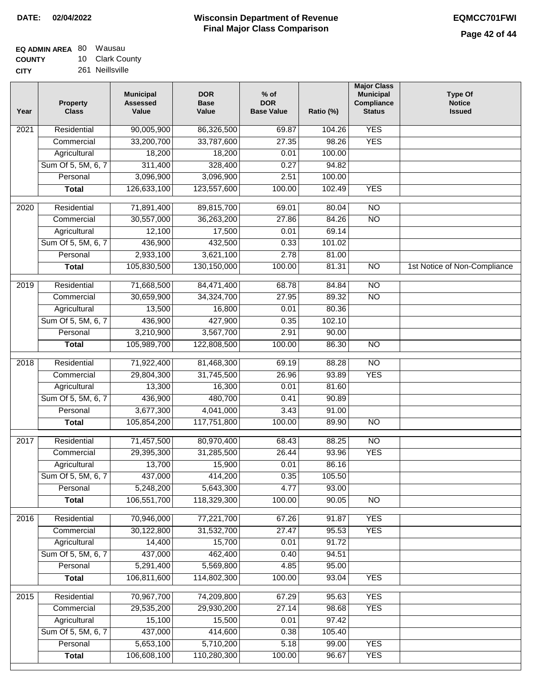| <b>EQ ADMIN AREA 80 Wausau</b> |                 |
|--------------------------------|-----------------|
| <b>COUNTY</b>                  | 10 Clark County |
| <b>CITY</b>                    | 261 Neillsville |

261 Neillsville

| Year              | <b>Property</b><br><b>Class</b> | <b>Municipal</b><br><b>Assessed</b><br>Value | <b>DOR</b><br><b>Base</b><br>Value | $%$ of<br><b>DOR</b><br><b>Base Value</b> | Ratio (%) | <b>Major Class</b><br><b>Municipal</b><br>Compliance<br><b>Status</b> | <b>Type Of</b><br><b>Notice</b><br><b>Issued</b> |
|-------------------|---------------------------------|----------------------------------------------|------------------------------------|-------------------------------------------|-----------|-----------------------------------------------------------------------|--------------------------------------------------|
| 2021              | Residential                     | 90,005,900                                   | 86,326,500                         | 69.87                                     | 104.26    | <b>YES</b>                                                            |                                                  |
|                   | Commercial                      | 33,200,700                                   | 33,787,600                         | 27.35                                     | 98.26     | <b>YES</b>                                                            |                                                  |
|                   | Agricultural                    | 18,200                                       | 18,200                             | 0.01                                      | 100.00    |                                                                       |                                                  |
|                   | Sum Of 5, 5M, 6, 7              | 311,400                                      | 328,400                            | 0.27                                      | 94.82     |                                                                       |                                                  |
|                   | Personal                        | 3,096,900                                    | 3,096,900                          | 2.51                                      | 100.00    |                                                                       |                                                  |
|                   | <b>Total</b>                    | 126,633,100                                  | 123,557,600                        | 100.00                                    | 102.49    | <b>YES</b>                                                            |                                                  |
| $\overline{2020}$ | Residential                     | 71,891,400                                   | 89,815,700                         | 69.01                                     | 80.04     | $\overline{NO}$                                                       |                                                  |
|                   | Commercial                      | 30,557,000                                   | 36,263,200                         | 27.86                                     | 84.26     | $\overline{NO}$                                                       |                                                  |
|                   | Agricultural                    | 12,100                                       | 17,500                             | 0.01                                      | 69.14     |                                                                       |                                                  |
|                   | Sum Of 5, 5M, 6, 7              | 436,900                                      | 432,500                            | 0.33                                      | 101.02    |                                                                       |                                                  |
|                   | Personal                        | 2,933,100                                    | 3,621,100                          | 2.78                                      | 81.00     |                                                                       |                                                  |
|                   | <b>Total</b>                    | 105,830,500                                  | 130,150,000                        | 100.00                                    | 81.31     | $\overline{NO}$                                                       | 1st Notice of Non-Compliance                     |
| 2019              | Residential                     | 71,668,500                                   | 84,471,400                         | 68.78                                     | 84.84     | $\overline{NO}$                                                       |                                                  |
|                   | Commercial                      | 30,659,900                                   | 34,324,700                         | 27.95                                     | 89.32     | $\overline{NO}$                                                       |                                                  |
|                   | Agricultural                    | 13,500                                       | 16,800                             | 0.01                                      | 80.36     |                                                                       |                                                  |
|                   | Sum Of 5, 5M, 6, 7              | 436,900                                      | 427,900                            | 0.35                                      | 102.10    |                                                                       |                                                  |
|                   | Personal                        | 3,210,900                                    | 3,567,700                          | 2.91                                      | 90.00     |                                                                       |                                                  |
|                   | <b>Total</b>                    | 105,989,700                                  | 122,808,500                        | 100.00                                    | 86.30     | $\overline{NO}$                                                       |                                                  |
|                   |                                 |                                              |                                    |                                           |           |                                                                       |                                                  |
| 2018              | Residential                     | 71,922,400                                   | 81,468,300                         | 69.19                                     | 88.28     | $\overline{NO}$                                                       |                                                  |
|                   | Commercial                      | 29,804,300                                   | 31,745,500                         | 26.96                                     | 93.89     | <b>YES</b>                                                            |                                                  |
|                   | Agricultural                    | 13,300                                       | 16,300                             | 0.01                                      | 81.60     |                                                                       |                                                  |
|                   | Sum Of 5, 5M, 6, 7              | 436,900                                      | 480,700                            | 0.41                                      | 90.89     |                                                                       |                                                  |
|                   | Personal                        | 3,677,300                                    | 4,041,000                          | 3.43                                      | 91.00     |                                                                       |                                                  |
|                   | <b>Total</b>                    | 105,854,200                                  | 117,751,800                        | 100.00                                    | 89.90     | <b>NO</b>                                                             |                                                  |
| 2017              | Residential                     | 71,457,500                                   | 80,970,400                         | 68.43                                     | 88.25     | $\overline{NO}$                                                       |                                                  |
|                   | Commercial                      | 29,395,300                                   | 31,285,500                         | 26.44                                     | 93.96     | <b>YES</b>                                                            |                                                  |
|                   | Agricultural                    | 13,700                                       | 15,900                             | 0.01                                      | 86.16     |                                                                       |                                                  |
|                   | Sum Of 5, 5M, 6, 7              | 437,000                                      | 414,200                            | 0.35                                      | 105.50    |                                                                       |                                                  |
|                   | Personal                        | 5,248,200                                    | 5,643,300                          | 4.77                                      | 93.00     |                                                                       |                                                  |
|                   | <b>Total</b>                    | 106,551,700                                  | 118,329,300                        | 100.00                                    | 90.05     | <b>NO</b>                                                             |                                                  |
| 2016              | Residential                     | 70,946,000                                   | 77,221,700                         | 67.26                                     | 91.87     | <b>YES</b>                                                            |                                                  |
|                   | Commercial                      | 30,122,800                                   | 31,532,700                         | 27.47                                     | 95.53     | <b>YES</b>                                                            |                                                  |
|                   | Agricultural                    | 14,400                                       | 15,700                             | 0.01                                      | 91.72     |                                                                       |                                                  |
|                   | Sum Of 5, 5M, 6, 7              | 437,000                                      | 462,400                            | 0.40                                      | 94.51     |                                                                       |                                                  |
|                   | Personal                        | 5,291,400                                    | 5,569,800                          | 4.85                                      | 95.00     |                                                                       |                                                  |
|                   | <b>Total</b>                    | 106,811,600                                  | 114,802,300                        | 100.00                                    | 93.04     | <b>YES</b>                                                            |                                                  |
|                   | Residential                     |                                              |                                    | 67.29                                     | 95.63     | <b>YES</b>                                                            |                                                  |
| 2015              | Commercial                      | 70,967,700<br>29,535,200                     | 74,209,800<br>29,930,200           | 27.14                                     | 98.68     | <b>YES</b>                                                            |                                                  |
|                   | Agricultural                    | 15,100                                       | 15,500                             | 0.01                                      | 97.42     |                                                                       |                                                  |
|                   | Sum Of 5, 5M, 6, 7              | 437,000                                      | 414,600                            | 0.38                                      | 105.40    |                                                                       |                                                  |
|                   | Personal                        | 5,653,100                                    | 5,710,200                          | 5.18                                      | 99.00     | <b>YES</b>                                                            |                                                  |
|                   | <b>Total</b>                    | 106,608,100                                  | 110,280,300                        | 100.00                                    | 96.67     | <b>YES</b>                                                            |                                                  |
|                   |                                 |                                              |                                    |                                           |           |                                                                       |                                                  |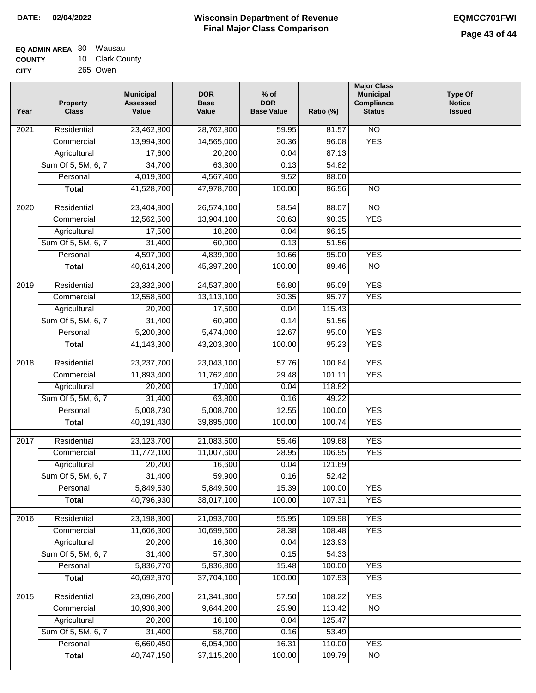| EQ ADMIN AREA 80 Wausau |                 |
|-------------------------|-----------------|
| <b>COUNTY</b>           | 10 Clark County |

**CITY** 265 Owen

| Year | <b>Property</b><br><b>Class</b> | <b>Municipal</b><br><b>Assessed</b><br>Value | <b>DOR</b><br><b>Base</b><br>Value | $%$ of<br><b>DOR</b><br><b>Base Value</b> | Ratio (%)        | <b>Major Class</b><br><b>Municipal</b><br>Compliance<br><b>Status</b> | <b>Type Of</b><br><b>Notice</b><br><b>Issued</b> |
|------|---------------------------------|----------------------------------------------|------------------------------------|-------------------------------------------|------------------|-----------------------------------------------------------------------|--------------------------------------------------|
| 2021 | Residential                     | 23,462,800                                   | 28,762,800                         | 59.95                                     | 81.57            | N <sub>O</sub>                                                        |                                                  |
|      | Commercial                      | 13,994,300                                   | 14,565,000                         | 30.36                                     | 96.08            | <b>YES</b>                                                            |                                                  |
|      | Agricultural                    | 17,600                                       | 20,200                             | 0.04                                      | 87.13            |                                                                       |                                                  |
|      | Sum Of 5, 5M, 6, 7              | 34,700                                       | 63,300                             | 0.13                                      | 54.82            |                                                                       |                                                  |
|      | Personal                        | 4,019,300                                    | 4,567,400                          | 9.52                                      | 88.00            |                                                                       |                                                  |
|      | <b>Total</b>                    | 41,528,700                                   | 47,978,700                         | 100.00                                    | 86.56            | $\overline{NO}$                                                       |                                                  |
| 2020 | Residential                     | 23,404,900                                   | 26,574,100                         | 58.54                                     | 88.07            | $\overline{3}$                                                        |                                                  |
|      | Commercial                      | 12,562,500                                   | 13,904,100                         | 30.63                                     | 90.35            | <b>YES</b>                                                            |                                                  |
|      | Agricultural                    | 17,500                                       | 18,200                             | 0.04                                      | 96.15            |                                                                       |                                                  |
|      | Sum Of 5, 5M, 6, 7              | 31,400                                       | 60,900                             | 0.13                                      | 51.56            |                                                                       |                                                  |
|      | Personal                        | 4,597,900                                    | 4,839,900                          | 10.66                                     | 95.00            | <b>YES</b>                                                            |                                                  |
|      | <b>Total</b>                    | 40,614,200                                   | 45,397,200                         | 100.00                                    | 89.46            | $\overline{NO}$                                                       |                                                  |
| 2019 | Residential                     | 23,332,900                                   | 24,537,800                         | 56.80                                     | 95.09            | <b>YES</b>                                                            |                                                  |
|      | Commercial                      | 12,558,500                                   | 13,113,100                         | 30.35                                     | 95.77            | <b>YES</b>                                                            |                                                  |
|      | Agricultural                    | 20,200                                       | 17,500                             | 0.04                                      | 115.43           |                                                                       |                                                  |
|      | Sum Of 5, 5M, 6, 7              | 31,400                                       | 60,900                             | 0.14                                      | 51.56            |                                                                       |                                                  |
|      | Personal                        | 5,200,300                                    | 5,474,000                          | 12.67                                     | 95.00            | <b>YES</b>                                                            |                                                  |
|      | <b>Total</b>                    | 41,143,300                                   | 43,203,300                         | 100.00                                    | 95.23            | <b>YES</b>                                                            |                                                  |
|      |                                 |                                              |                                    |                                           |                  |                                                                       |                                                  |
| 2018 | Residential<br>Commercial       | 23,237,700<br>11,893,400                     | 23,043,100<br>11,762,400           | 57.76<br>29.48                            | 100.84<br>101.11 | <b>YES</b><br><b>YES</b>                                              |                                                  |
|      | Agricultural                    | 20,200                                       | 17,000                             | 0.04                                      | 118.82           |                                                                       |                                                  |
|      | Sum Of 5, 5M, 6, 7              | 31,400                                       | 63,800                             | 0.16                                      | 49.22            |                                                                       |                                                  |
|      | Personal                        | 5,008,730                                    | 5,008,700                          | 12.55                                     | 100.00           | <b>YES</b>                                                            |                                                  |
|      | <b>Total</b>                    | 40,191,430                                   | 39,895,000                         | 100.00                                    | 100.74           | <b>YES</b>                                                            |                                                  |
|      |                                 |                                              |                                    |                                           |                  |                                                                       |                                                  |
| 2017 | Residential                     | 23,123,700                                   | 21,083,500                         | 55.46                                     | 109.68           | <b>YES</b>                                                            |                                                  |
|      | Commercial                      | 11,772,100                                   | 11,007,600                         | 28.95                                     | 106.95           | <b>YES</b>                                                            |                                                  |
|      | Agricultural                    | 20,200                                       | 16,600                             | 0.04                                      | 121.69           |                                                                       |                                                  |
|      | Sum Of 5, 5M, 6, 7              | 31,400                                       | 59,900                             | 0.16                                      | 52.42            |                                                                       |                                                  |
|      | Personal                        | 5,849,530                                    | 5,849,500                          | 15.39                                     | 100.00           | <b>YES</b>                                                            |                                                  |
|      | <b>Total</b>                    | 40,796,930                                   | 38,017,100                         | 100.00                                    | 107.31           | <b>YES</b>                                                            |                                                  |
| 2016 | Residential                     | 23,198,300                                   | 21,093,700                         | 55.95                                     | 109.98           | <b>YES</b>                                                            |                                                  |
|      | Commercial                      | 11,606,300                                   | 10,699,500                         | 28.38                                     | 108.48           | <b>YES</b>                                                            |                                                  |
|      | Agricultural                    | 20,200                                       | 16,300                             | 0.04                                      | 123.93           |                                                                       |                                                  |
|      | Sum Of 5, 5M, 6, 7              | 31,400                                       | 57,800                             | 0.15                                      | 54.33            |                                                                       |                                                  |
|      | Personal                        | 5,836,770                                    | 5,836,800                          | 15.48                                     | 100.00           | <b>YES</b>                                                            |                                                  |
|      | <b>Total</b>                    | 40,692,970                                   | 37,704,100                         | 100.00                                    | 107.93           | <b>YES</b>                                                            |                                                  |
| 2015 | Residential                     | 23,096,200                                   | 21,341,300                         | 57.50                                     | 108.22           | <b>YES</b>                                                            |                                                  |
|      | Commercial                      | 10,938,900                                   | 9,644,200                          | 25.98                                     | 113.42           | $\overline{NO}$                                                       |                                                  |
|      | Agricultural                    | 20,200                                       | 16,100                             | 0.04                                      | 125.47           |                                                                       |                                                  |
|      | Sum Of 5, 5M, 6, 7              | 31,400                                       | 58,700                             | 0.16                                      | 53.49            |                                                                       |                                                  |
|      | Personal                        | 6,660,450                                    | 6,054,900                          | 16.31                                     | 110.00           | <b>YES</b>                                                            |                                                  |
|      | <b>Total</b>                    | 40,747,150                                   | 37,115,200                         | 100.00                                    | 109.79           | $\overline{NO}$                                                       |                                                  |
|      |                                 |                                              |                                    |                                           |                  |                                                                       |                                                  |